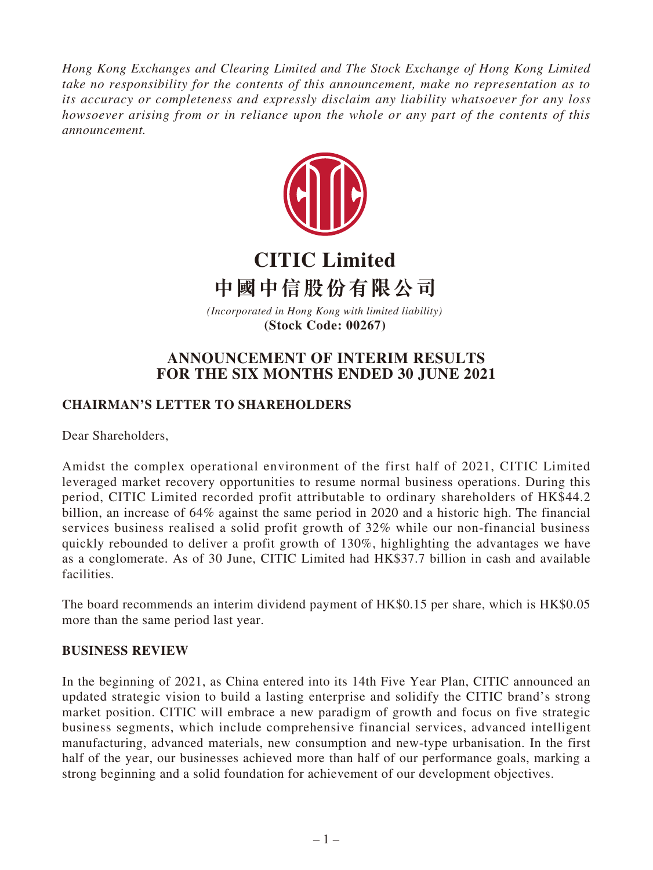*Hong Kong Exchanges and Clearing Limited and The Stock Exchange of Hong Kong Limited take no responsibility for the contents of this announcement, make no representation as to its accuracy or completeness and expressly disclaim any liability whatsoever for any loss howsoever arising from or in reliance upon the whole or any part of the contents of this announcement.*



# **CITIC Limited 中國中信股份有限公司**

*(Incorporated in Hong Kong with limited liability)*  **(Stock Code: 00267)**

## **ANNOUNCEMENT OF INTERIM RESULTS FOR THE SIX MONTHS ENDED 30 JUNE 2021**

## **CHAIRMAN'S LETTER TO SHAREHOLDERS**

Dear Shareholders,

Amidst the complex operational environment of the first half of 2021, CITIC Limited leveraged market recovery opportunities to resume normal business operations. During this period, CITIC Limited recorded profit attributable to ordinary shareholders of HK\$44.2 billion, an increase of 64% against the same period in 2020 and a historic high. The financial services business realised a solid profit growth of 32% while our non-financial business quickly rebounded to deliver a profit growth of 130%, highlighting the advantages we have as a conglomerate. As of 30 June, CITIC Limited had HK\$37.7 billion in cash and available facilities.

The board recommends an interim dividend payment of HK\$0.15 per share, which is HK\$0.05 more than the same period last year.

## **BUSINESS REVIEW**

In the beginning of 2021, as China entered into its 14th Five Year Plan, CITIC announced an updated strategic vision to build a lasting enterprise and solidify the CITIC brand's strong market position. CITIC will embrace a new paradigm of growth and focus on five strategic business segments, which include comprehensive financial services, advanced intelligent manufacturing, advanced materials, new consumption and new-type urbanisation. In the first half of the year, our businesses achieved more than half of our performance goals, marking a strong beginning and a solid foundation for achievement of our development objectives.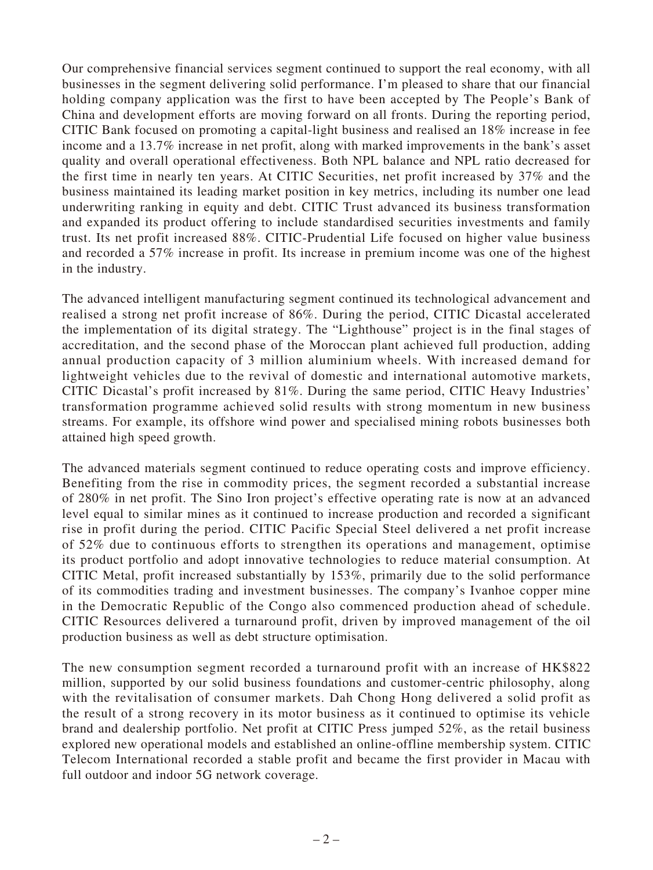Our comprehensive financial services segment continued to support the real economy, with all businesses in the segment delivering solid performance. I'm pleased to share that our financial holding company application was the first to have been accepted by The People's Bank of China and development efforts are moving forward on all fronts. During the reporting period, CITIC Bank focused on promoting a capital-light business and realised an 18% increase in fee income and a 13.7% increase in net profit, along with marked improvements in the bank's asset quality and overall operational effectiveness. Both NPL balance and NPL ratio decreased for the first time in nearly ten years. At CITIC Securities, net profit increased by 37% and the business maintained its leading market position in key metrics, including its number one lead underwriting ranking in equity and debt. CITIC Trust advanced its business transformation and expanded its product offering to include standardised securities investments and family trust. Its net profit increased 88%. CITIC-Prudential Life focused on higher value business and recorded a 57% increase in profit. Its increase in premium income was one of the highest in the industry.

The advanced intelligent manufacturing segment continued its technological advancement and realised a strong net profit increase of 86%. During the period, CITIC Dicastal accelerated the implementation of its digital strategy. The "Lighthouse" project is in the final stages of accreditation, and the second phase of the Moroccan plant achieved full production, adding annual production capacity of 3 million aluminium wheels. With increased demand for lightweight vehicles due to the revival of domestic and international automotive markets, CITIC Dicastal's profit increased by 81%. During the same period, CITIC Heavy Industries' transformation programme achieved solid results with strong momentum in new business streams. For example, its offshore wind power and specialised mining robots businesses both attained high speed growth.

The advanced materials segment continued to reduce operating costs and improve efficiency. Benefiting from the rise in commodity prices, the segment recorded a substantial increase of 280% in net profit. The Sino Iron project's effective operating rate is now at an advanced level equal to similar mines as it continued to increase production and recorded a significant rise in profit during the period. CITIC Pacific Special Steel delivered a net profit increase of 52% due to continuous efforts to strengthen its operations and management, optimise its product portfolio and adopt innovative technologies to reduce material consumption. At CITIC Metal, profit increased substantially by 153%, primarily due to the solid performance of its commodities trading and investment businesses. The company's Ivanhoe copper mine in the Democratic Republic of the Congo also commenced production ahead of schedule. CITIC Resources delivered a turnaround profit, driven by improved management of the oil production business as well as debt structure optimisation.

The new consumption segment recorded a turnaround profit with an increase of HK\$822 million, supported by our solid business foundations and customer-centric philosophy, along with the revitalisation of consumer markets. Dah Chong Hong delivered a solid profit as the result of a strong recovery in its motor business as it continued to optimise its vehicle brand and dealership portfolio. Net profit at CITIC Press jumped 52%, as the retail business explored new operational models and established an online-offline membership system. CITIC Telecom International recorded a stable profit and became the first provider in Macau with full outdoor and indoor 5G network coverage.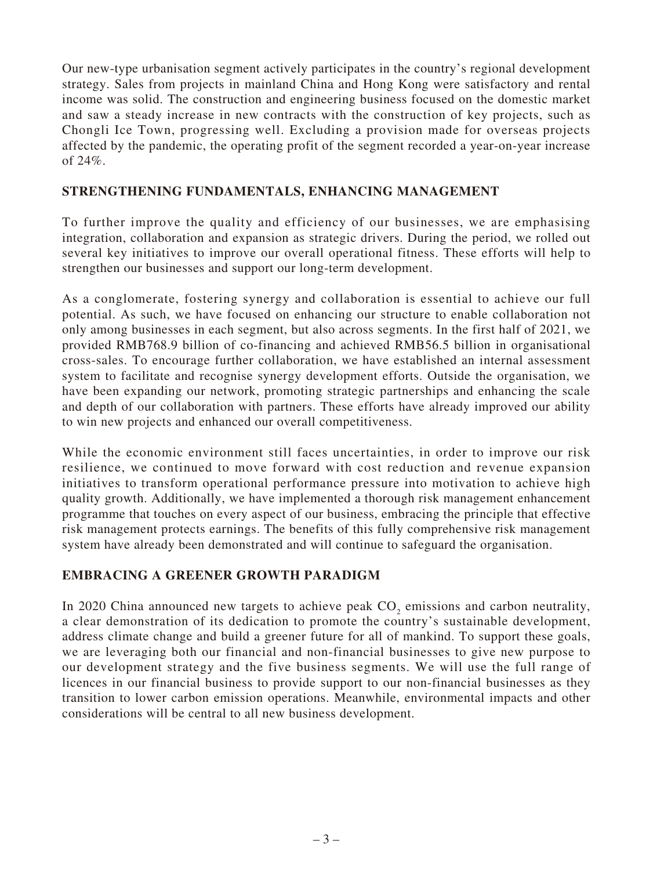Our new-type urbanisation segment actively participates in the country's regional development strategy. Sales from projects in mainland China and Hong Kong were satisfactory and rental income was solid. The construction and engineering business focused on the domestic market and saw a steady increase in new contracts with the construction of key projects, such as Chongli Ice Town, progressing well. Excluding a provision made for overseas projects affected by the pandemic, the operating profit of the segment recorded a year-on-year increase of 24%.

## **STRENGTHENING FUNDAMENTALS, ENHANCING MANAGEMENT**

To further improve the quality and efficiency of our businesses, we are emphasising integration, collaboration and expansion as strategic drivers. During the period, we rolled out several key initiatives to improve our overall operational fitness. These efforts will help to strengthen our businesses and support our long-term development.

As a conglomerate, fostering synergy and collaboration is essential to achieve our full potential. As such, we have focused on enhancing our structure to enable collaboration not only among businesses in each segment, but also across segments. In the first half of 2021, we provided RMB768.9 billion of co-financing and achieved RMB56.5 billion in organisational cross-sales. To encourage further collaboration, we have established an internal assessment system to facilitate and recognise synergy development efforts. Outside the organisation, we have been expanding our network, promoting strategic partnerships and enhancing the scale and depth of our collaboration with partners. These efforts have already improved our ability to win new projects and enhanced our overall competitiveness.

While the economic environment still faces uncertainties, in order to improve our risk resilience, we continued to move forward with cost reduction and revenue expansion initiatives to transform operational performance pressure into motivation to achieve high quality growth. Additionally, we have implemented a thorough risk management enhancement programme that touches on every aspect of our business, embracing the principle that effective risk management protects earnings. The benefits of this fully comprehensive risk management system have already been demonstrated and will continue to safeguard the organisation.

## **EMBRACING A GREENER GROWTH PARADIGM**

In 2020 China announced new targets to achieve peak  $CO_2$  emissions and carbon neutrality, a clear demonstration of its dedication to promote the country's sustainable development, address climate change and build a greener future for all of mankind. To support these goals, we are leveraging both our financial and non-financial businesses to give new purpose to our development strategy and the five business segments. We will use the full range of licences in our financial business to provide support to our non-financial businesses as they transition to lower carbon emission operations. Meanwhile, environmental impacts and other considerations will be central to all new business development.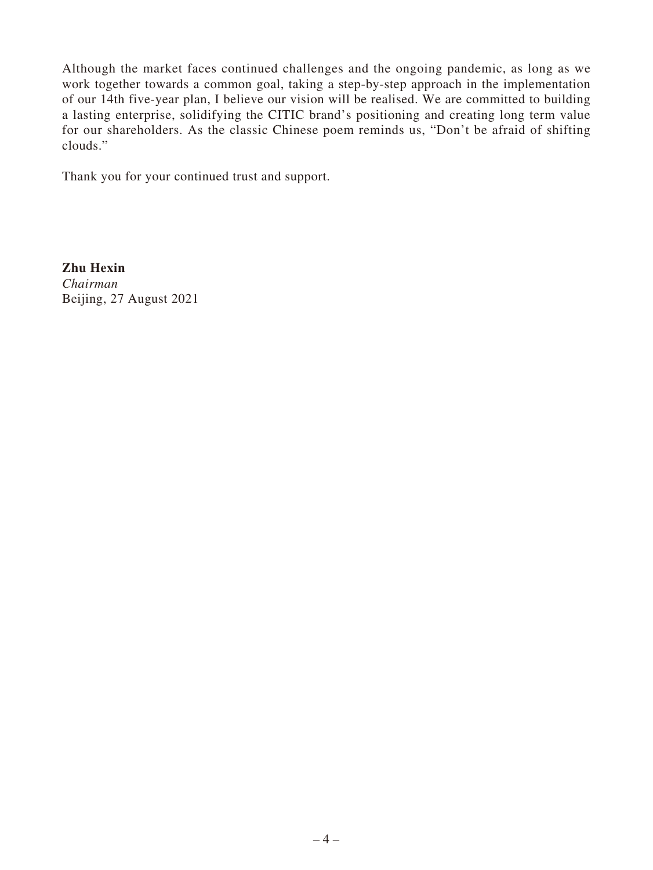Although the market faces continued challenges and the ongoing pandemic, as long as we work together towards a common goal, taking a step-by-step approach in the implementation of our 14th five-year plan, I believe our vision will be realised. We are committed to building a lasting enterprise, solidifying the CITIC brand's positioning and creating long term value for our shareholders. As the classic Chinese poem reminds us, "Don't be afraid of shifting clouds."

Thank you for your continued trust and support.

**Zhu Hexin** *Chairman* Beijing, 27 August 2021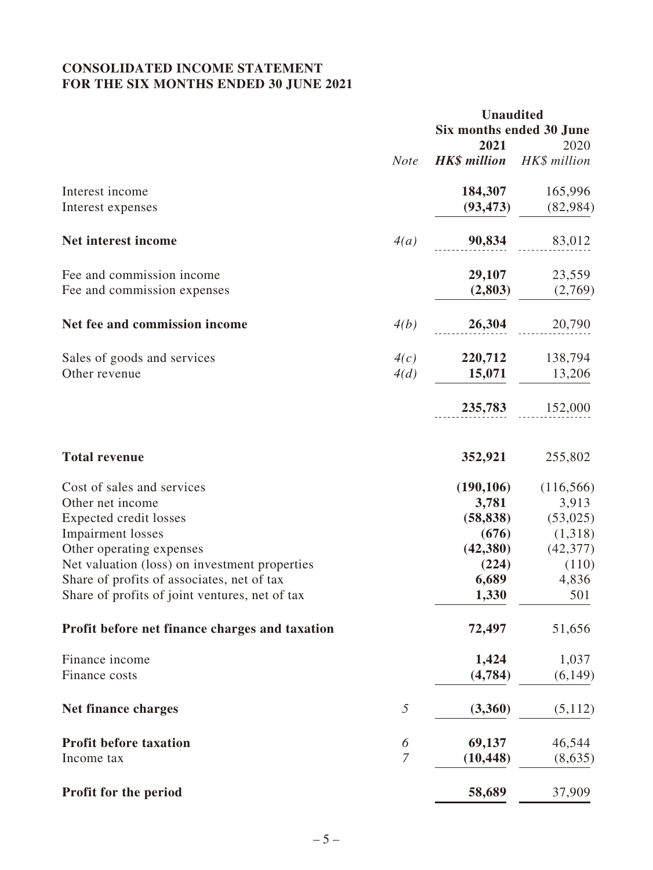## **CONSOLIDATED INCOME STATEMENT FOR THE SIX MONTHS ENDED 30 JUNE 2021**

|                                                |                | <b>Unaudited</b>                 |            |  |
|------------------------------------------------|----------------|----------------------------------|------------|--|
|                                                |                | Six months ended 30 June         |            |  |
|                                                |                | 2021                             | 2020       |  |
|                                                | <b>Note</b>    | <b>HK\$</b> million HK\$ million |            |  |
| Interest income                                |                | 184,307                          | 165,996    |  |
| Interest expenses                              |                | (93, 473)                        | (82,984)   |  |
| Net interest income                            | 4(a)           | 90,834                           | 83,012     |  |
| Fee and commission income                      |                | 29,107                           | 23,559     |  |
| Fee and commission expenses                    |                | (2,803)                          | (2,769)    |  |
| Net fee and commission income                  | 4(b)           | 26,304                           | 20,790     |  |
| Sales of goods and services                    | 4(c)           | 220,712                          | 138,794    |  |
| Other revenue                                  | 4(d)           | 15,071                           | 13,206     |  |
|                                                |                | 235,783                          | 152,000    |  |
| <b>Total revenue</b>                           |                | 352,921                          | 255,802    |  |
| Cost of sales and services                     |                | (190, 106)                       | (116, 566) |  |
| Other net income                               |                | 3,781                            | 3,913      |  |
| <b>Expected credit losses</b>                  |                | (58, 838)                        | (53,025)   |  |
| <b>Impairment</b> losses                       |                | (676)                            | (1,318)    |  |
| Other operating expenses                       |                | (42,380)                         | (42, 377)  |  |
| Net valuation (loss) on investment properties  |                | (224)                            | (110)      |  |
| Share of profits of associates, net of tax     |                | 6,689                            | 4,836      |  |
| Share of profits of joint ventures, net of tax |                | 1,330                            | 501        |  |
| Profit before net finance charges and taxation |                | 72,497                           | 51,656     |  |
| Finance income                                 |                | 1,424                            | 1,037      |  |
| Finance costs                                  |                | (4,784)                          | (6, 149)   |  |
| <b>Net finance charges</b>                     | 5              | (3,360)                          | (5,112)    |  |
| <b>Profit before taxation</b>                  | 6              | 69,137                           | 46,544     |  |
| Income tax                                     | $\overline{7}$ | (10, 448)                        | (8,635)    |  |
| Profit for the period                          |                | 58,689                           | 37,909     |  |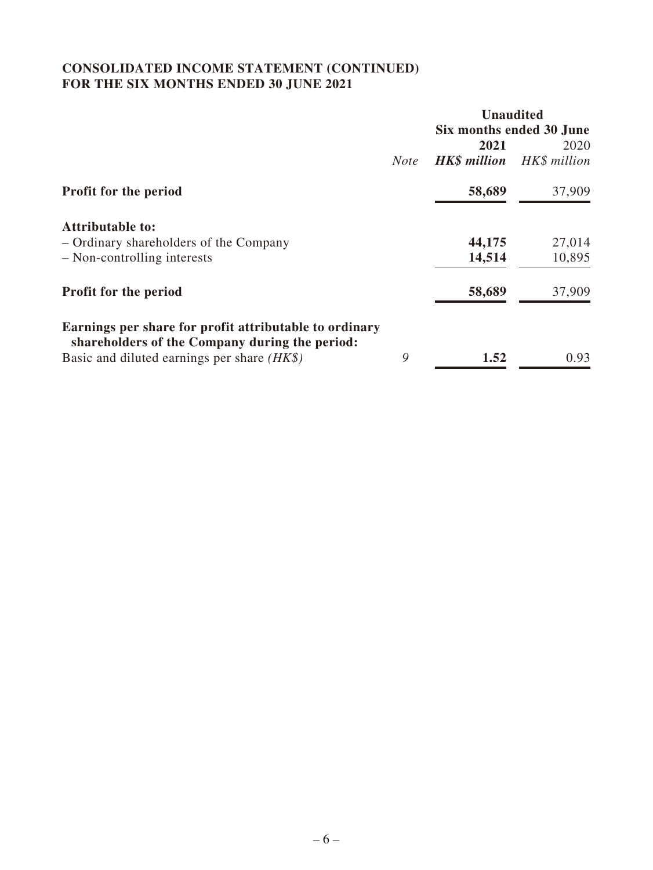## **CONSOLIDATED INCOME STATEMENT (CONTINUED) FOR THE SIX MONTHS ENDED 30 JUNE 2021**

|                                                                                                          |             | <b>Unaudited</b>         |              |
|----------------------------------------------------------------------------------------------------------|-------------|--------------------------|--------------|
|                                                                                                          |             | Six months ended 30 June |              |
|                                                                                                          |             | 2021                     | 2020         |
|                                                                                                          | <b>Note</b> | <b>HK\$</b> million      | HK\$ million |
| <b>Profit for the period</b>                                                                             |             | 58,689                   | 37,909       |
| <b>Attributable to:</b>                                                                                  |             |                          |              |
| - Ordinary shareholders of the Company                                                                   |             | 44,175                   | 27,014       |
| - Non-controlling interests                                                                              |             | 14,514                   | 10,895       |
| <b>Profit for the period</b>                                                                             |             | 58,689                   | 37,909       |
| Earnings per share for profit attributable to ordinary<br>shareholders of the Company during the period: |             |                          |              |
| Basic and diluted earnings per share $(HK\$ )                                                            | 9           | 1.52                     | 0.93         |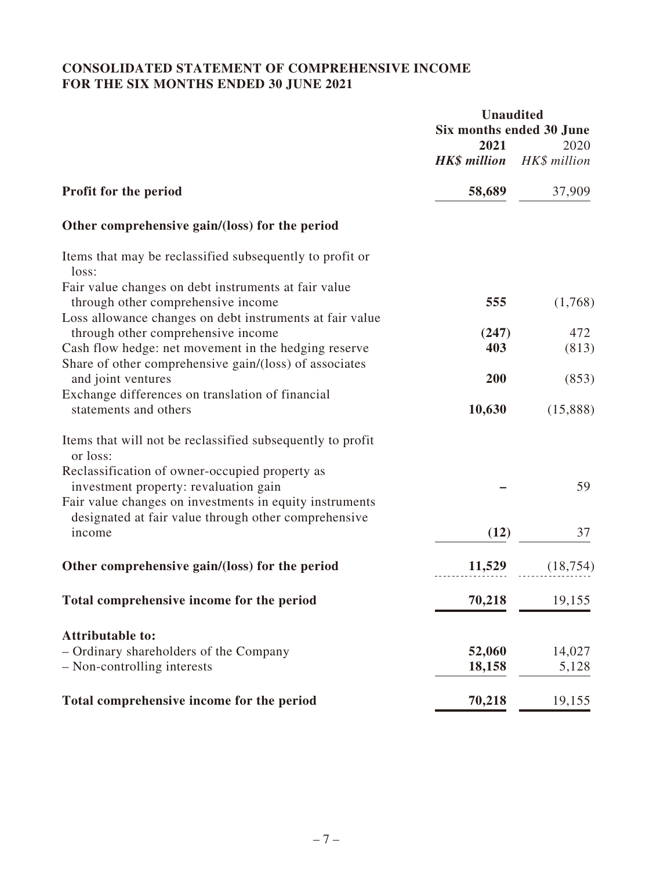## **CONSOLIDATED STATEMENT OF COMPREHENSIVE INCOME FOR THE SIX MONTHS ENDED 30 JUNE 2021**

|                                                                                                                                                        | <b>Unaudited</b><br>Six months ended 30 June<br>2021 |                      |
|--------------------------------------------------------------------------------------------------------------------------------------------------------|------------------------------------------------------|----------------------|
|                                                                                                                                                        | <b>HK\$</b> million                                  | 2020<br>HK\$ million |
| Profit for the period                                                                                                                                  | 58,689                                               | 37,909               |
| Other comprehensive gain/(loss) for the period                                                                                                         |                                                      |                      |
| Items that may be reclassified subsequently to profit or<br>loss:                                                                                      |                                                      |                      |
| Fair value changes on debt instruments at fair value<br>through other comprehensive income                                                             | 555                                                  | (1,768)              |
| Loss allowance changes on debt instruments at fair value<br>through other comprehensive income<br>Cash flow hedge: net movement in the hedging reserve | (247)<br>403                                         | 472<br>(813)         |
| Share of other comprehensive gain/(loss) of associates<br>and joint ventures<br>Exchange differences on translation of financial                       | 200                                                  | (853)                |
| statements and others                                                                                                                                  | 10,630                                               | (15,888)             |
| Items that will not be reclassified subsequently to profit<br>or loss:                                                                                 |                                                      |                      |
| Reclassification of owner-occupied property as<br>investment property: revaluation gain                                                                |                                                      | 59                   |
| Fair value changes on investments in equity instruments<br>designated at fair value through other comprehensive<br>income                              | (12)                                                 | 37                   |
| Other comprehensive gain/(loss) for the period                                                                                                         | 11,529                                               | (18, 754)            |
| Total comprehensive income for the period                                                                                                              | 70,218                                               | 19,155               |
| <b>Attributable to:</b>                                                                                                                                |                                                      |                      |
| - Ordinary shareholders of the Company<br>- Non-controlling interests                                                                                  | 52,060<br>18,158                                     | 14,027<br>5,128      |
| Total comprehensive income for the period                                                                                                              | 70,218                                               | 19,155               |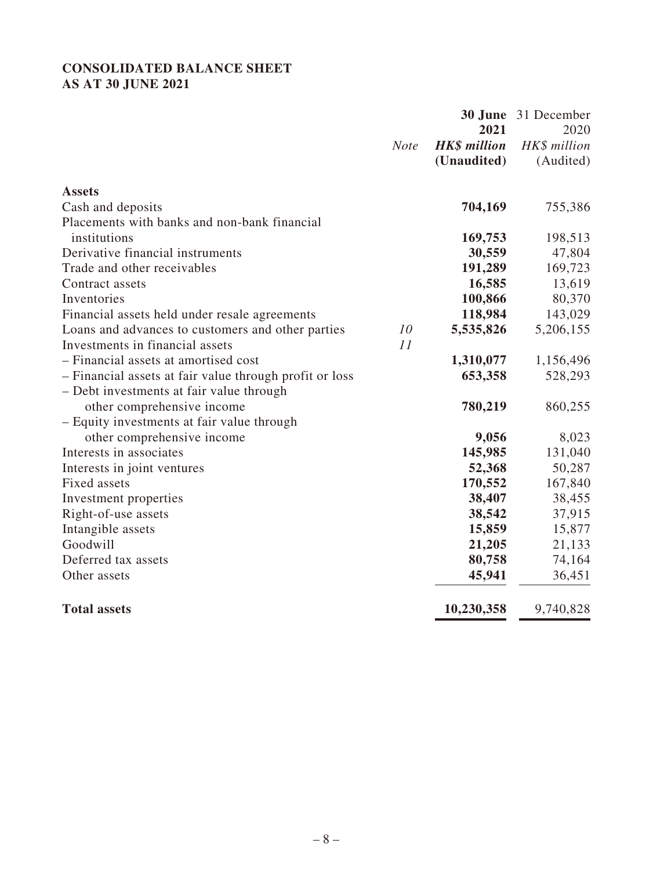## **CONSOLIDATED BALANCE SHEET AS AT 30 JUNE 2021**

|                                                         |             | 30 June             | 31 December  |
|---------------------------------------------------------|-------------|---------------------|--------------|
|                                                         |             | 2021                | 2020         |
|                                                         | <b>Note</b> | <b>HK\$</b> million | HK\$ million |
|                                                         |             | (Unaudited)         | (Audited)    |
| <b>Assets</b>                                           |             |                     |              |
| Cash and deposits                                       |             | 704,169             | 755,386      |
| Placements with banks and non-bank financial            |             |                     |              |
| institutions                                            |             | 169,753             | 198,513      |
| Derivative financial instruments                        |             | 30,559              | 47,804       |
| Trade and other receivables                             |             | 191,289             | 169,723      |
| Contract assets                                         |             | 16,585              | 13,619       |
| Inventories                                             |             | 100,866             | 80,370       |
| Financial assets held under resale agreements           |             | 118,984             | 143,029      |
| Loans and advances to customers and other parties       | 10          | 5,535,826           | 5,206,155    |
| Investments in financial assets                         | 11          |                     |              |
| - Financial assets at amortised cost                    |             | 1,310,077           | 1,156,496    |
| - Financial assets at fair value through profit or loss |             | 653,358             | 528,293      |
| - Debt investments at fair value through                |             |                     |              |
| other comprehensive income                              |             | 780,219             | 860,255      |
| - Equity investments at fair value through              |             |                     |              |
| other comprehensive income                              |             | 9,056               | 8,023        |
| Interests in associates                                 |             | 145,985             | 131,040      |
| Interests in joint ventures                             |             | 52,368              | 50,287       |
| Fixed assets                                            |             | 170,552             | 167,840      |
| Investment properties                                   |             | 38,407              | 38,455       |
| Right-of-use assets                                     |             | 38,542              | 37,915       |
| Intangible assets                                       |             | 15,859              | 15,877       |
| Goodwill                                                |             | 21,205              | 21,133       |
| Deferred tax assets                                     |             | 80,758              | 74,164       |
| Other assets                                            |             | 45,941              | 36,451       |
| <b>Total assets</b>                                     |             | 10,230,358          | 9,740,828    |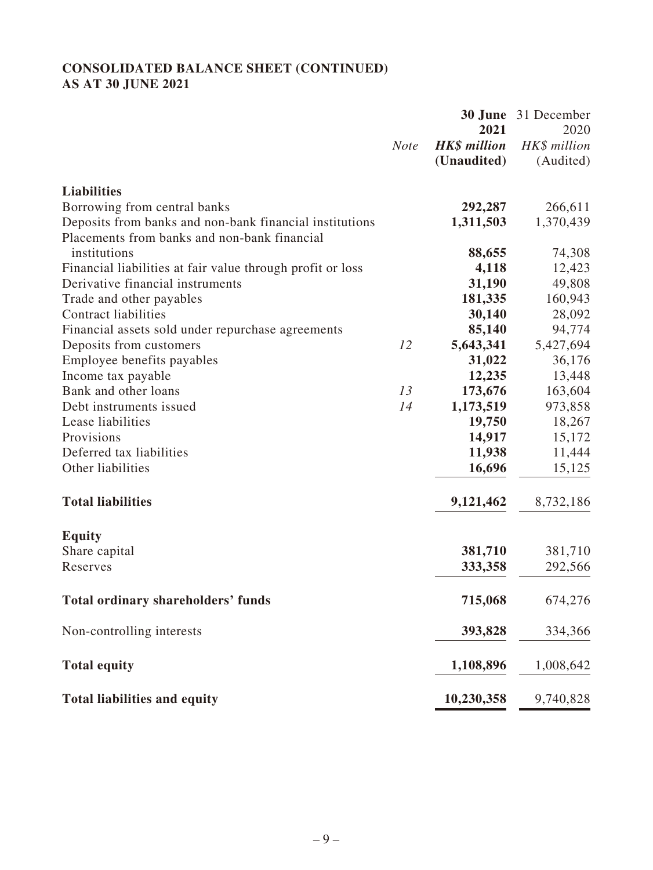## **CONSOLIDATED BALANCE SHEET (CONTINUED) AS AT 30 JUNE 2021**

|                                                            |             | 30 June                     | 31 December  |
|------------------------------------------------------------|-------------|-----------------------------|--------------|
|                                                            |             | 2021<br><b>HK\$</b> million | 2020         |
|                                                            | <b>Note</b> |                             | HK\$ million |
|                                                            |             | (Unaudited)                 | (Audited)    |
| <b>Liabilities</b>                                         |             |                             |              |
| Borrowing from central banks                               |             | 292,287                     | 266,611      |
| Deposits from banks and non-bank financial institutions    |             | 1,311,503                   | 1,370,439    |
| Placements from banks and non-bank financial               |             |                             |              |
| institutions                                               |             | 88,655                      | 74,308       |
| Financial liabilities at fair value through profit or loss |             | 4,118                       | 12,423       |
| Derivative financial instruments                           |             | 31,190                      | 49,808       |
| Trade and other payables                                   |             | 181,335                     | 160,943      |
| <b>Contract liabilities</b>                                |             | 30,140                      | 28,092       |
| Financial assets sold under repurchase agreements          |             | 85,140                      | 94,774       |
| Deposits from customers                                    | 12          | 5,643,341                   | 5,427,694    |
| Employee benefits payables                                 |             | 31,022                      | 36,176       |
| Income tax payable                                         |             | 12,235                      | 13,448       |
| Bank and other loans                                       | 13          | 173,676                     | 163,604      |
| Debt instruments issued                                    | 14          | 1,173,519                   | 973,858      |
| Lease liabilities                                          |             | 19,750                      | 18,267       |
| Provisions                                                 |             | 14,917                      | 15,172       |
| Deferred tax liabilities                                   |             | 11,938                      | 11,444       |
| Other liabilities                                          |             | 16,696                      | 15,125       |
| <b>Total liabilities</b>                                   |             | 9,121,462                   | 8,732,186    |
| <b>Equity</b>                                              |             |                             |              |
| Share capital                                              |             | 381,710                     | 381,710      |
| Reserves                                                   |             | 333,358                     | 292,566      |
|                                                            |             |                             |              |
| <b>Total ordinary shareholders' funds</b>                  |             | 715,068                     | 674,276      |
| Non-controlling interests                                  |             | 393,828                     | 334,366      |
| <b>Total equity</b>                                        |             | 1,108,896                   | 1,008,642    |
| <b>Total liabilities and equity</b>                        |             | 10,230,358                  | 9,740,828    |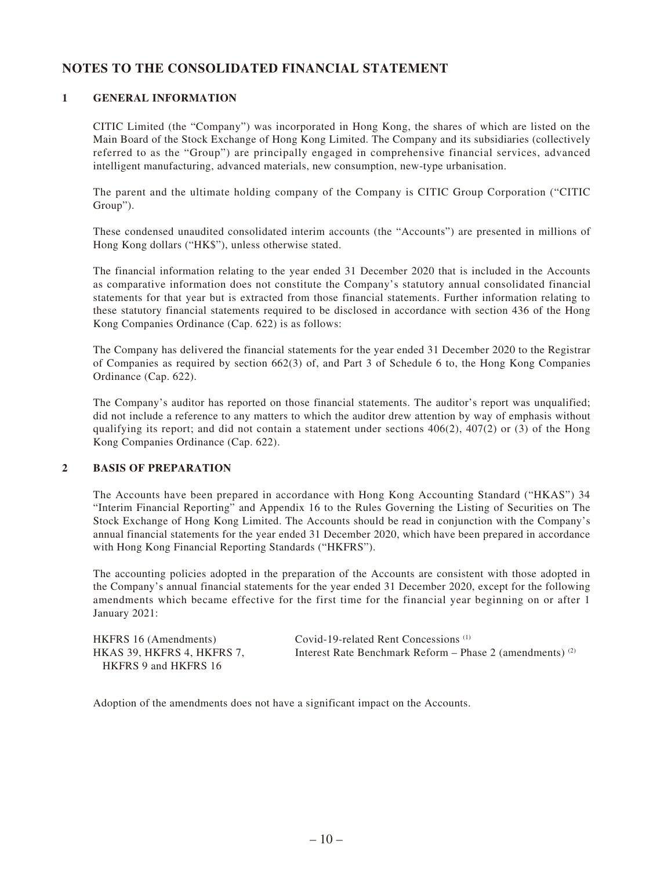## **NOTES TO THE CONSOLIDATED FINANCIAL STATEMENT**

### **1 GENERAL INFORMATION**

CITIC Limited (the "Company") was incorporated in Hong Kong, the shares of which are listed on the Main Board of the Stock Exchange of Hong Kong Limited. The Company and its subsidiaries (collectively referred to as the "Group") are principally engaged in comprehensive financial services, advanced intelligent manufacturing, advanced materials, new consumption, new-type urbanisation.

The parent and the ultimate holding company of the Company is CITIC Group Corporation ("CITIC Group").

These condensed unaudited consolidated interim accounts (the "Accounts") are presented in millions of Hong Kong dollars ("HK\$"), unless otherwise stated.

The financial information relating to the year ended 31 December 2020 that is included in the Accounts as comparative information does not constitute the Company's statutory annual consolidated financial statements for that year but is extracted from those financial statements. Further information relating to these statutory financial statements required to be disclosed in accordance with section 436 of the Hong Kong Companies Ordinance (Cap. 622) is as follows:

The Company has delivered the financial statements for the year ended 31 December 2020 to the Registrar of Companies as required by section 662(3) of, and Part 3 of Schedule 6 to, the Hong Kong Companies Ordinance (Cap. 622).

The Company's auditor has reported on those financial statements. The auditor's report was unqualified; did not include a reference to any matters to which the auditor drew attention by way of emphasis without qualifying its report; and did not contain a statement under sections  $406(2)$ ,  $407(2)$  or (3) of the Hong Kong Companies Ordinance (Cap. 622).

### **2 BASIS OF PREPARATION**

The Accounts have been prepared in accordance with Hong Kong Accounting Standard ("HKAS") 34 "Interim Financial Reporting" and Appendix 16 to the Rules Governing the Listing of Securities on The Stock Exchange of Hong Kong Limited. The Accounts should be read in conjunction with the Company's annual financial statements for the year ended 31 December 2020, which have been prepared in accordance with Hong Kong Financial Reporting Standards ("HKFRS").

The accounting policies adopted in the preparation of the Accounts are consistent with those adopted in the Company's annual financial statements for the year ended 31 December 2020, except for the following amendments which became effective for the first time for the financial year beginning on or after 1 January 2021:

HKAS 39, HKFRS 4, HKFRS 7, HKFRS 9 and HKFRS 16

HKFRS 16 (Amendments) Covid-19-related Rent Concessions (1) Interest Rate Benchmark Reform – Phase 2 (amendments) (2)

Adoption of the amendments does not have a significant impact on the Accounts.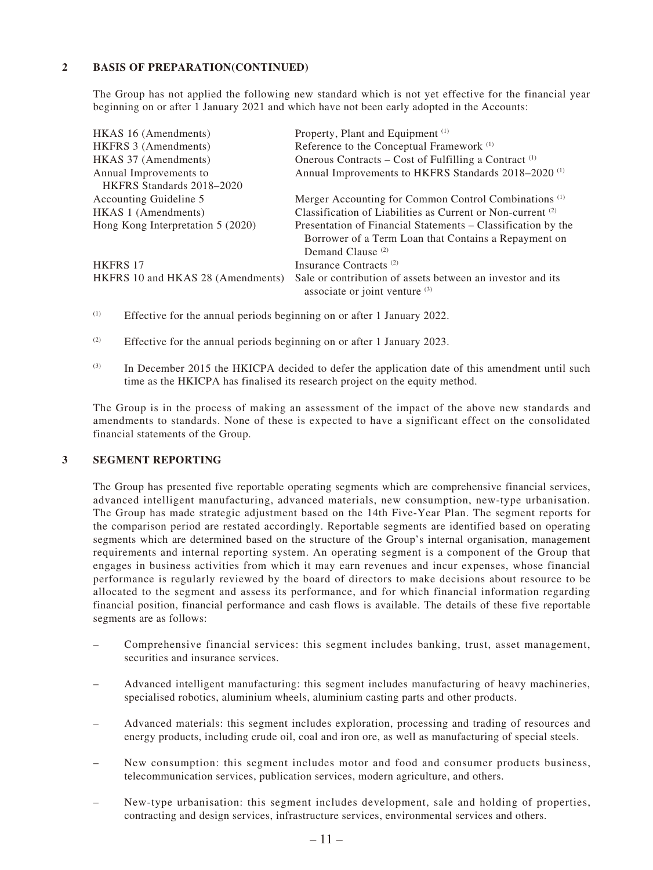### **2 BASIS OF PREPARATION(CONTINUED)**

The Group has not applied the following new standard which is not yet effective for the financial year beginning on or after 1 January 2021 and which have not been early adopted in the Accounts:

| HKAS 16 (Amendments)              | Property, Plant and Equipment <sup>(1)</sup>                                                                                                         |
|-----------------------------------|------------------------------------------------------------------------------------------------------------------------------------------------------|
| HKFRS 3 (Amendments)              | Reference to the Conceptual Framework <sup>(1)</sup>                                                                                                 |
| HKAS 37 (Amendments)              | Onerous Contracts – Cost of Fulfilling a Contract <sup>(1)</sup>                                                                                     |
| Annual Improvements to            | Annual Improvements to HKFRS Standards 2018-2020 <sup>(1)</sup>                                                                                      |
| HKFRS Standards 2018–2020         |                                                                                                                                                      |
| Accounting Guideline 5            | Merger Accounting for Common Control Combinations <sup>(1)</sup>                                                                                     |
| HKAS 1 (Amendments)               | Classification of Liabilities as Current or Non-current <sup>(2)</sup>                                                                               |
| Hong Kong Interpretation 5 (2020) | Presentation of Financial Statements – Classification by the<br>Borrower of a Term Loan that Contains a Repayment on<br>Demand Clause <sup>(2)</sup> |
| <b>HKFRS 17</b>                   | Insurance Contracts <sup>(2)</sup>                                                                                                                   |
| HKFRS 10 and HKAS 28 (Amendments) | Sale or contribution of assets between an investor and its<br>associate or joint venture (3)                                                         |

- (1) Effective for the annual periods beginning on or after 1 January 2022.
- (2) Effective for the annual periods beginning on or after 1 January 2023.
- (3) In December 2015 the HKICPA decided to defer the application date of this amendment until such time as the HKICPA has finalised its research project on the equity method.

The Group is in the process of making an assessment of the impact of the above new standards and amendments to standards. None of these is expected to have a significant effect on the consolidated financial statements of the Group.

#### **3 SEGMENT REPORTING**

The Group has presented five reportable operating segments which are comprehensive financial services, advanced intelligent manufacturing, advanced materials, new consumption, new-type urbanisation. The Group has made strategic adjustment based on the 14th Five-Year Plan. The segment reports for the comparison period are restated accordingly. Reportable segments are identified based on operating segments which are determined based on the structure of the Group's internal organisation, management requirements and internal reporting system. An operating segment is a component of the Group that engages in business activities from which it may earn revenues and incur expenses, whose financial performance is regularly reviewed by the board of directors to make decisions about resource to be allocated to the segment and assess its performance, and for which financial information regarding financial position, financial performance and cash flows is available. The details of these five reportable segments are as follows:

- Comprehensive financial services: this segment includes banking, trust, asset management, securities and insurance services.
- Advanced intelligent manufacturing: this segment includes manufacturing of heavy machineries, specialised robotics, aluminium wheels, aluminium casting parts and other products.
- Advanced materials: this segment includes exploration, processing and trading of resources and energy products, including crude oil, coal and iron ore, as well as manufacturing of special steels.
- New consumption: this segment includes motor and food and consumer products business, telecommunication services, publication services, modern agriculture, and others.
- New-type urbanisation: this segment includes development, sale and holding of properties, contracting and design services, infrastructure services, environmental services and others.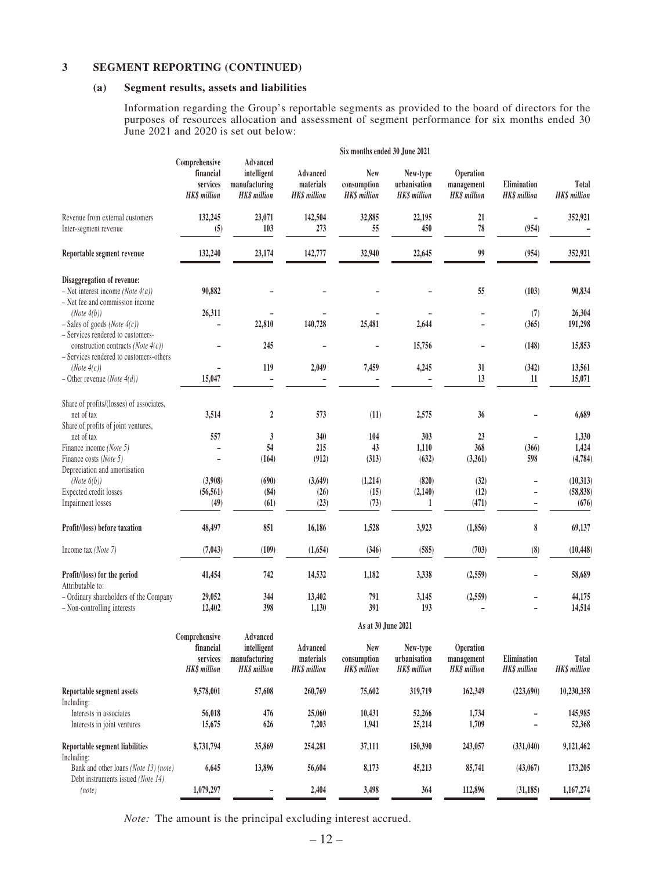### **3 SEGMENT REPORTING (CONTINUED)**

#### **(a) Segment results, assets and liabilities**

Information regarding the Group's reportable segments as provided to the board of directors for the purposes of resources allocation and assessment of segment performance for six months ended 30 June 2021 and 2020 is set out below:

|                                                                                  | Six months ended 30 June 2021                                 |                                                                 |                                                     |                                                  |                                                 |                                                |                                    |                             |
|----------------------------------------------------------------------------------|---------------------------------------------------------------|-----------------------------------------------------------------|-----------------------------------------------------|--------------------------------------------------|-------------------------------------------------|------------------------------------------------|------------------------------------|-----------------------------|
|                                                                                  | Comprehensive<br>financial<br>services<br><b>HK\$</b> million | Advanced<br>intelligent<br>manufacturing<br><b>HK\$</b> million | <b>Advanced</b><br>materials<br><b>HK\$</b> million | <b>New</b><br>consumption<br><b>HK\$</b> million | New-type<br>urbanisation<br><b>HK\$</b> million | Operation<br>management<br><b>HK\$</b> million | Elimination<br><b>HK\$</b> million | Total<br><b>HKS</b> million |
| Revenue from external customers<br>Inter-segment revenue                         | 132,245<br>(5)                                                | 23,071<br>103                                                   | 142,504<br>273                                      | 32,885<br>55                                     | 22,195<br>450                                   | 21<br>78                                       | (954)                              | 352,921                     |
| Reportable segment revenue                                                       | 132,240                                                       | 23,174                                                          | 142,777                                             | 32,940                                           | 22,645                                          | 99                                             | (954)                              | 352,921                     |
| Disaggregation of revenue:                                                       |                                                               |                                                                 |                                                     |                                                  |                                                 |                                                |                                    |                             |
| - Net interest income (Note $4(a)$ )                                             | 90,882                                                        |                                                                 |                                                     |                                                  |                                                 | 55                                             | (103)                              | 90,834                      |
| - Net fee and commission income                                                  | 26,311                                                        |                                                                 |                                                     |                                                  |                                                 |                                                |                                    | 26,304                      |
| (Note4(b))<br>$-$ Sales of goods (Note 4(c))                                     |                                                               | 22,810                                                          | 140,728                                             | 25,481                                           | 2,644                                           |                                                | (7)<br>(365)                       | 191,298                     |
| - Services rendered to customers-                                                |                                                               |                                                                 |                                                     |                                                  |                                                 |                                                |                                    |                             |
| construction contracts (Note $4(c)$ )<br>- Services rendered to customers-others |                                                               | 245                                                             |                                                     |                                                  | 15,756                                          |                                                | (148)                              | 15,853                      |
| (Note4(c))                                                                       |                                                               | 119                                                             | 2,049                                               | 7,459                                            | 4,245                                           | 31                                             | (342)                              | 13,561                      |
| $-$ Other revenue (Note 4(d))                                                    | 15,047                                                        |                                                                 |                                                     |                                                  |                                                 | 13                                             | 11                                 | 15,071                      |
| Share of profits/(losses) of associates,                                         |                                                               |                                                                 |                                                     |                                                  |                                                 |                                                |                                    |                             |
| net of tax                                                                       | 3,514                                                         | $\sqrt{2}$                                                      | 573                                                 | (11)                                             | 2,575                                           | 36                                             |                                    | 6,689                       |
| Share of profits of joint ventures,                                              |                                                               |                                                                 |                                                     |                                                  |                                                 |                                                |                                    |                             |
| net of tax                                                                       | 557                                                           | $\mathfrak{z}$<br>54                                            | 340                                                 | 104                                              | 303                                             | 23<br>368                                      |                                    | 1,330                       |
| Finance income (Note 5)                                                          | L,                                                            |                                                                 | 215<br>(912)                                        | 43<br>(313)                                      | 1,110                                           |                                                | (366)<br>598                       | 1,424<br>(4,784)            |
| Finance costs (Note 5)<br>Depreciation and amortisation                          |                                                               | (164)                                                           |                                                     |                                                  | (632)                                           | (3,361)                                        |                                    |                             |
| (Note 6(b))                                                                      | (3,908)                                                       | (690)                                                           | (3,649)                                             | (1,214)                                          | (820)                                           | (32)                                           |                                    | (10,313)                    |
| Expected credit losses                                                           | (56, 561)                                                     | (84)                                                            | (26)                                                | (15)                                             | (2, 140)                                        | (12)                                           |                                    | (58, 838)                   |
| Impairment losses                                                                | (49)                                                          | (61)                                                            | (23)                                                | (73)                                             | 1                                               | (471)                                          | $\overline{\phantom{a}}$           | (676)                       |
|                                                                                  |                                                               |                                                                 |                                                     |                                                  |                                                 |                                                |                                    |                             |
| Profit/(loss) before taxation                                                    | 48,497                                                        | 851                                                             | 16,186                                              | 1,528                                            | 3,923                                           | (1, 856)                                       | 8                                  | 69,137                      |
| Income tax (Note 7)                                                              | (7, 043)                                                      | (109)                                                           | (1,654)                                             | (346)                                            | (585)                                           | (703)                                          | (8)                                | (10, 448)                   |
| Profit/(loss) for the period                                                     | 41,454                                                        | 742                                                             | 14,532                                              | 1,182                                            | 3,338                                           | (2,559)                                        | ÷,                                 | 58,689                      |
| Attributable to:                                                                 |                                                               |                                                                 |                                                     |                                                  |                                                 |                                                |                                    |                             |
| - Ordinary shareholders of the Company                                           | 29,052                                                        | 344                                                             | 13,402                                              | 791                                              | 3,145                                           | (2,559)                                        |                                    | 44,175                      |
| - Non-controlling interests                                                      | 12,402                                                        | 398                                                             | 1,130                                               | 391                                              | 193                                             |                                                |                                    | 14,514                      |
|                                                                                  |                                                               |                                                                 |                                                     | As at 30 June 2021                               |                                                 |                                                |                                    |                             |
|                                                                                  | Comprehensive<br>financial                                    | Advanced<br>intelligent                                         |                                                     | <b>New</b>                                       |                                                 |                                                |                                    |                             |
|                                                                                  | services                                                      | manufacturing                                                   | Advanced<br>materials                               | consumption                                      | New-type<br>urbanisation                        | Operation<br>management                        | Elimination                        | Total                       |
|                                                                                  | <b>HKS</b> million                                            | <b>HKS</b> million                                              | <b>HKS</b> million                                  | <b>HK\$</b> million                              | <b>HKS</b> million                              | <b>HK\$</b> million                            | <b>HKS</b> million                 | <b>HK\$</b> million         |
|                                                                                  |                                                               |                                                                 |                                                     |                                                  |                                                 |                                                |                                    |                             |

| 9,578,001 | 57,608           | 260,769    | 75,602          | 319,719         | 162,349          | (223, 690) | 10,230,358 |
|-----------|------------------|------------|-----------------|-----------------|------------------|------------|------------|
|           |                  |            |                 |                 |                  |            | 145,985    |
|           |                  |            |                 |                 |                  |            |            |
|           |                  |            |                 |                 | 1.709            |            | 52,368     |
| 8,731,794 | 35,869           | 254,281    | 37,111          | 150,390         | 243,057          | (331,040)  | 9,121,462  |
|           |                  |            |                 |                 |                  |            |            |
| 6,645     | 13.896           | 56,604     | 8,173           | 45,213          | 85,741           | (43,067)   | 173,205    |
|           |                  |            |                 |                 |                  |            |            |
| 1,079,297 | -                | 2,404      | 3,498           | 364             | 112,896          | (31, 185)  | 1,167,274  |
|           | 56,018<br>15,675 | 476<br>626 | 25,060<br>7,203 | 10.431<br>1,941 | 52,266<br>25,214 | 1.734      |            |

*Note:* The amount is the principal excluding interest accrued.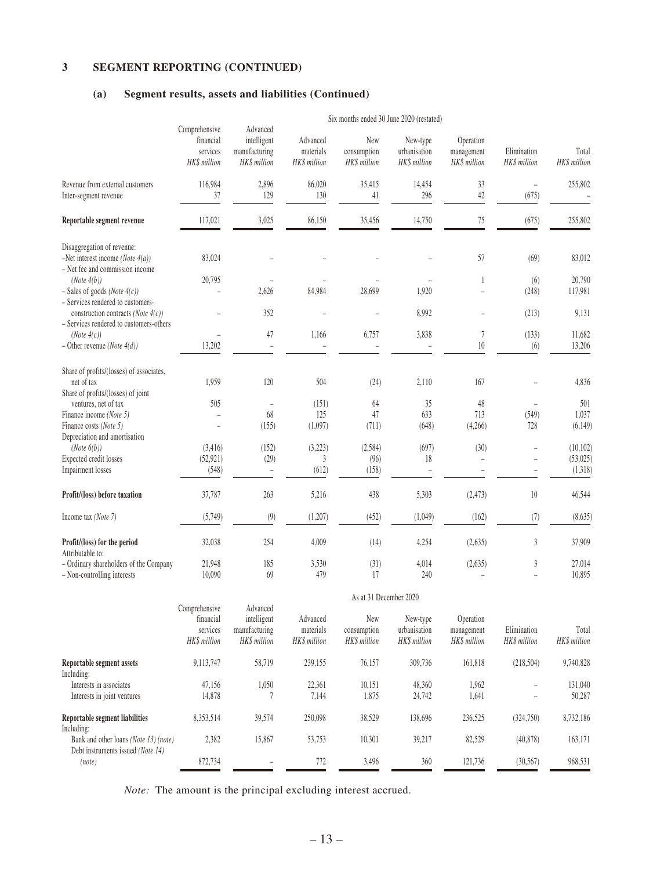### **3 SEGMENT REPORTING (CONTINUED)**

### **(a) Segment results, assets and liabilities (Continued)**

|                                                                                                                       | Six months ended 30 June 2020 (restated)               |                                                          |                                       |                                    |                                          |                                         |                             |                       |  |
|-----------------------------------------------------------------------------------------------------------------------|--------------------------------------------------------|----------------------------------------------------------|---------------------------------------|------------------------------------|------------------------------------------|-----------------------------------------|-----------------------------|-----------------------|--|
|                                                                                                                       | Comprehensive<br>financial<br>services<br>HK\$ million | Advanced<br>intelligent<br>manufacturing<br>HK\$ million | Advanced<br>materials<br>HK\$ million | New<br>consumption<br>HK\$ million | New-type<br>urbanisation<br>HK\$ million | Operation<br>management<br>HK\$ million | Elimination<br>HK\$ million | Total<br>HK\$ million |  |
| Revenue from external customers<br>Inter-segment revenue                                                              | 116,984<br>37                                          | 2,896<br>129                                             | 86,020<br>130                         | 35,415<br>41                       | 14,454<br>296                            | 33<br>42                                | $\overline{a}$<br>(675)     | 255,802               |  |
| Reportable segment revenue                                                                                            | 117,021                                                | 3,025                                                    | 86,150                                | 35,456                             | 14,750                                   | 75                                      | (675)                       | 255,802               |  |
| Disaggregation of revenue:                                                                                            |                                                        |                                                          |                                       |                                    |                                          |                                         |                             |                       |  |
| -Net interest income (Note $4(a)$ )<br>- Net fee and commission income                                                | 83,024                                                 |                                                          |                                       |                                    |                                          | 57                                      | (69)                        | 83,012                |  |
| (Note 4(b))                                                                                                           | 20,795                                                 |                                                          |                                       |                                    |                                          | $\mathbf{1}$                            | (6)                         | 20,790                |  |
| $-$ Sales of goods (Note $4(c)$ )                                                                                     |                                                        | 2,626                                                    | 84,984                                | 28,699                             | 1,920                                    |                                         | (248)                       | 117,981               |  |
| - Services rendered to customers-<br>construction contracts (Note $4(c)$ )<br>- Services rendered to customers-others |                                                        | 352                                                      |                                       |                                    | 8,992                                    |                                         | (213)                       | 9,131                 |  |
| (Note4(c))                                                                                                            |                                                        | 47                                                       | 1,166                                 | 6,757                              | 3,838                                    | $\boldsymbol{7}$                        | (133)                       | 11,682                |  |
| $-$ Other revenue (Note 4(d))                                                                                         | 13,202                                                 |                                                          |                                       |                                    |                                          | $10\,$                                  | (6)                         | 13,206                |  |
| Share of profits/(losses) of associates,<br>net of tax                                                                | 1,959                                                  | 120                                                      | 504                                   | (24)                               | 2,110                                    | 167                                     |                             | 4,836                 |  |
| Share of profits/(losses) of joint                                                                                    |                                                        |                                                          |                                       |                                    |                                          |                                         |                             |                       |  |
| ventures, net of tax                                                                                                  | 505                                                    | $\overline{a}$                                           | (151)                                 | 64                                 | 35                                       | 48                                      |                             | 501                   |  |
| Finance income (Note 5)                                                                                               |                                                        | 68                                                       | 125                                   | 47                                 | 633                                      | 713                                     | (549)                       | 1,037                 |  |
| Finance costs (Note 5)                                                                                                |                                                        | (155)                                                    | (1,097)                               | (711)                              | (648)                                    | (4,266)                                 | 728                         | (6, 149)              |  |
| Depreciation and amortisation                                                                                         |                                                        |                                                          |                                       |                                    |                                          |                                         |                             |                       |  |
| (Note 6(b))<br>Expected credit losses                                                                                 | (3, 416)<br>(52, 921)                                  | (152)<br>(29)                                            | (3,223)<br>3                          | (2, 584)<br>(96)                   | (697)<br>18                              | (30)<br>-                               | L,                          | (10, 102)<br>(53,025) |  |
| Impairment losses                                                                                                     | (548)                                                  | $\overline{a}$                                           | (612)                                 | (158)                              |                                          |                                         |                             | (1,318)               |  |
| Profit/(loss) before taxation                                                                                         | 37,787                                                 | 263                                                      | 5,216                                 | 438                                | 5,303                                    | (2, 473)                                | 10                          | 46,544                |  |
| Income tax (Note 7)                                                                                                   | (5,749)                                                | (9)                                                      | (1,207)                               | (452)                              | (1,049)                                  | (162)                                   | (7)                         | (8, 635)              |  |
| Profit/(loss) for the period                                                                                          | 32,038                                                 | 254                                                      | 4,009                                 | (14)                               | 4,254                                    | (2,635)                                 | 3                           | 37,909                |  |
| Attributable to:<br>- Ordinary shareholders of the Company                                                            | 21,948                                                 | 185                                                      | 3,530                                 | (31)                               | 4,014                                    | (2,635)                                 | 3                           | 27,014                |  |
| - Non-controlling interests                                                                                           | 10,090                                                 | 69                                                       | 479                                   | 17                                 | 240                                      |                                         |                             | 10,895                |  |
|                                                                                                                       | As at 31 December 2020                                 |                                                          |                                       |                                    |                                          |                                         |                             |                       |  |
|                                                                                                                       | Comprehensive                                          | Advanced                                                 |                                       |                                    |                                          |                                         |                             |                       |  |
|                                                                                                                       | financial                                              | intelligent                                              | Advanced                              | New                                | New-type                                 | Operation                               |                             |                       |  |
|                                                                                                                       | services<br>HK\$ million                               | manufacturing<br>HK\$ million                            | materials<br>HK\$ million             | consumption<br>HK\$ million        | urbanisation<br>HK\$ million             | management<br>HK\$ million              | Elimination<br>HK\$ million | Total<br>HK\$ million |  |
| Reportable segment assets<br>Including:                                                                               | 9,113,747                                              | 58,719                                                   | 239,155                               | 76,157                             | 309,736                                  | 161,818                                 | (218, 504)                  | 9,740,828             |  |
| Interests in associates                                                                                               | 47,156                                                 | 1,050                                                    | 22,361                                | 10,151                             | 48,360                                   | 1,962                                   |                             | 131,040               |  |
| Interests in joint ventures                                                                                           | 14,878                                                 | 7                                                        | 7,144                                 | 1,875                              | 24,742                                   | 1,641                                   |                             | 50,287                |  |
| Reportable segment liabilities<br>Including:                                                                          | 8,353,514                                              | 39,574                                                   | 250,098                               | 38,529                             | 138,696                                  | 236,525                                 | (324,750)                   | 8,732,186             |  |
| Bank and other loans (Note 13) (note)                                                                                 | 2,382                                                  | 15,867                                                   | 53,753                                | 10,301                             | 39,217                                   | 82,529                                  | (40, 878)                   | 163,171               |  |

Six months ended 30 June 2020 (restated)

*Note:* The amount is the principal excluding interest accrued.

Debt instruments issued *(Note 14)* 

*(note)* 872,734 – 772 3,496 360 121,736 (30,567) 968,531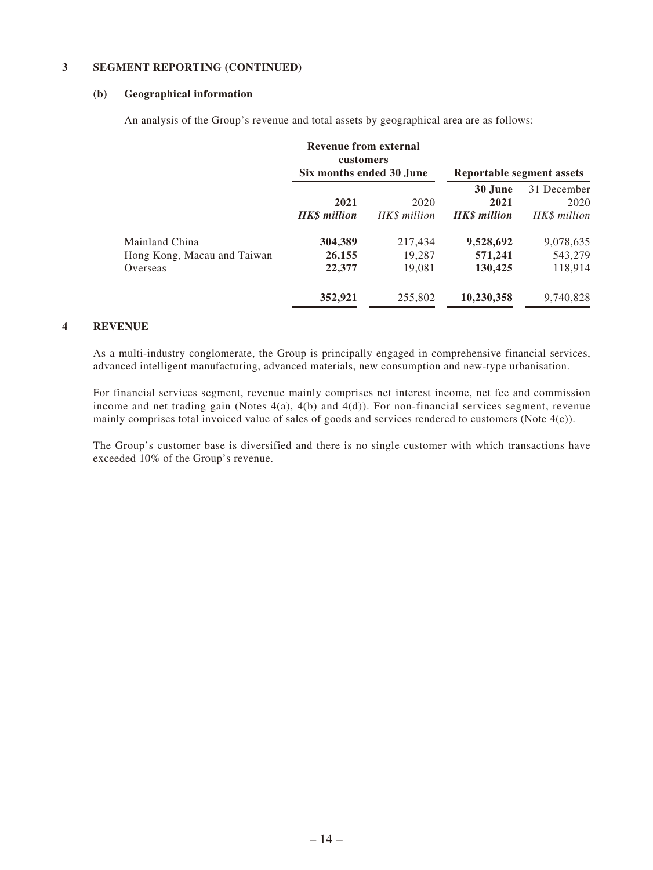### **3 SEGMENT REPORTING (CONTINUED)**

#### **(b) Geographical information**

An analysis of the Group's revenue and total assets by geographical area are as follows:

|                                                           | Revenue from external<br><b>customers</b><br>Six months ended 30 June |                                        | Reportable segment assets                     |                                              |
|-----------------------------------------------------------|-----------------------------------------------------------------------|----------------------------------------|-----------------------------------------------|----------------------------------------------|
|                                                           | 2021<br><b>HKS</b> million                                            | 2020<br>HK\$ million                   | 30 June<br>2021<br><b>HKS</b> million         | 31 December<br>2020<br>HK\$ million          |
| Mainland China<br>Hong Kong, Macau and Taiwan<br>Overseas | 304,389<br>26,155<br>22,377<br>352,921                                | 217,434<br>19,287<br>19,081<br>255,802 | 9,528,692<br>571,241<br>130,425<br>10,230,358 | 9,078,635<br>543,279<br>118,914<br>9.740.828 |

### **4 REVENUE**

As a multi-industry conglomerate, the Group is principally engaged in comprehensive financial services, advanced intelligent manufacturing, advanced materials, new consumption and new-type urbanisation.

For financial services segment, revenue mainly comprises net interest income, net fee and commission income and net trading gain (Notes  $4(a)$ ,  $4(b)$  and  $4(d)$ ). For non-financial services segment, revenue mainly comprises total invoiced value of sales of goods and services rendered to customers (Note 4(c)).

The Group's customer base is diversified and there is no single customer with which transactions have exceeded 10% of the Group's revenue.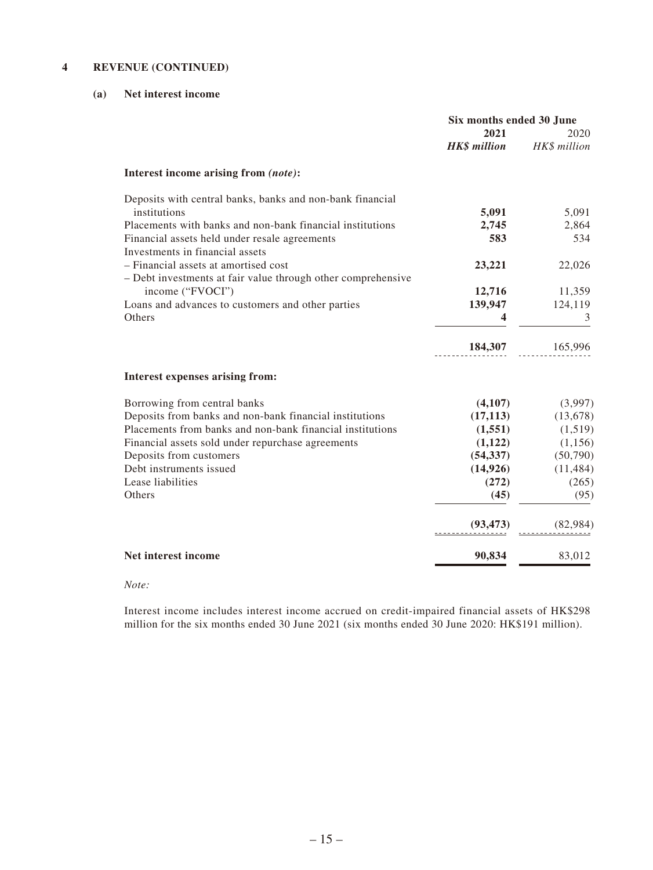### **4 REVENUE (CONTINUED)**

### **(a) Net interest income**

|                                                              | Six months ended 30 June |              |  |
|--------------------------------------------------------------|--------------------------|--------------|--|
|                                                              | 2021                     | 2020         |  |
|                                                              | <b>HK\$</b> million      | HK\$ million |  |
| Interest income arising from (note):                         |                          |              |  |
| Deposits with central banks, banks and non-bank financial    |                          |              |  |
| institutions                                                 | 5,091                    | 5,091        |  |
| Placements with banks and non-bank financial institutions    | 2,745                    | 2,864        |  |
| Financial assets held under resale agreements                | 583                      | 534          |  |
| Investments in financial assets                              |                          |              |  |
| - Financial assets at amortised cost                         | 23,221                   | 22,026       |  |
| - Debt investments at fair value through other comprehensive |                          |              |  |
| income ("FVOCI")                                             | 12,716                   | 11,359       |  |
| Loans and advances to customers and other parties            | 139,947                  | 124,119      |  |
| Others                                                       | 4                        | 3            |  |
|                                                              | 184,307                  | 165,996      |  |
| Interest expenses arising from:                              |                          |              |  |
| Borrowing from central banks                                 | (4,107)                  | (3,997)      |  |
| Deposits from banks and non-bank financial institutions      | (17, 113)                | (13, 678)    |  |
| Placements from banks and non-bank financial institutions    | (1, 551)                 | (1,519)      |  |
| Financial assets sold under repurchase agreements            | (1,122)                  | (1,156)      |  |
| Deposits from customers                                      | (54, 337)                | (50,790)     |  |
| Debt instruments issued                                      | (14, 926)                | (11, 484)    |  |
| Lease liabilities                                            | (272)                    | (265)        |  |
| Others                                                       | (45)                     | (95)         |  |
|                                                              | (93, 473)                | (82,984)     |  |
| Net interest income                                          | 90,834                   | 83,012       |  |
|                                                              |                          |              |  |

#### *Note:*

Interest income includes interest income accrued on credit-impaired financial assets of HK\$298 million for the six months ended 30 June 2021 (six months ended 30 June 2020: HK\$191 million).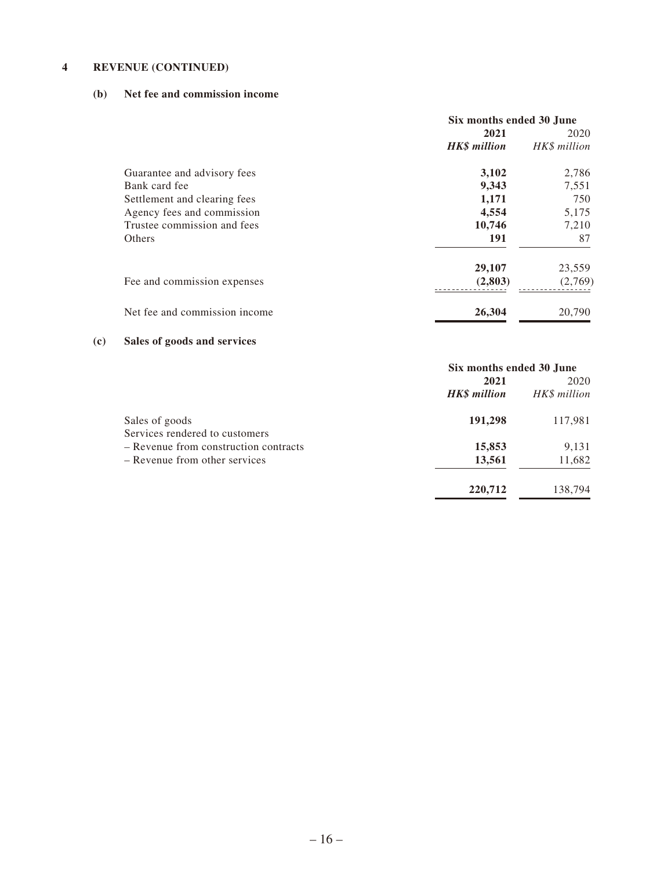### **4 REVENUE (CONTINUED)**

### **(b) Net fee and commission income**

|                               | Six months ended 30 June |              |  |
|-------------------------------|--------------------------|--------------|--|
|                               | 2021                     | 2020         |  |
|                               | <b>HK\$</b> million      | HK\$ million |  |
| Guarantee and advisory fees   | 3,102                    | 2,786        |  |
| Bank card fee                 | 9,343                    | 7,551        |  |
| Settlement and clearing fees  | 1,171                    | 750          |  |
| Agency fees and commission    | 4,554                    | 5,175        |  |
| Trustee commission and fees   | 10,746                   | 7,210        |  |
| Others                        | 191                      | 87           |  |
|                               | 29,107                   | 23,559       |  |
| Fee and commission expenses   | (2,803)                  | (2,769)      |  |
| Net fee and commission income | 26,304                   | 20,790       |  |

### **(c) Sales of goods and services**

|                                       | Six months ended 30 June |              |
|---------------------------------------|--------------------------|--------------|
|                                       | 2021                     | 2020         |
|                                       | <b>HK\$</b> million      | HK\$ million |
| Sales of goods                        | 191,298                  | 117,981      |
| Services rendered to customers        |                          |              |
| - Revenue from construction contracts | 15,853                   | 9,131        |
| - Revenue from other services         | 13,561                   | 11,682       |
|                                       | 220,712                  | 138,794      |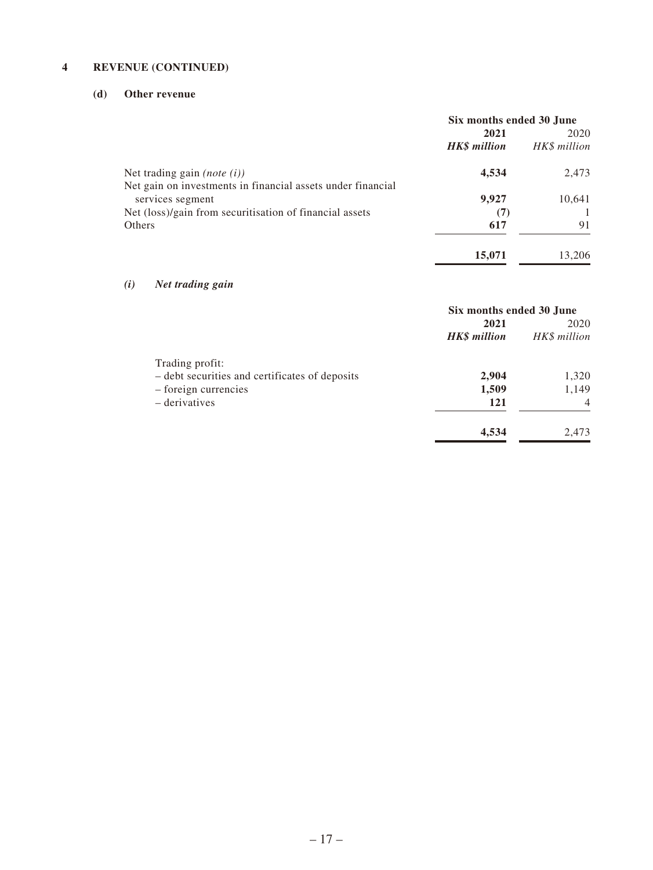### **4 REVENUE (CONTINUED)**

### **(d) Other revenue**

|                                                             | Six months ended 30 June |              |
|-------------------------------------------------------------|--------------------------|--------------|
|                                                             | 2021                     | 2020         |
|                                                             | <b>HK\$</b> million      | HK\$ million |
| Net trading gain ( <i>note</i> $(i)$ )                      | 4,534                    | 2,473        |
| Net gain on investments in financial assets under financial |                          |              |
| services segment                                            | 9,927                    | 10,641       |
| Net (loss)/gain from securitisation of financial assets     | (7)                      |              |
| Others                                                      | 617                      | 91           |
|                                                             | 15,071                   | 13,206       |

### *(i) Net trading gain*

|                                                | Six months ended 30 June |                |
|------------------------------------------------|--------------------------|----------------|
|                                                | 2021                     | 2020           |
|                                                | <b>HK\$</b> million      | HK\$ million   |
| Trading profit:                                |                          |                |
| - debt securities and certificates of deposits | 2,904                    | 1,320          |
| - foreign currencies                           | 1,509                    | 1,149          |
| – derivatives                                  | 121                      | $\overline{4}$ |
|                                                | 4,534                    | 2,473          |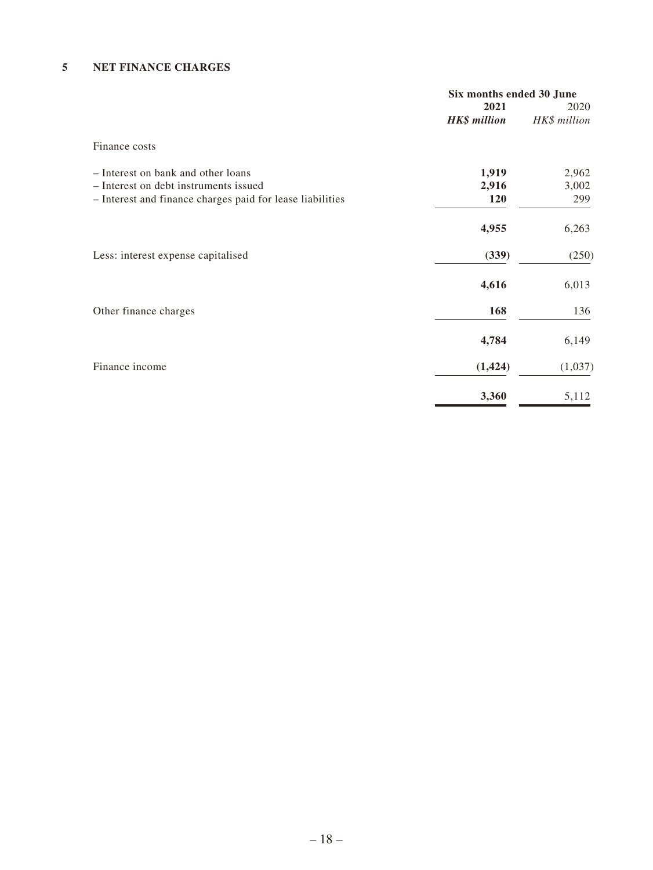### **5 NET FINANCE CHARGES**

|                                                           | Six months ended 30 June |              |
|-----------------------------------------------------------|--------------------------|--------------|
|                                                           | 2021                     | 2020         |
|                                                           | <b>HK\$</b> million      | HK\$ million |
| Finance costs                                             |                          |              |
| - Interest on bank and other loans                        | 1,919                    | 2,962        |
| - Interest on debt instruments issued                     | 2,916                    | 3,002        |
| - Interest and finance charges paid for lease liabilities | <b>120</b>               | 299          |
|                                                           | 4,955                    | 6,263        |
| Less: interest expense capitalised                        | (339)                    | (250)        |
|                                                           | 4,616                    | 6,013        |
| Other finance charges                                     | 168                      | 136          |
|                                                           | 4,784                    | 6,149        |
| Finance income                                            | (1, 424)                 | (1,037)      |
|                                                           | 3,360                    | 5,112        |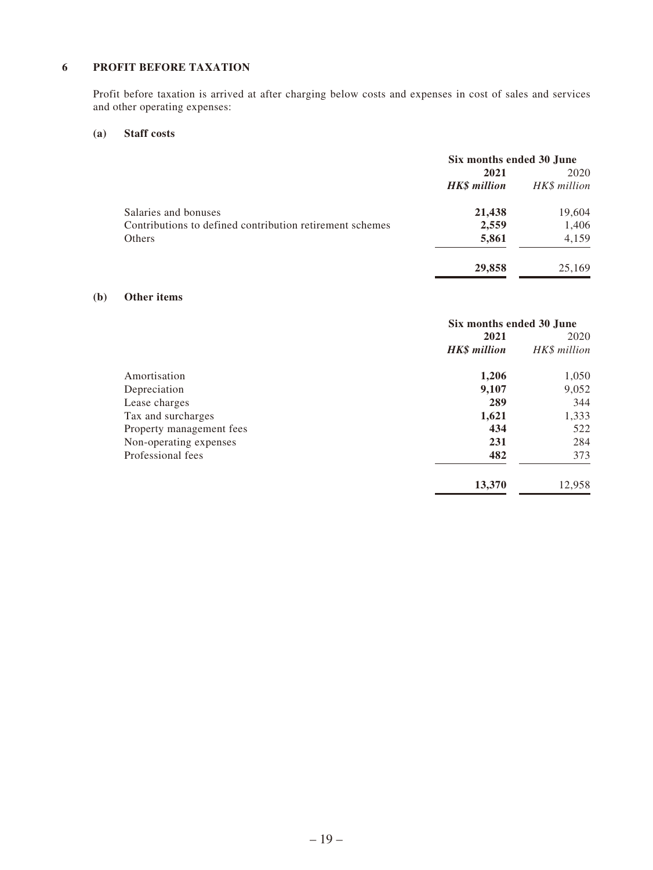### **6 PROFIT BEFORE TAXATION**

Profit before taxation is arrived at after charging below costs and expenses in cost of sales and services and other operating expenses:

### **(a) Staff costs**

|                                                          | Six months ended 30 June |              |
|----------------------------------------------------------|--------------------------|--------------|
|                                                          | 2021                     | 2020         |
|                                                          | <b>HK\$</b> million      | HK\$ million |
| Salaries and bonuses                                     | 21,438                   | 19,604       |
| Contributions to defined contribution retirement schemes | 2,559                    | 1,406        |
| <b>Others</b>                                            | 5,861                    | 4,159        |
|                                                          | 29,858                   | 25,169       |

#### **(b) Other items**

|                          | Six months ended 30 June |              |
|--------------------------|--------------------------|--------------|
|                          | 2021                     | 2020         |
|                          | <b>HK\$</b> million      | HK\$ million |
| Amortisation             | 1,206                    | 1,050        |
| Depreciation             | 9,107                    | 9,052        |
| Lease charges            | 289                      | 344          |
| Tax and surcharges       | 1,621                    | 1,333        |
| Property management fees | 434                      | 522          |
| Non-operating expenses   | 231                      | 284          |
| Professional fees        | 482                      | 373          |
|                          | 13,370                   | 12,958       |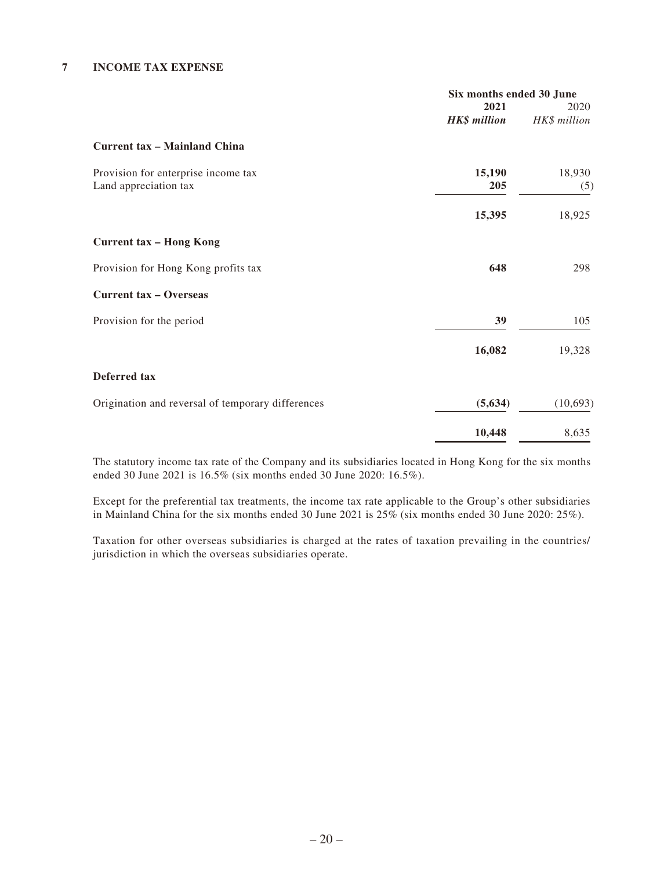#### **7 INCOME TAX EXPENSE**

|                                                   | Six months ended 30 June |              |
|---------------------------------------------------|--------------------------|--------------|
|                                                   | 2021                     | 2020         |
|                                                   | <b>HK\$</b> million      | HK\$ million |
| <b>Current tax - Mainland China</b>               |                          |              |
| Provision for enterprise income tax               | 15,190                   | 18,930       |
| Land appreciation tax                             | 205                      | (5)          |
|                                                   | 15,395                   | 18,925       |
| <b>Current tax - Hong Kong</b>                    |                          |              |
| Provision for Hong Kong profits tax               | 648                      | 298          |
| <b>Current tax - Overseas</b>                     |                          |              |
| Provision for the period                          | 39                       | 105          |
|                                                   | 16,082                   | 19,328       |
| Deferred tax                                      |                          |              |
| Origination and reversal of temporary differences | (5,634)                  | (10,693)     |
|                                                   | 10,448                   | 8,635        |

The statutory income tax rate of the Company and its subsidiaries located in Hong Kong for the six months ended 30 June 2021 is 16.5% (six months ended 30 June 2020: 16.5%).

Except for the preferential tax treatments, the income tax rate applicable to the Group's other subsidiaries in Mainland China for the six months ended 30 June 2021 is 25% (six months ended 30 June 2020: 25%).

Taxation for other overseas subsidiaries is charged at the rates of taxation prevailing in the countries/ jurisdiction in which the overseas subsidiaries operate.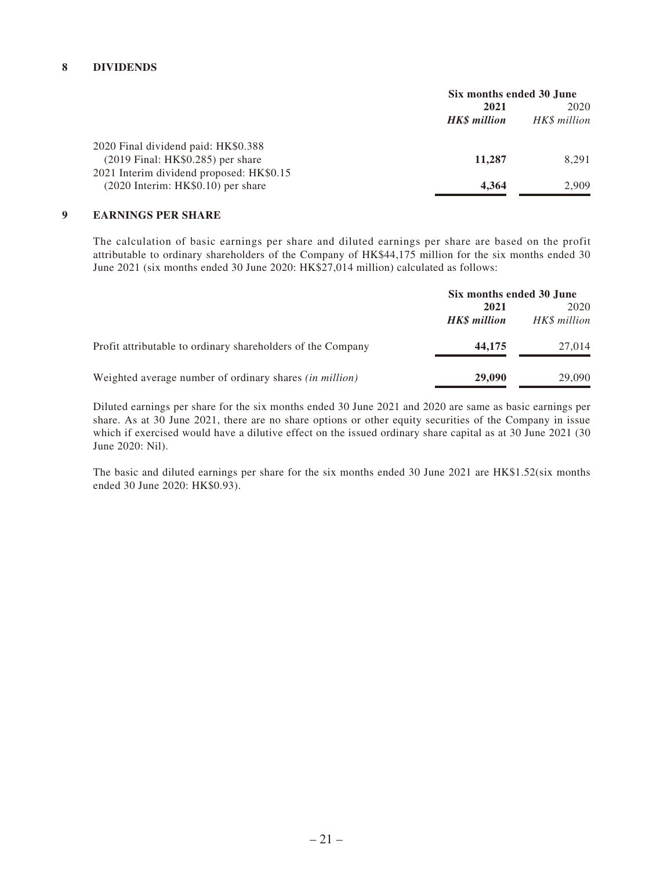### **8 DIVIDENDS**

|                                           | Six months ended 30 June |              |
|-------------------------------------------|--------------------------|--------------|
|                                           | 2021                     | 2020         |
|                                           | <b>HKS</b> million       | HK\$ million |
| 2020 Final dividend paid: HK\$0.388       |                          |              |
| $(2019 \text{ Final: HK$0.285) per share$ | 11,287                   | 8,291        |
| 2021 Interim dividend proposed: HK\$0.15  |                          |              |
| $(2020$ Interim: HK\$0.10) per share      | 4.364                    | 2.909        |

#### **9 EARNINGS PER SHARE**

The calculation of basic earnings per share and diluted earnings per share are based on the profit attributable to ordinary shareholders of the Company of HK\$44,175 million for the six months ended 30 June 2021 (six months ended 30 June 2020: HK\$27,014 million) calculated as follows:

|                                                                | Six months ended 30 June    |                      |
|----------------------------------------------------------------|-----------------------------|----------------------|
|                                                                | 2021<br><b>HK\$</b> million | 2020<br>HK\$ million |
| Profit attributable to ordinary shareholders of the Company    | 44,175                      | 27,014               |
| Weighted average number of ordinary shares <i>(in million)</i> | 29,090                      | 29,090               |

Diluted earnings per share for the six months ended 30 June 2021 and 2020 are same as basic earnings per share. As at 30 June 2021, there are no share options or other equity securities of the Company in issue which if exercised would have a dilutive effect on the issued ordinary share capital as at 30 June 2021 (30 June 2020: Nil).

The basic and diluted earnings per share for the six months ended 30 June 2021 are HK\$1.52(six months ended 30 June 2020: HK\$0.93).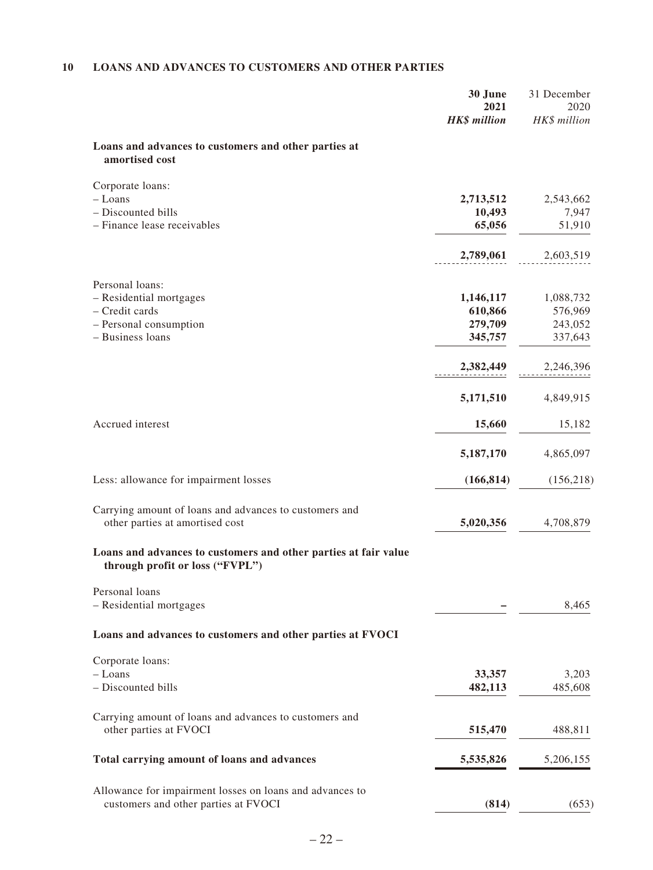## **10 LOANS AND ADVANCES TO CUSTOMERS AND OTHER PARTIES**

| Loans and advances to customers and other parties at<br>amortised cost<br>Corporate loans:<br>$-$ Loans<br>2,713,512<br>2,543,662<br>- Discounted bills<br>10,493<br>- Finance lease receivables<br>65,056<br>2,789,061<br>2,603,519<br>Personal loans:<br>- Residential mortgages<br>1,146,117<br>1,088,732<br>- Credit cards<br>610,866<br>576,969<br>279,709<br>- Personal consumption<br>243,052<br>- Business loans<br>345,757<br>337,643<br>2,382,449<br>2,246,396<br>5,171,510<br>4,849,915<br>Accrued interest<br>15,660<br>5,187,170<br>4,865,097<br>Less: allowance for impairment losses<br>(166, 814)<br>(156, 218)<br>Carrying amount of loans and advances to customers and<br>other parties at amortised cost<br>5,020,356<br>4,708,879<br>Loans and advances to customers and other parties at fair value<br>through profit or loss ("FVPL")<br>Personal loans<br>- Residential mortgages | 7,947<br>51,910 |
|-----------------------------------------------------------------------------------------------------------------------------------------------------------------------------------------------------------------------------------------------------------------------------------------------------------------------------------------------------------------------------------------------------------------------------------------------------------------------------------------------------------------------------------------------------------------------------------------------------------------------------------------------------------------------------------------------------------------------------------------------------------------------------------------------------------------------------------------------------------------------------------------------------------|-----------------|
|                                                                                                                                                                                                                                                                                                                                                                                                                                                                                                                                                                                                                                                                                                                                                                                                                                                                                                           |                 |
|                                                                                                                                                                                                                                                                                                                                                                                                                                                                                                                                                                                                                                                                                                                                                                                                                                                                                                           |                 |
|                                                                                                                                                                                                                                                                                                                                                                                                                                                                                                                                                                                                                                                                                                                                                                                                                                                                                                           |                 |
|                                                                                                                                                                                                                                                                                                                                                                                                                                                                                                                                                                                                                                                                                                                                                                                                                                                                                                           |                 |
|                                                                                                                                                                                                                                                                                                                                                                                                                                                                                                                                                                                                                                                                                                                                                                                                                                                                                                           |                 |
|                                                                                                                                                                                                                                                                                                                                                                                                                                                                                                                                                                                                                                                                                                                                                                                                                                                                                                           |                 |
|                                                                                                                                                                                                                                                                                                                                                                                                                                                                                                                                                                                                                                                                                                                                                                                                                                                                                                           |                 |
|                                                                                                                                                                                                                                                                                                                                                                                                                                                                                                                                                                                                                                                                                                                                                                                                                                                                                                           |                 |
|                                                                                                                                                                                                                                                                                                                                                                                                                                                                                                                                                                                                                                                                                                                                                                                                                                                                                                           |                 |
|                                                                                                                                                                                                                                                                                                                                                                                                                                                                                                                                                                                                                                                                                                                                                                                                                                                                                                           |                 |
|                                                                                                                                                                                                                                                                                                                                                                                                                                                                                                                                                                                                                                                                                                                                                                                                                                                                                                           |                 |
|                                                                                                                                                                                                                                                                                                                                                                                                                                                                                                                                                                                                                                                                                                                                                                                                                                                                                                           | 15,182          |
|                                                                                                                                                                                                                                                                                                                                                                                                                                                                                                                                                                                                                                                                                                                                                                                                                                                                                                           |                 |
|                                                                                                                                                                                                                                                                                                                                                                                                                                                                                                                                                                                                                                                                                                                                                                                                                                                                                                           |                 |
|                                                                                                                                                                                                                                                                                                                                                                                                                                                                                                                                                                                                                                                                                                                                                                                                                                                                                                           |                 |
|                                                                                                                                                                                                                                                                                                                                                                                                                                                                                                                                                                                                                                                                                                                                                                                                                                                                                                           |                 |
|                                                                                                                                                                                                                                                                                                                                                                                                                                                                                                                                                                                                                                                                                                                                                                                                                                                                                                           |                 |
|                                                                                                                                                                                                                                                                                                                                                                                                                                                                                                                                                                                                                                                                                                                                                                                                                                                                                                           |                 |
|                                                                                                                                                                                                                                                                                                                                                                                                                                                                                                                                                                                                                                                                                                                                                                                                                                                                                                           | 8,465           |
| Loans and advances to customers and other parties at FVOCI                                                                                                                                                                                                                                                                                                                                                                                                                                                                                                                                                                                                                                                                                                                                                                                                                                                |                 |
| Corporate loans:<br>$-$ Loans<br>33,357                                                                                                                                                                                                                                                                                                                                                                                                                                                                                                                                                                                                                                                                                                                                                                                                                                                                   | 3,203           |
| - Discounted bills<br>482,113<br>485,608                                                                                                                                                                                                                                                                                                                                                                                                                                                                                                                                                                                                                                                                                                                                                                                                                                                                  |                 |
| Carrying amount of loans and advances to customers and<br>other parties at FVOCI<br>515,470<br>488,811                                                                                                                                                                                                                                                                                                                                                                                                                                                                                                                                                                                                                                                                                                                                                                                                    |                 |
| Total carrying amount of loans and advances<br>5,535,826<br>5,206,155                                                                                                                                                                                                                                                                                                                                                                                                                                                                                                                                                                                                                                                                                                                                                                                                                                     |                 |
| Allowance for impairment losses on loans and advances to<br>(814)<br>customers and other parties at FVOCI                                                                                                                                                                                                                                                                                                                                                                                                                                                                                                                                                                                                                                                                                                                                                                                                 | (653)           |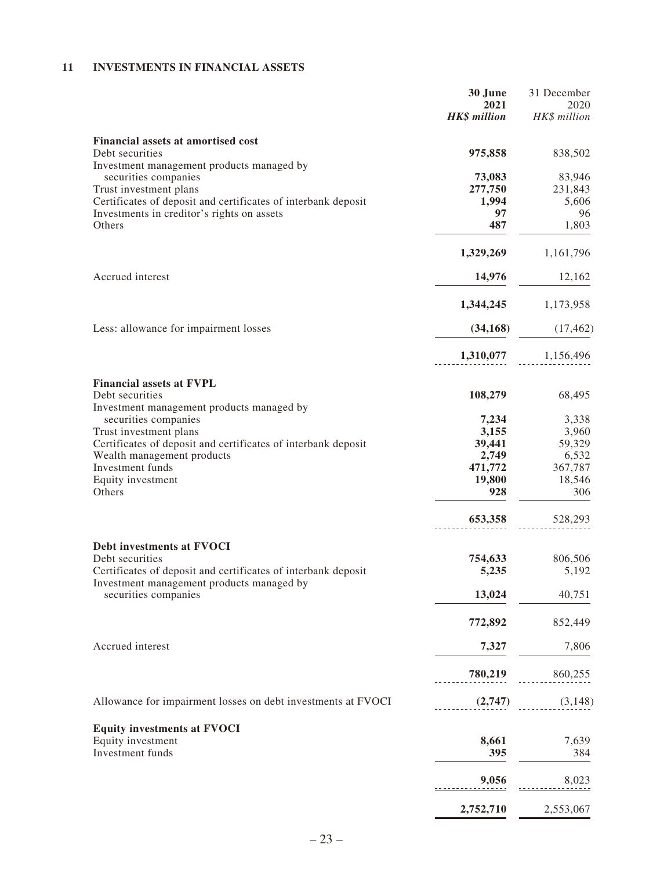### **11 INVESTMENTS IN FINANCIAL ASSETS**

|                                                                                                            | 30 June<br>2021<br><b>HK\$</b> million | 31 December<br>2020<br>HK\$ million |
|------------------------------------------------------------------------------------------------------------|----------------------------------------|-------------------------------------|
| <b>Financial assets at amortised cost</b>                                                                  |                                        |                                     |
| Debt securities<br>Investment management products managed by                                               | 975,858                                | 838,502                             |
| securities companies                                                                                       | 73,083                                 | 83,946                              |
| Trust investment plans                                                                                     | 277,750                                | 231,843                             |
| Certificates of deposit and certificates of interbank deposit                                              | 1,994                                  | 5,606                               |
| Investments in creditor's rights on assets<br>Others                                                       | 97<br>487                              | 96<br>1,803                         |
|                                                                                                            | 1,329,269                              | 1,161,796                           |
| Accrued interest                                                                                           | 14,976                                 | 12,162                              |
|                                                                                                            | 1,344,245                              | 1,173,958                           |
| Less: allowance for impairment losses                                                                      | (34, 168)                              | (17, 462)                           |
|                                                                                                            | 1,310,077                              | 1,156,496                           |
|                                                                                                            |                                        |                                     |
| <b>Financial assets at FVPL</b><br>Debt securities<br>Investment management products managed by            | 108,279                                | 68,495                              |
| securities companies                                                                                       | 7,234                                  | 3,338                               |
| Trust investment plans                                                                                     | 3,155                                  | 3,960                               |
| Certificates of deposit and certificates of interbank deposit                                              | 39,441                                 | 59,329                              |
| Wealth management products                                                                                 | 2,749                                  | 6,532                               |
| Investment funds                                                                                           | 471,772                                | 367,787                             |
| Equity investment                                                                                          | 19,800                                 | 18,546                              |
| Others                                                                                                     | 928                                    | 306                                 |
|                                                                                                            | 653,358                                | 528,293                             |
| Debt investments at FVOCI                                                                                  |                                        |                                     |
| Debt securities                                                                                            | 754,633                                | 806,506                             |
| Certificates of deposit and certificates of interbank deposit<br>Investment management products managed by | 5,235                                  | 5,192                               |
| securities companies                                                                                       | 13,024                                 | 40,751                              |
|                                                                                                            | 772,892                                | 852,449                             |
| Accrued interest                                                                                           | 7,327                                  | 7,806                               |
|                                                                                                            | 780,219                                | 860,255                             |
| Allowance for impairment losses on debt investments at FVOCI                                               | (2,747)                                | (3,148)                             |
|                                                                                                            |                                        |                                     |
| <b>Equity investments at FVOCI</b>                                                                         |                                        |                                     |
| Equity investment<br>Investment funds                                                                      | 8,661<br>395                           | 7,639<br>384                        |
|                                                                                                            |                                        |                                     |
|                                                                                                            | 9,056                                  | 8,023                               |
|                                                                                                            | 2,752,710                              | 2,553,067                           |
|                                                                                                            |                                        |                                     |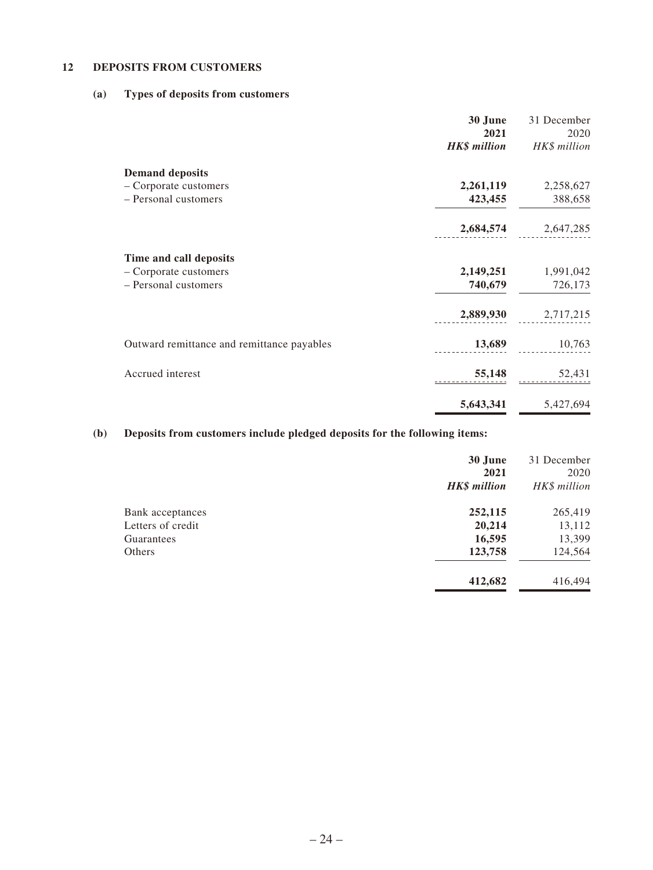### **12 DEPOSITS FROM CUSTOMERS**

### **(a) Types of deposits from customers**

|                                            | 30 June<br>2021     | 31 December<br>2020 |
|--------------------------------------------|---------------------|---------------------|
|                                            | <b>HK\$</b> million | HK\$ million        |
| <b>Demand deposits</b>                     |                     |                     |
| - Corporate customers                      | 2,261,119           | 2,258,627           |
| - Personal customers                       | 423,455             | 388,658             |
|                                            | 2,684,574           | 2,647,285           |
| Time and call deposits                     |                     |                     |
| - Corporate customers                      | 2,149,251           | 1,991,042           |
| - Personal customers                       | 740,679             | 726,173             |
|                                            |                     | 2,889,930 2,717,215 |
| Outward remittance and remittance payables | 13,689              | 10,763              |
| Accrued interest                           | 55,148              | 52,431              |
|                                            | 5,643,341           | 5,427,694           |

## **(b) Deposits from customers include pledged deposits for the following items:**

|                         | 30 June<br>2021<br><b>HK\$</b> million | 31 December<br>2020<br>HK\$ million |
|-------------------------|----------------------------------------|-------------------------------------|
| <b>Bank</b> acceptances | 252,115                                | 265,419                             |
| Letters of credit       | 20,214                                 | 13,112                              |
| Guarantees              | 16,595                                 | 13,399                              |
| Others                  | 123,758                                | 124,564                             |
|                         | 412,682                                | 416,494                             |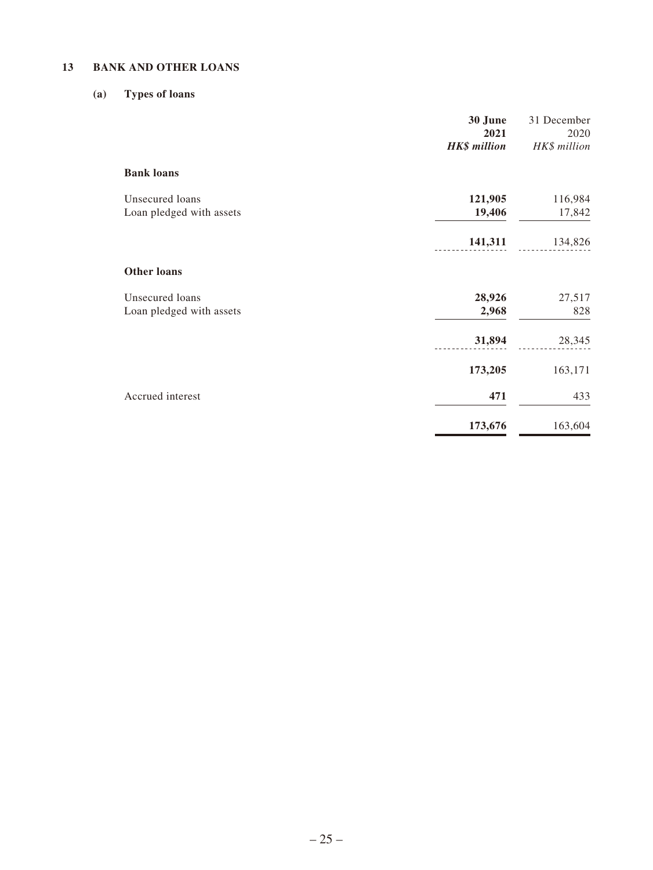### **13 BANK AND OTHER LOANS**

### **(a) Types of loans**

|                                             | 30 June<br>2021     | 31 December<br>2020 |
|---------------------------------------------|---------------------|---------------------|
|                                             | <b>HK\$</b> million | HK\$ million        |
| <b>Bank loans</b>                           |                     |                     |
| Unsecured loans<br>Loan pledged with assets | 121,905<br>19,406   | 116,984<br>17,842   |
|                                             | 141,311             | 134,826             |
| <b>Other loans</b>                          |                     |                     |
| Unsecured loans                             | 28,926              | 27,517              |
| Loan pledged with assets                    | 2,968               | 828                 |
|                                             | 31,894              | 28,345              |
|                                             | 173,205             | 163,171             |
| Accrued interest                            | 471                 | 433                 |
|                                             | 173,676             | 163,604             |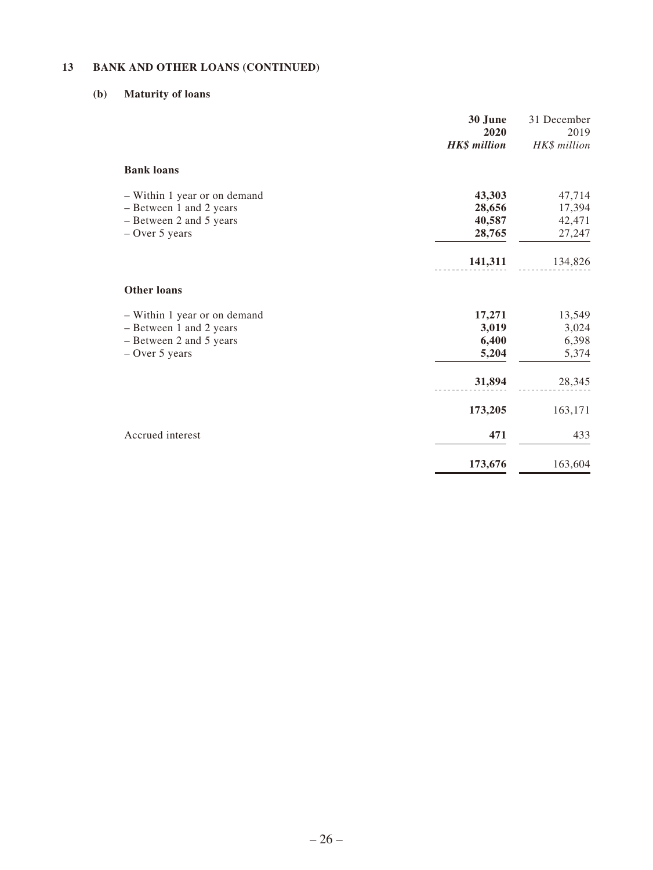### **13 BANK AND OTHER LOANS (CONTINUED)**

### **(b) Maturity of loans**

|                                                                                                        | 30 June<br>2020<br><b>HK\$</b> million          | 31 December<br>2019<br>HK\$ million             |
|--------------------------------------------------------------------------------------------------------|-------------------------------------------------|-------------------------------------------------|
| <b>Bank loans</b>                                                                                      |                                                 |                                                 |
| - Within 1 year or on demand<br>- Between 1 and 2 years<br>- Between 2 and 5 years<br>$-$ Over 5 years | 43,303<br>28,656<br>40,587<br>28,765<br>141,311 | 47,714<br>17,394<br>42,471<br>27,247<br>134,826 |
| <b>Other loans</b>                                                                                     |                                                 |                                                 |
| - Within 1 year or on demand<br>- Between 1 and 2 years<br>- Between 2 and 5 years<br>$-$ Over 5 years | 17,271<br>3,019<br>6,400<br>5,204               | 13,549<br>3,024<br>6,398<br>5,374               |
|                                                                                                        | 31,894                                          | 28,345                                          |
|                                                                                                        | 173,205                                         | 163,171                                         |
| Accrued interest                                                                                       | 471                                             | 433                                             |
|                                                                                                        | 173,676                                         | 163,604                                         |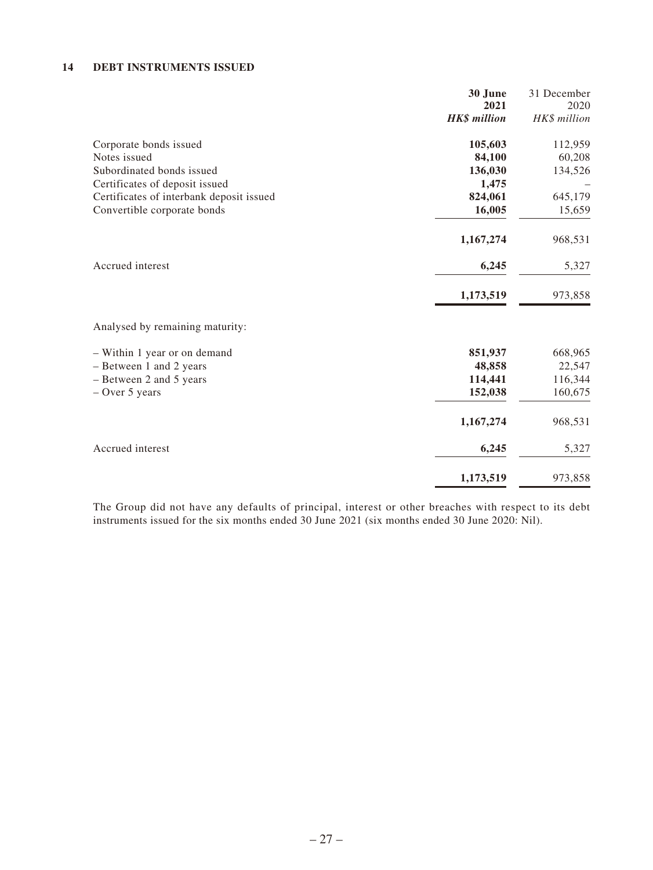### **14 DEBT INSTRUMENTS ISSUED**

|                                          | 30 June             | 31 December  |
|------------------------------------------|---------------------|--------------|
|                                          | 2021                | 2020         |
|                                          | <b>HK\$</b> million | HK\$ million |
| Corporate bonds issued                   | 105,603             | 112,959      |
| Notes issued                             | 84,100              | 60,208       |
| Subordinated bonds issued                | 136,030             | 134,526      |
| Certificates of deposit issued           | 1,475               |              |
| Certificates of interbank deposit issued | 824,061             | 645,179      |
| Convertible corporate bonds              | 16,005              | 15,659       |
|                                          | 1,167,274           | 968,531      |
| Accrued interest                         | 6,245               | 5,327        |
|                                          | 1,173,519           | 973,858      |
| Analysed by remaining maturity:          |                     |              |
| - Within 1 year or on demand             | 851,937             | 668,965      |
| - Between 1 and 2 years                  | 48,858              | 22,547       |
| - Between 2 and 5 years                  | 114,441             | 116,344      |
| $-$ Over 5 years                         | 152,038             | 160,675      |
|                                          | 1,167,274           | 968,531      |
| Accrued interest                         | 6,245               | 5,327        |
|                                          | 1,173,519           | 973,858      |

The Group did not have any defaults of principal, interest or other breaches with respect to its debt instruments issued for the six months ended 30 June 2021 (six months ended 30 June 2020: Nil).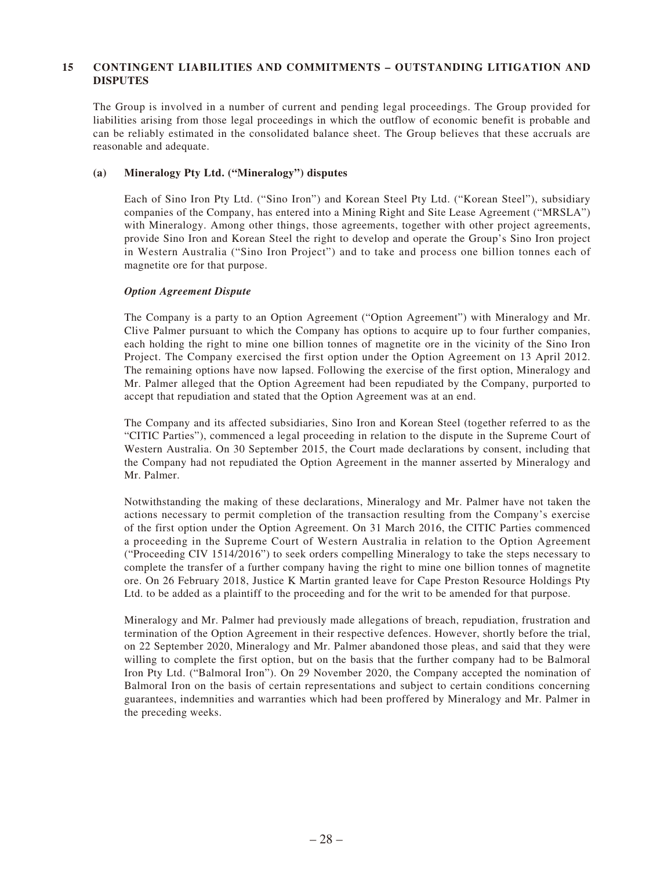The Group is involved in a number of current and pending legal proceedings. The Group provided for liabilities arising from those legal proceedings in which the outflow of economic benefit is probable and can be reliably estimated in the consolidated balance sheet. The Group believes that these accruals are reasonable and adequate.

#### **(a) Mineralogy Pty Ltd. ("Mineralogy") disputes**

Each of Sino Iron Pty Ltd. ("Sino Iron") and Korean Steel Pty Ltd. ("Korean Steel"), subsidiary companies of the Company, has entered into a Mining Right and Site Lease Agreement ("MRSLA") with Mineralogy. Among other things, those agreements, together with other project agreements, provide Sino Iron and Korean Steel the right to develop and operate the Group's Sino Iron project in Western Australia ("Sino Iron Project") and to take and process one billion tonnes each of magnetite ore for that purpose.

#### *Option Agreement Dispute*

The Company is a party to an Option Agreement ("Option Agreement") with Mineralogy and Mr. Clive Palmer pursuant to which the Company has options to acquire up to four further companies, each holding the right to mine one billion tonnes of magnetite ore in the vicinity of the Sino Iron Project. The Company exercised the first option under the Option Agreement on 13 April 2012. The remaining options have now lapsed. Following the exercise of the first option, Mineralogy and Mr. Palmer alleged that the Option Agreement had been repudiated by the Company, purported to accept that repudiation and stated that the Option Agreement was at an end.

The Company and its affected subsidiaries, Sino Iron and Korean Steel (together referred to as the "CITIC Parties"), commenced a legal proceeding in relation to the dispute in the Supreme Court of Western Australia. On 30 September 2015, the Court made declarations by consent, including that the Company had not repudiated the Option Agreement in the manner asserted by Mineralogy and Mr. Palmer.

Notwithstanding the making of these declarations, Mineralogy and Mr. Palmer have not taken the actions necessary to permit completion of the transaction resulting from the Company's exercise of the first option under the Option Agreement. On 31 March 2016, the CITIC Parties commenced a proceeding in the Supreme Court of Western Australia in relation to the Option Agreement ("Proceeding CIV 1514/2016") to seek orders compelling Mineralogy to take the steps necessary to complete the transfer of a further company having the right to mine one billion tonnes of magnetite ore. On 26 February 2018, Justice K Martin granted leave for Cape Preston Resource Holdings Pty Ltd. to be added as a plaintiff to the proceeding and for the writ to be amended for that purpose.

Mineralogy and Mr. Palmer had previously made allegations of breach, repudiation, frustration and termination of the Option Agreement in their respective defences. However, shortly before the trial, on 22 September 2020, Mineralogy and Mr. Palmer abandoned those pleas, and said that they were willing to complete the first option, but on the basis that the further company had to be Balmoral Iron Pty Ltd. ("Balmoral Iron"). On 29 November 2020, the Company accepted the nomination of Balmoral Iron on the basis of certain representations and subject to certain conditions concerning guarantees, indemnities and warranties which had been proffered by Mineralogy and Mr. Palmer in the preceding weeks.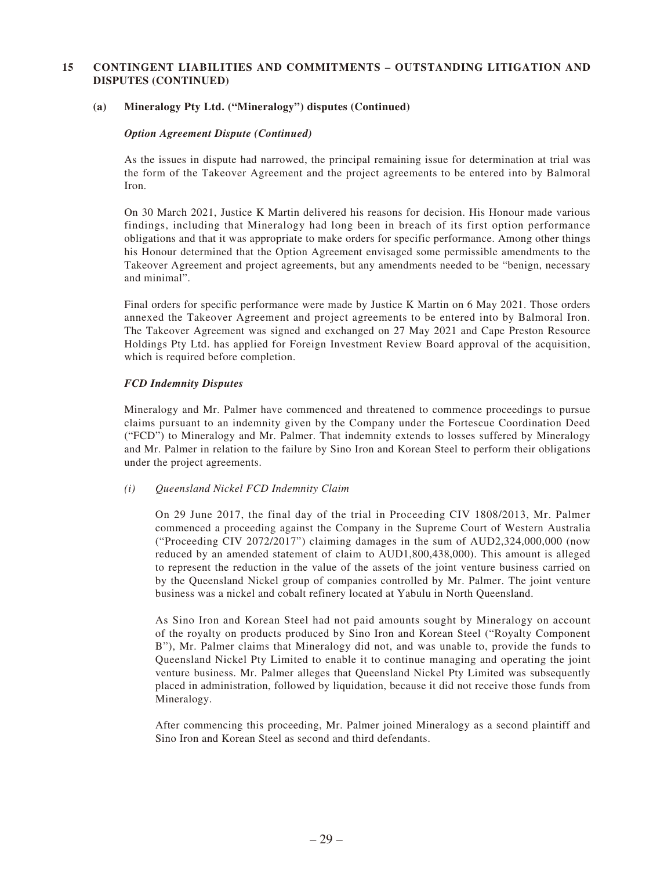#### **(a) Mineralogy Pty Ltd. ("Mineralogy") disputes (Continued)**

#### *Option Agreement Dispute (Continued)*

As the issues in dispute had narrowed, the principal remaining issue for determination at trial was the form of the Takeover Agreement and the project agreements to be entered into by Balmoral Iron.

On 30 March 2021, Justice K Martin delivered his reasons for decision. His Honour made various findings, including that Mineralogy had long been in breach of its first option performance obligations and that it was appropriate to make orders for specific performance. Among other things his Honour determined that the Option Agreement envisaged some permissible amendments to the Takeover Agreement and project agreements, but any amendments needed to be "benign, necessary and minimal".

Final orders for specific performance were made by Justice K Martin on 6 May 2021. Those orders annexed the Takeover Agreement and project agreements to be entered into by Balmoral Iron. The Takeover Agreement was signed and exchanged on 27 May 2021 and Cape Preston Resource Holdings Pty Ltd. has applied for Foreign Investment Review Board approval of the acquisition, which is required before completion.

#### *FCD Indemnity Disputes*

Mineralogy and Mr. Palmer have commenced and threatened to commence proceedings to pursue claims pursuant to an indemnity given by the Company under the Fortescue Coordination Deed ("FCD") to Mineralogy and Mr. Palmer. That indemnity extends to losses suffered by Mineralogy and Mr. Palmer in relation to the failure by Sino Iron and Korean Steel to perform their obligations under the project agreements.

#### *(i) Queensland Nickel FCD Indemnity Claim*

On 29 June 2017, the final day of the trial in Proceeding CIV 1808/2013, Mr. Palmer commenced a proceeding against the Company in the Supreme Court of Western Australia ("Proceeding CIV 2072/2017") claiming damages in the sum of AUD2,324,000,000 (now reduced by an amended statement of claim to AUD1,800,438,000). This amount is alleged to represent the reduction in the value of the assets of the joint venture business carried on by the Queensland Nickel group of companies controlled by Mr. Palmer. The joint venture business was a nickel and cobalt refinery located at Yabulu in North Queensland.

As Sino Iron and Korean Steel had not paid amounts sought by Mineralogy on account of the royalty on products produced by Sino Iron and Korean Steel ("Royalty Component B"), Mr. Palmer claims that Mineralogy did not, and was unable to, provide the funds to Queensland Nickel Pty Limited to enable it to continue managing and operating the joint venture business. Mr. Palmer alleges that Queensland Nickel Pty Limited was subsequently placed in administration, followed by liquidation, because it did not receive those funds from Mineralogy.

After commencing this proceeding, Mr. Palmer joined Mineralogy as a second plaintiff and Sino Iron and Korean Steel as second and third defendants.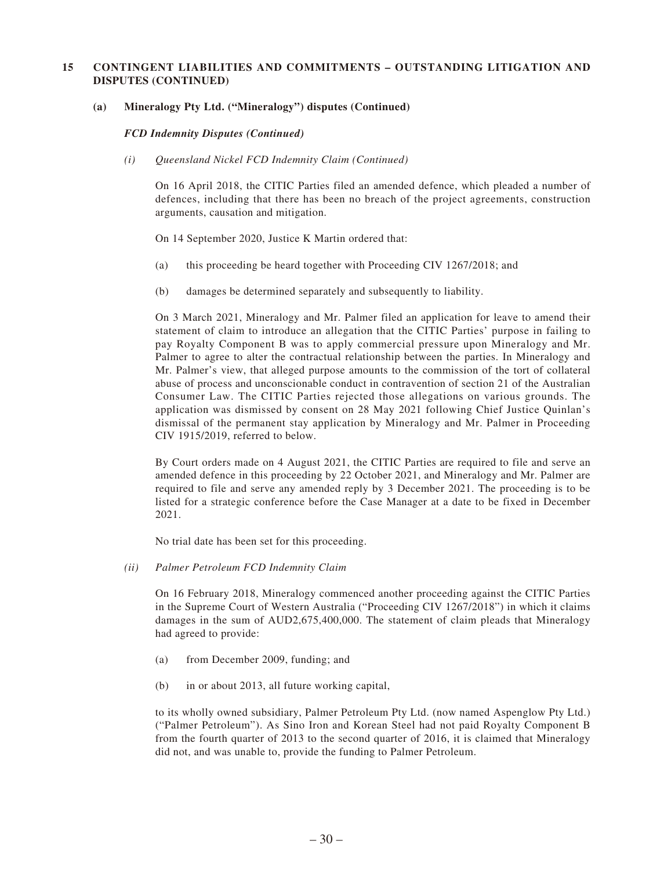#### **(a) Mineralogy Pty Ltd. ("Mineralogy") disputes (Continued)**

*FCD Indemnity Disputes (Continued)*

#### *(i) Queensland Nickel FCD Indemnity Claim (Continued)*

On 16 April 2018, the CITIC Parties filed an amended defence, which pleaded a number of defences, including that there has been no breach of the project agreements, construction arguments, causation and mitigation.

On 14 September 2020, Justice K Martin ordered that:

- (a) this proceeding be heard together with Proceeding CIV 1267/2018; and
- (b) damages be determined separately and subsequently to liability.

On 3 March 2021, Mineralogy and Mr. Palmer filed an application for leave to amend their statement of claim to introduce an allegation that the CITIC Parties' purpose in failing to pay Royalty Component B was to apply commercial pressure upon Mineralogy and Mr. Palmer to agree to alter the contractual relationship between the parties. In Mineralogy and Mr. Palmer's view, that alleged purpose amounts to the commission of the tort of collateral abuse of process and unconscionable conduct in contravention of section 21 of the Australian Consumer Law. The CITIC Parties rejected those allegations on various grounds. The application was dismissed by consent on 28 May 2021 following Chief Justice Quinlan's dismissal of the permanent stay application by Mineralogy and Mr. Palmer in Proceeding CIV 1915/2019, referred to below.

By Court orders made on 4 August 2021, the CITIC Parties are required to file and serve an amended defence in this proceeding by 22 October 2021, and Mineralogy and Mr. Palmer are required to file and serve any amended reply by 3 December 2021. The proceeding is to be listed for a strategic conference before the Case Manager at a date to be fixed in December 2021.

No trial date has been set for this proceeding.

*(ii) Palmer Petroleum FCD Indemnity Claim*

On 16 February 2018, Mineralogy commenced another proceeding against the CITIC Parties in the Supreme Court of Western Australia ("Proceeding CIV 1267/2018") in which it claims damages in the sum of AUD2,675,400,000. The statement of claim pleads that Mineralogy had agreed to provide:

- (a) from December 2009, funding; and
- (b) in or about 2013, all future working capital,

to its wholly owned subsidiary, Palmer Petroleum Pty Ltd. (now named Aspenglow Pty Ltd.) ("Palmer Petroleum"). As Sino Iron and Korean Steel had not paid Royalty Component B from the fourth quarter of 2013 to the second quarter of 2016, it is claimed that Mineralogy did not, and was unable to, provide the funding to Palmer Petroleum.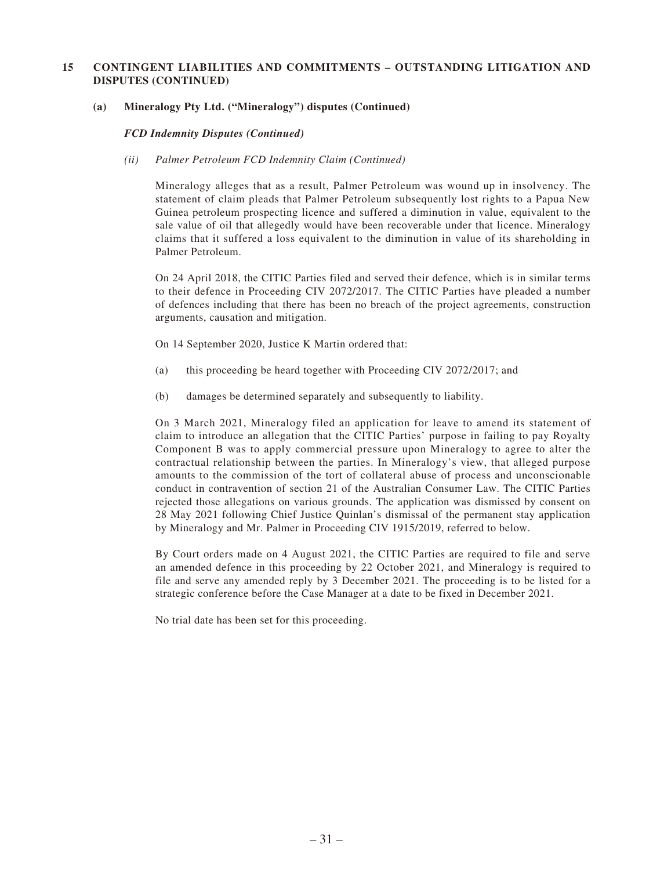#### **(a) Mineralogy Pty Ltd. ("Mineralogy") disputes (Continued)**

*FCD Indemnity Disputes (Continued)*

#### *(ii) Palmer Petroleum FCD Indemnity Claim (Continued)*

Mineralogy alleges that as a result, Palmer Petroleum was wound up in insolvency. The statement of claim pleads that Palmer Petroleum subsequently lost rights to a Papua New Guinea petroleum prospecting licence and suffered a diminution in value, equivalent to the sale value of oil that allegedly would have been recoverable under that licence. Mineralogy claims that it suffered a loss equivalent to the diminution in value of its shareholding in Palmer Petroleum.

On 24 April 2018, the CITIC Parties filed and served their defence, which is in similar terms to their defence in Proceeding CIV 2072/2017. The CITIC Parties have pleaded a number of defences including that there has been no breach of the project agreements, construction arguments, causation and mitigation.

On 14 September 2020, Justice K Martin ordered that:

- (a) this proceeding be heard together with Proceeding CIV 2072/2017; and
- (b) damages be determined separately and subsequently to liability.

On 3 March 2021, Mineralogy filed an application for leave to amend its statement of claim to introduce an allegation that the CITIC Parties' purpose in failing to pay Royalty Component B was to apply commercial pressure upon Mineralogy to agree to alter the contractual relationship between the parties. In Mineralogy's view, that alleged purpose amounts to the commission of the tort of collateral abuse of process and unconscionable conduct in contravention of section 21 of the Australian Consumer Law. The CITIC Parties rejected those allegations on various grounds. The application was dismissed by consent on 28 May 2021 following Chief Justice Quinlan's dismissal of the permanent stay application by Mineralogy and Mr. Palmer in Proceeding CIV 1915/2019, referred to below.

By Court orders made on 4 August 2021, the CITIC Parties are required to file and serve an amended defence in this proceeding by 22 October 2021, and Mineralogy is required to file and serve any amended reply by 3 December 2021. The proceeding is to be listed for a strategic conference before the Case Manager at a date to be fixed in December 2021.

No trial date has been set for this proceeding.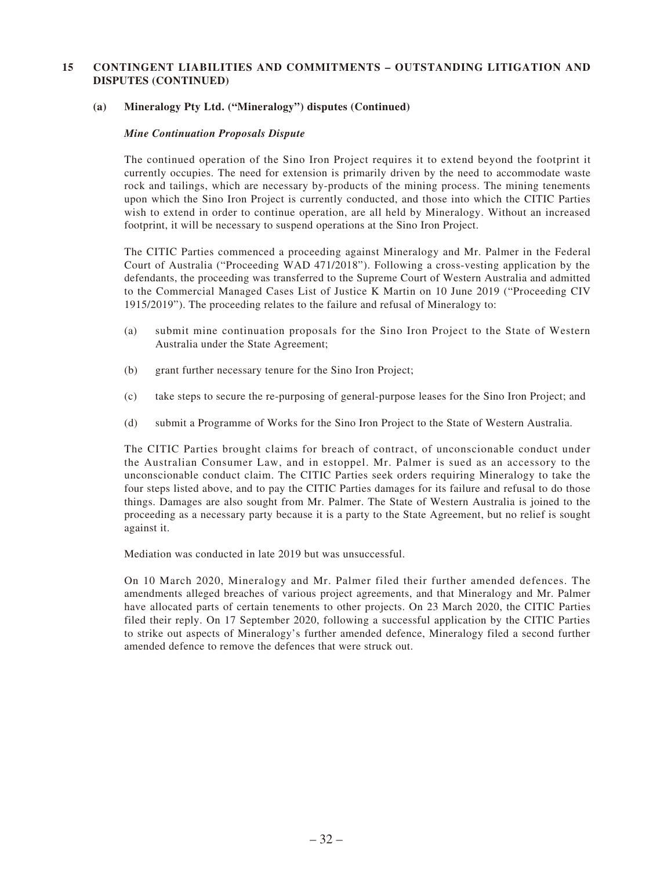#### **(a) Mineralogy Pty Ltd. ("Mineralogy") disputes (Continued)**

#### *Mine Continuation Proposals Dispute*

The continued operation of the Sino Iron Project requires it to extend beyond the footprint it currently occupies. The need for extension is primarily driven by the need to accommodate waste rock and tailings, which are necessary by-products of the mining process. The mining tenements upon which the Sino Iron Project is currently conducted, and those into which the CITIC Parties wish to extend in order to continue operation, are all held by Mineralogy. Without an increased footprint, it will be necessary to suspend operations at the Sino Iron Project.

The CITIC Parties commenced a proceeding against Mineralogy and Mr. Palmer in the Federal Court of Australia ("Proceeding WAD 471/2018"). Following a cross-vesting application by the defendants, the proceeding was transferred to the Supreme Court of Western Australia and admitted to the Commercial Managed Cases List of Justice K Martin on 10 June 2019 ("Proceeding CIV 1915/2019"). The proceeding relates to the failure and refusal of Mineralogy to:

- (a) submit mine continuation proposals for the Sino Iron Project to the State of Western Australia under the State Agreement;
- (b) grant further necessary tenure for the Sino Iron Project;
- (c) take steps to secure the re-purposing of general-purpose leases for the Sino Iron Project; and
- (d) submit a Programme of Works for the Sino Iron Project to the State of Western Australia.

The CITIC Parties brought claims for breach of contract, of unconscionable conduct under the Australian Consumer Law, and in estoppel. Mr. Palmer is sued as an accessory to the unconscionable conduct claim. The CITIC Parties seek orders requiring Mineralogy to take the four steps listed above, and to pay the CITIC Parties damages for its failure and refusal to do those things. Damages are also sought from Mr. Palmer. The State of Western Australia is joined to the proceeding as a necessary party because it is a party to the State Agreement, but no relief is sought against it.

Mediation was conducted in late 2019 but was unsuccessful.

On 10 March 2020, Mineralogy and Mr. Palmer filed their further amended defences. The amendments alleged breaches of various project agreements, and that Mineralogy and Mr. Palmer have allocated parts of certain tenements to other projects. On 23 March 2020, the CITIC Parties filed their reply. On 17 September 2020, following a successful application by the CITIC Parties to strike out aspects of Mineralogy's further amended defence, Mineralogy filed a second further amended defence to remove the defences that were struck out.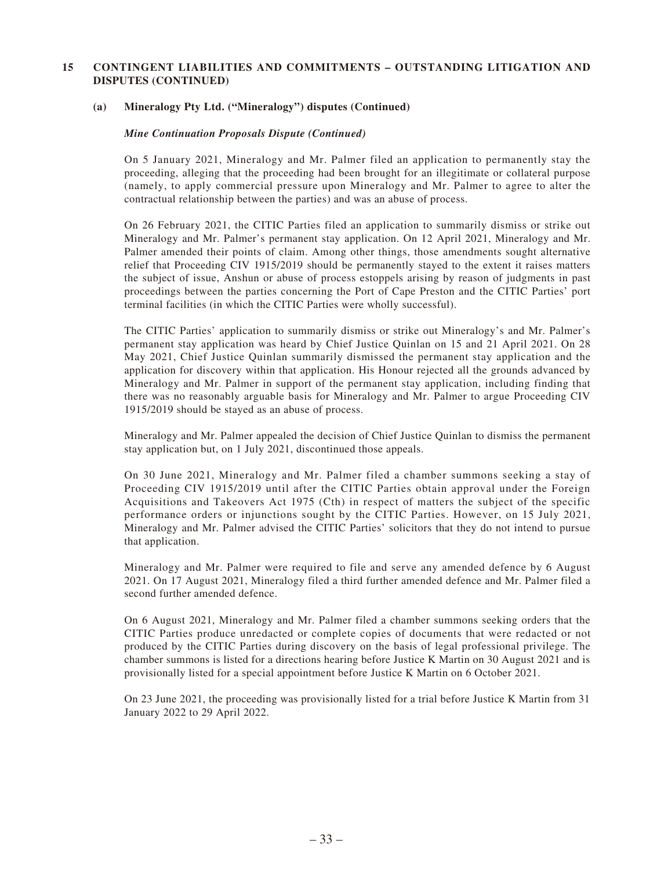### **(a) Mineralogy Pty Ltd. ("Mineralogy") disputes (Continued)**

#### *Mine Continuation Proposals Dispute (Continued)*

On 5 January 2021, Mineralogy and Mr. Palmer filed an application to permanently stay the proceeding, alleging that the proceeding had been brought for an illegitimate or collateral purpose (namely, to apply commercial pressure upon Mineralogy and Mr. Palmer to agree to alter the contractual relationship between the parties) and was an abuse of process.

On 26 February 2021, the CITIC Parties filed an application to summarily dismiss or strike out Mineralogy and Mr. Palmer's permanent stay application. On 12 April 2021, Mineralogy and Mr. Palmer amended their points of claim. Among other things, those amendments sought alternative relief that Proceeding CIV 1915/2019 should be permanently stayed to the extent it raises matters the subject of issue, Anshun or abuse of process estoppels arising by reason of judgments in past proceedings between the parties concerning the Port of Cape Preston and the CITIC Parties' port terminal facilities (in which the CITIC Parties were wholly successful).

The CITIC Parties' application to summarily dismiss or strike out Mineralogy's and Mr. Palmer's permanent stay application was heard by Chief Justice Quinlan on 15 and 21 April 2021. On 28 May 2021, Chief Justice Quinlan summarily dismissed the permanent stay application and the application for discovery within that application. His Honour rejected all the grounds advanced by Mineralogy and Mr. Palmer in support of the permanent stay application, including finding that there was no reasonably arguable basis for Mineralogy and Mr. Palmer to argue Proceeding CIV 1915/2019 should be stayed as an abuse of process.

Mineralogy and Mr. Palmer appealed the decision of Chief Justice Quinlan to dismiss the permanent stay application but, on 1 July 2021, discontinued those appeals.

On 30 June 2021, Mineralogy and Mr. Palmer filed a chamber summons seeking a stay of Proceeding CIV 1915/2019 until after the CITIC Parties obtain approval under the Foreign Acquisitions and Takeovers Act 1975 (Cth) in respect of matters the subject of the specific performance orders or injunctions sought by the CITIC Parties. However, on 15 July 2021, Mineralogy and Mr. Palmer advised the CITIC Parties' solicitors that they do not intend to pursue that application.

Mineralogy and Mr. Palmer were required to file and serve any amended defence by 6 August 2021. On 17 August 2021, Mineralogy filed a third further amended defence and Mr. Palmer filed a second further amended defence.

On 6 August 2021, Mineralogy and Mr. Palmer filed a chamber summons seeking orders that the CITIC Parties produce unredacted or complete copies of documents that were redacted or not produced by the CITIC Parties during discovery on the basis of legal professional privilege. The chamber summons is listed for a directions hearing before Justice K Martin on 30 August 2021 and is provisionally listed for a special appointment before Justice K Martin on 6 October 2021.

On 23 June 2021, the proceeding was provisionally listed for a trial before Justice K Martin from 31 January 2022 to 29 April 2022.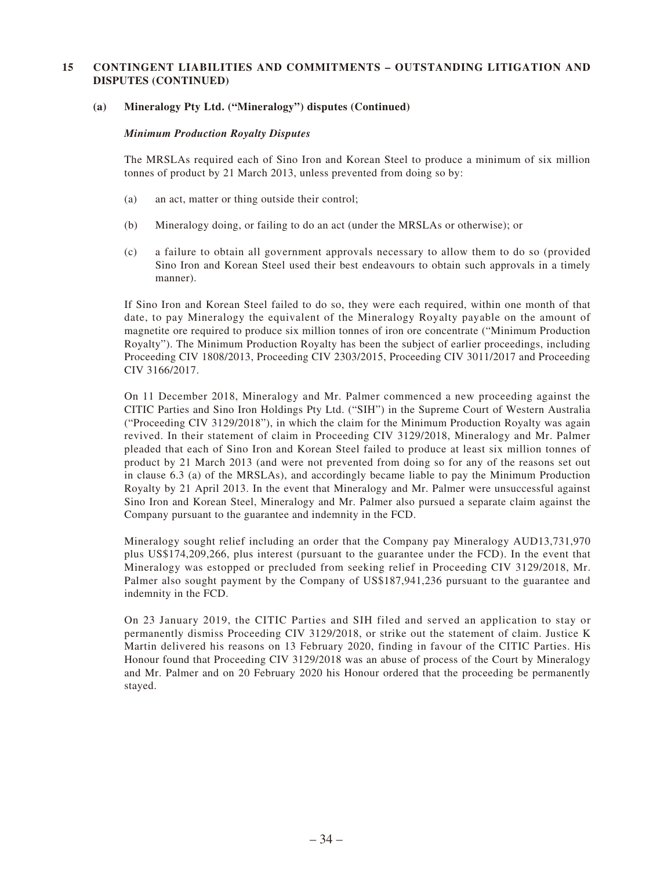#### **(a) Mineralogy Pty Ltd. ("Mineralogy") disputes (Continued)**

#### *Minimum Production Royalty Disputes*

The MRSLAs required each of Sino Iron and Korean Steel to produce a minimum of six million tonnes of product by 21 March 2013, unless prevented from doing so by:

- (a) an act, matter or thing outside their control;
- (b) Mineralogy doing, or failing to do an act (under the MRSLAs or otherwise); or
- (c) a failure to obtain all government approvals necessary to allow them to do so (provided Sino Iron and Korean Steel used their best endeavours to obtain such approvals in a timely manner).

If Sino Iron and Korean Steel failed to do so, they were each required, within one month of that date, to pay Mineralogy the equivalent of the Mineralogy Royalty payable on the amount of magnetite ore required to produce six million tonnes of iron ore concentrate ("Minimum Production Royalty"). The Minimum Production Royalty has been the subject of earlier proceedings, including Proceeding CIV 1808/2013, Proceeding CIV 2303/2015, Proceeding CIV 3011/2017 and Proceeding CIV 3166/2017.

On 11 December 2018, Mineralogy and Mr. Palmer commenced a new proceeding against the CITIC Parties and Sino Iron Holdings Pty Ltd. ("SIH") in the Supreme Court of Western Australia ("Proceeding CIV 3129/2018"), in which the claim for the Minimum Production Royalty was again revived. In their statement of claim in Proceeding CIV 3129/2018, Mineralogy and Mr. Palmer pleaded that each of Sino Iron and Korean Steel failed to produce at least six million tonnes of product by 21 March 2013 (and were not prevented from doing so for any of the reasons set out in clause 6.3 (a) of the MRSLAs), and accordingly became liable to pay the Minimum Production Royalty by 21 April 2013. In the event that Mineralogy and Mr. Palmer were unsuccessful against Sino Iron and Korean Steel, Mineralogy and Mr. Palmer also pursued a separate claim against the Company pursuant to the guarantee and indemnity in the FCD.

Mineralogy sought relief including an order that the Company pay Mineralogy AUD13,731,970 plus US\$174,209,266, plus interest (pursuant to the guarantee under the FCD). In the event that Mineralogy was estopped or precluded from seeking relief in Proceeding CIV 3129/2018, Mr. Palmer also sought payment by the Company of US\$187,941,236 pursuant to the guarantee and indemnity in the FCD.

On 23 January 2019, the CITIC Parties and SIH filed and served an application to stay or permanently dismiss Proceeding CIV 3129/2018, or strike out the statement of claim. Justice K Martin delivered his reasons on 13 February 2020, finding in favour of the CITIC Parties. His Honour found that Proceeding CIV 3129/2018 was an abuse of process of the Court by Mineralogy and Mr. Palmer and on 20 February 2020 his Honour ordered that the proceeding be permanently stayed.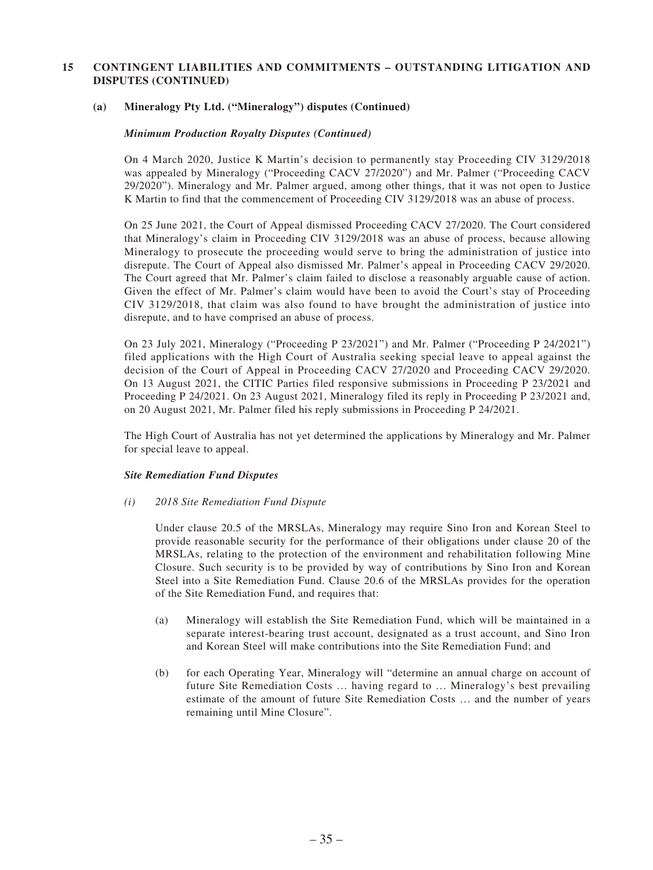#### **(a) Mineralogy Pty Ltd. ("Mineralogy") disputes (Continued)**

#### *Minimum Production Royalty Disputes (Continued)*

On 4 March 2020, Justice K Martin's decision to permanently stay Proceeding CIV 3129/2018 was appealed by Mineralogy ("Proceeding CACV 27/2020") and Mr. Palmer ("Proceeding CACV 29/2020"). Mineralogy and Mr. Palmer argued, among other things, that it was not open to Justice K Martin to find that the commencement of Proceeding CIV 3129/2018 was an abuse of process.

On 25 June 2021, the Court of Appeal dismissed Proceeding CACV 27/2020. The Court considered that Mineralogy's claim in Proceeding CIV 3129/2018 was an abuse of process, because allowing Mineralogy to prosecute the proceeding would serve to bring the administration of justice into disrepute. The Court of Appeal also dismissed Mr. Palmer's appeal in Proceeding CACV 29/2020. The Court agreed that Mr. Palmer's claim failed to disclose a reasonably arguable cause of action. Given the effect of Mr. Palmer's claim would have been to avoid the Court's stay of Proceeding CIV 3129/2018, that claim was also found to have brought the administration of justice into disrepute, and to have comprised an abuse of process.

On 23 July 2021, Mineralogy ("Proceeding P 23/2021") and Mr. Palmer ("Proceeding P 24/2021") filed applications with the High Court of Australia seeking special leave to appeal against the decision of the Court of Appeal in Proceeding CACV 27/2020 and Proceeding CACV 29/2020. On 13 August 2021, the CITIC Parties filed responsive submissions in Proceeding P 23/2021 and Proceeding P 24/2021. On 23 August 2021, Mineralogy filed its reply in Proceeding P 23/2021 and, on 20 August 2021, Mr. Palmer filed his reply submissions in Proceeding P 24/2021.

The High Court of Australia has not yet determined the applications by Mineralogy and Mr. Palmer for special leave to appeal.

#### *Site Remediation Fund Disputes*

#### *(i) 2018 Site Remediation Fund Dispute*

Under clause 20.5 of the MRSLAs, Mineralogy may require Sino Iron and Korean Steel to provide reasonable security for the performance of their obligations under clause 20 of the MRSLAs, relating to the protection of the environment and rehabilitation following Mine Closure. Such security is to be provided by way of contributions by Sino Iron and Korean Steel into a Site Remediation Fund. Clause 20.6 of the MRSLAs provides for the operation of the Site Remediation Fund, and requires that:

- (a) Mineralogy will establish the Site Remediation Fund, which will be maintained in a separate interest-bearing trust account, designated as a trust account, and Sino Iron and Korean Steel will make contributions into the Site Remediation Fund; and
- (b) for each Operating Year, Mineralogy will "determine an annual charge on account of future Site Remediation Costs … having regard to … Mineralogy's best prevailing estimate of the amount of future Site Remediation Costs … and the number of years remaining until Mine Closure".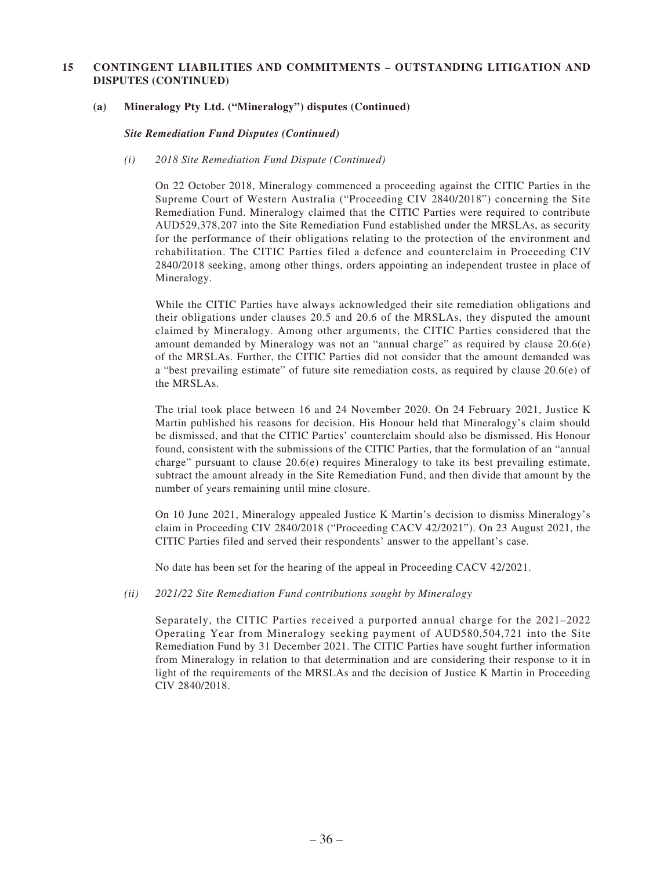#### **(a) Mineralogy Pty Ltd. ("Mineralogy") disputes (Continued)**

*Site Remediation Fund Disputes (Continued)*

#### *(i) 2018 Site Remediation Fund Dispute (Continued)*

On 22 October 2018, Mineralogy commenced a proceeding against the CITIC Parties in the Supreme Court of Western Australia ("Proceeding CIV 2840/2018") concerning the Site Remediation Fund. Mineralogy claimed that the CITIC Parties were required to contribute AUD529,378,207 into the Site Remediation Fund established under the MRSLAs, as security for the performance of their obligations relating to the protection of the environment and rehabilitation. The CITIC Parties filed a defence and counterclaim in Proceeding CIV 2840/2018 seeking, among other things, orders appointing an independent trustee in place of Mineralogy.

While the CITIC Parties have always acknowledged their site remediation obligations and their obligations under clauses 20.5 and 20.6 of the MRSLAs, they disputed the amount claimed by Mineralogy. Among other arguments, the CITIC Parties considered that the amount demanded by Mineralogy was not an "annual charge" as required by clause 20.6(e) of the MRSLAs. Further, the CITIC Parties did not consider that the amount demanded was a "best prevailing estimate" of future site remediation costs, as required by clause 20.6(e) of the MRSLAs.

The trial took place between 16 and 24 November 2020. On 24 February 2021, Justice K Martin published his reasons for decision. His Honour held that Mineralogy's claim should be dismissed, and that the CITIC Parties' counterclaim should also be dismissed. His Honour found, consistent with the submissions of the CITIC Parties, that the formulation of an "annual charge" pursuant to clause 20.6(e) requires Mineralogy to take its best prevailing estimate, subtract the amount already in the Site Remediation Fund, and then divide that amount by the number of years remaining until mine closure.

On 10 June 2021, Mineralogy appealed Justice K Martin's decision to dismiss Mineralogy's claim in Proceeding CIV 2840/2018 ("Proceeding CACV 42/2021"). On 23 August 2021, the CITIC Parties filed and served their respondents' answer to the appellant's case.

No date has been set for the hearing of the appeal in Proceeding CACV 42/2021.

#### *(ii) 2021/22 Site Remediation Fund contributions sought by Mineralogy*

Separately, the CITIC Parties received a purported annual charge for the 2021–2022 Operating Year from Mineralogy seeking payment of AUD580,504,721 into the Site Remediation Fund by 31 December 2021. The CITIC Parties have sought further information from Mineralogy in relation to that determination and are considering their response to it in light of the requirements of the MRSLAs and the decision of Justice K Martin in Proceeding CIV 2840/2018.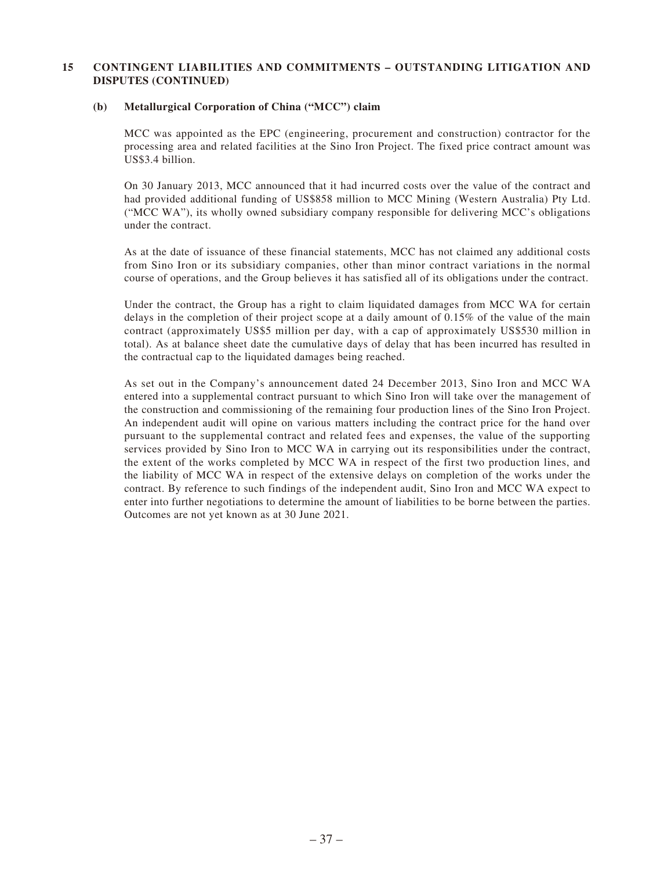#### **(b) Metallurgical Corporation of China ("MCC") claim**

MCC was appointed as the EPC (engineering, procurement and construction) contractor for the processing area and related facilities at the Sino Iron Project. The fixed price contract amount was US\$3.4 billion.

On 30 January 2013, MCC announced that it had incurred costs over the value of the contract and had provided additional funding of US\$858 million to MCC Mining (Western Australia) Pty Ltd. ("MCC WA"), its wholly owned subsidiary company responsible for delivering MCC's obligations under the contract.

As at the date of issuance of these financial statements, MCC has not claimed any additional costs from Sino Iron or its subsidiary companies, other than minor contract variations in the normal course of operations, and the Group believes it has satisfied all of its obligations under the contract.

Under the contract, the Group has a right to claim liquidated damages from MCC WA for certain delays in the completion of their project scope at a daily amount of 0.15% of the value of the main contract (approximately US\$5 million per day, with a cap of approximately US\$530 million in total). As at balance sheet date the cumulative days of delay that has been incurred has resulted in the contractual cap to the liquidated damages being reached.

As set out in the Company's announcement dated 24 December 2013, Sino Iron and MCC WA entered into a supplemental contract pursuant to which Sino Iron will take over the management of the construction and commissioning of the remaining four production lines of the Sino Iron Project. An independent audit will opine on various matters including the contract price for the hand over pursuant to the supplemental contract and related fees and expenses, the value of the supporting services provided by Sino Iron to MCC WA in carrying out its responsibilities under the contract, the extent of the works completed by MCC WA in respect of the first two production lines, and the liability of MCC WA in respect of the extensive delays on completion of the works under the contract. By reference to such findings of the independent audit, Sino Iron and MCC WA expect to enter into further negotiations to determine the amount of liabilities to be borne between the parties. Outcomes are not yet known as at 30 June 2021.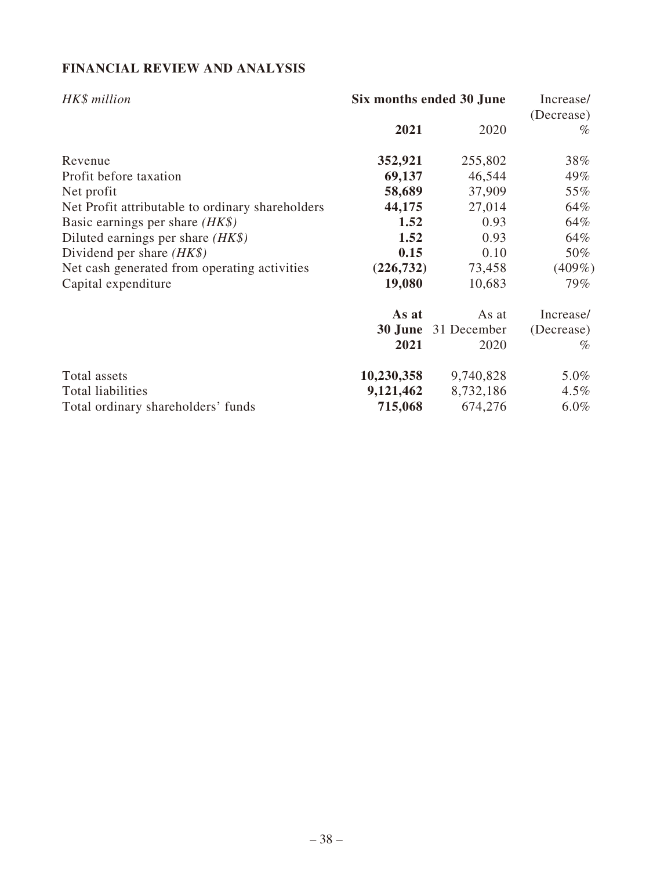## **FINANCIAL REVIEW AND ANALYSIS**

| HK\$ million                                     |            | Six months ended 30 June |                    |  |
|--------------------------------------------------|------------|--------------------------|--------------------|--|
|                                                  | 2021       | 2020                     | (Decrease)<br>$\%$ |  |
| Revenue                                          | 352,921    | 255,802                  | 38%                |  |
| Profit before taxation                           | 69,137     | 46,544                   | 49%                |  |
| Net profit                                       | 58,689     | 37,909                   | 55%                |  |
| Net Profit attributable to ordinary shareholders | 44,175     | 27,014                   | 64%                |  |
| Basic earnings per share $(HK\$ )                | 1.52       | 0.93                     | 64%                |  |
| Diluted earnings per share $(HK\$ )              | 1.52       | 0.93                     | 64%                |  |
| Dividend per share $(HK\$ )                      | 0.15       | 0.10                     | 50%                |  |
| Net cash generated from operating activities     | (226, 732) | 73,458                   | $(409\%)$          |  |
| Capital expenditure                              | 19,080     | 10,683                   | 79%                |  |
|                                                  | As at      | As at                    | Increase/          |  |
|                                                  | 30 June    | 31 December              | (Decrease)         |  |
|                                                  | 2021       | 2020                     | $\%$               |  |
| Total assets                                     | 10,230,358 | 9,740,828                | $5.0\%$            |  |
| Total liabilities                                | 9,121,462  | 8,732,186                | $4.5\%$            |  |
| Total ordinary shareholders' funds               | 715,068    | 674,276                  | $6.0\%$            |  |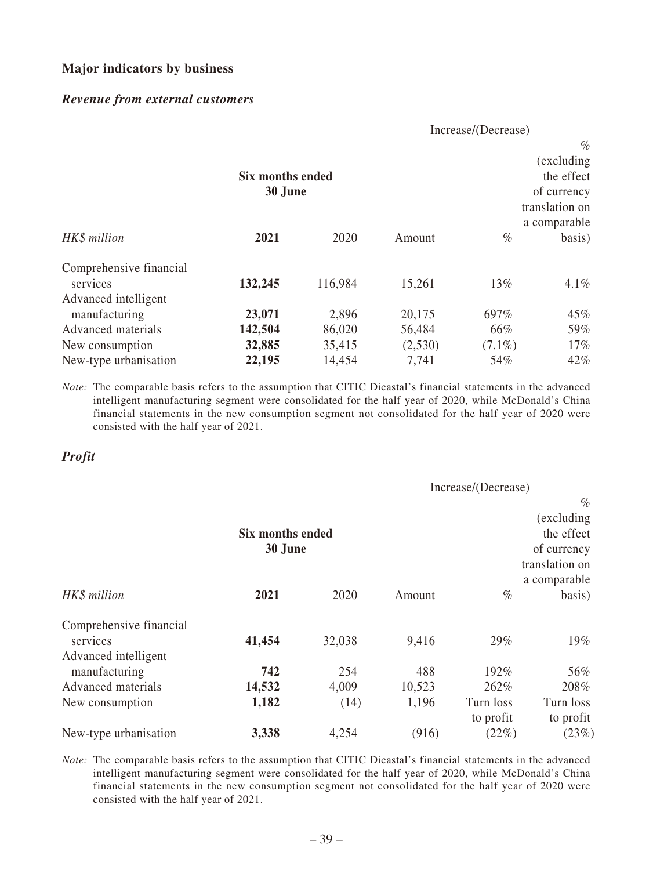### **Major indicators by business**

### *Revenue from external customers*

|                                                             |                             |         |         | Increase/(Decrease) |                                                                    |
|-------------------------------------------------------------|-----------------------------|---------|---------|---------------------|--------------------------------------------------------------------|
|                                                             | Six months ended<br>30 June |         |         |                     | $\%$<br>(excluding)<br>the effect<br>of currency<br>translation on |
| HK\$ million                                                | 2021                        | 2020    | Amount  | $\%$                | a comparable<br>basis)                                             |
| Comprehensive financial<br>services<br>Advanced intelligent | 132,245                     | 116,984 | 15,261  | 13%                 | $4.1\%$                                                            |
| manufacturing                                               | 23,071                      | 2,896   | 20,175  | 697%                | $45\%$                                                             |
| Advanced materials                                          | 142,504                     | 86,020  | 56,484  | 66%                 | 59%                                                                |
| New consumption                                             | 32,885                      | 35,415  | (2,530) | $(7.1\%)$           | $17\%$                                                             |
| New-type urbanisation                                       | 22,195                      | 14,454  | 7,741   | 54%                 | 42%                                                                |

*Note:* The comparable basis refers to the assumption that CITIC Dicastal's financial statements in the advanced intelligent manufacturing segment were consolidated for the half year of 2020, while McDonald's China financial statements in the new consumption segment not consolidated for the half year of 2020 were consisted with the half year of 2021.

### *Profit*

|                                                             | Increase/(Decrease)         |                      |                        |                           |                                                                    |
|-------------------------------------------------------------|-----------------------------|----------------------|------------------------|---------------------------|--------------------------------------------------------------------|
|                                                             | Six months ended<br>30 June |                      |                        |                           | $\%$<br>(excluding)<br>the effect<br>of currency<br>translation on |
| HK\$ million                                                | 2021                        | 2020                 | Amount                 | $\%$                      | a comparable<br>basis)                                             |
| Comprehensive financial<br>services<br>Advanced intelligent | 41,454                      | 32,038               | 9,416                  | 29%                       | 19%                                                                |
| manufacturing<br>Advanced materials<br>New consumption      | 742<br>14,532<br>1,182      | 254<br>4,009<br>(14) | 488<br>10,523<br>1,196 | 192%<br>262%<br>Turn loss | 56%<br>208%<br>Turn loss                                           |
| New-type urbanisation                                       | 3,338                       | 4,254                | (916)                  | to profit<br>(22%)        | to profit<br>(23%)                                                 |

*Note:* The comparable basis refers to the assumption that CITIC Dicastal's financial statements in the advanced intelligent manufacturing segment were consolidated for the half year of 2020, while McDonald's China financial statements in the new consumption segment not consolidated for the half year of 2020 were consisted with the half year of 2021.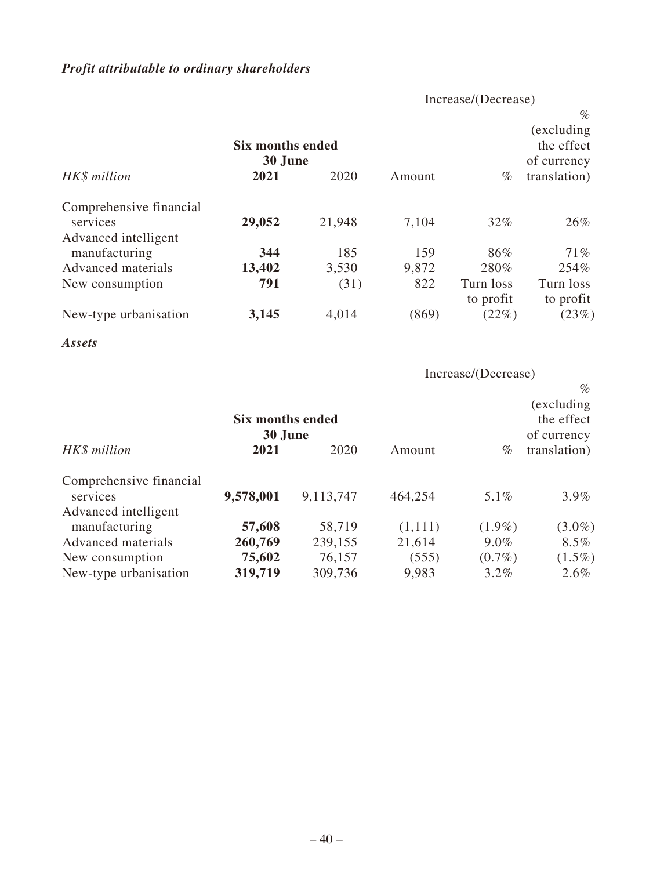## *Profit attributable to ordinary shareholders*

Increase/(Decrease)

|                         | Six months ended<br>30 June |        |        |                    | $\%$<br>(excluding)<br>the effect<br>of currency |
|-------------------------|-----------------------------|--------|--------|--------------------|--------------------------------------------------|
| HK\$ million            | 2021                        | 2020   | Amount | $\%$               | translation)                                     |
| Comprehensive financial |                             |        |        |                    |                                                  |
| services                | 29,052                      | 21,948 | 7,104  | 32%                | 26%                                              |
| Advanced intelligent    |                             |        |        |                    |                                                  |
| manufacturing           | 344                         | 185    | 159    | 86%                | 71%                                              |
| Advanced materials      | 13,402                      | 3,530  | 9,872  | 280%               | 254%                                             |
| New consumption         | 791                         | (31)   | 822    | Turn loss          | Turn loss                                        |
| New-type urbanisation   | 3,145                       | 4,014  | (869)  | to profit<br>(22%) | to profit<br>(23%)                               |

*Assets*

Increase/(Decrease)

|                                                             | Six months ended<br>30 June |           |         |           | $\%$<br>(excluding)<br>the effect<br>of currency |
|-------------------------------------------------------------|-----------------------------|-----------|---------|-----------|--------------------------------------------------|
| HK\$ million                                                | 2021                        | 2020      | Amount  | $\%$      | translation)                                     |
| Comprehensive financial<br>services<br>Advanced intelligent | 9,578,001                   | 9,113,747 | 464,254 | 5.1%      | $3.9\%$                                          |
| manufacturing                                               | 57,608                      | 58,719    | (1,111) | $(1.9\%)$ | $(3.0\%)$                                        |
| Advanced materials                                          | 260,769                     | 239,155   | 21,614  | $9.0\%$   | $8.5\%$                                          |
| New consumption                                             | 75,602                      | 76,157    | (555)   | $(0.7\%)$ | $(1.5\%)$                                        |
| New-type urbanisation                                       | 319,719                     | 309,736   | 9,983   | $3.2\%$   | $2.6\%$                                          |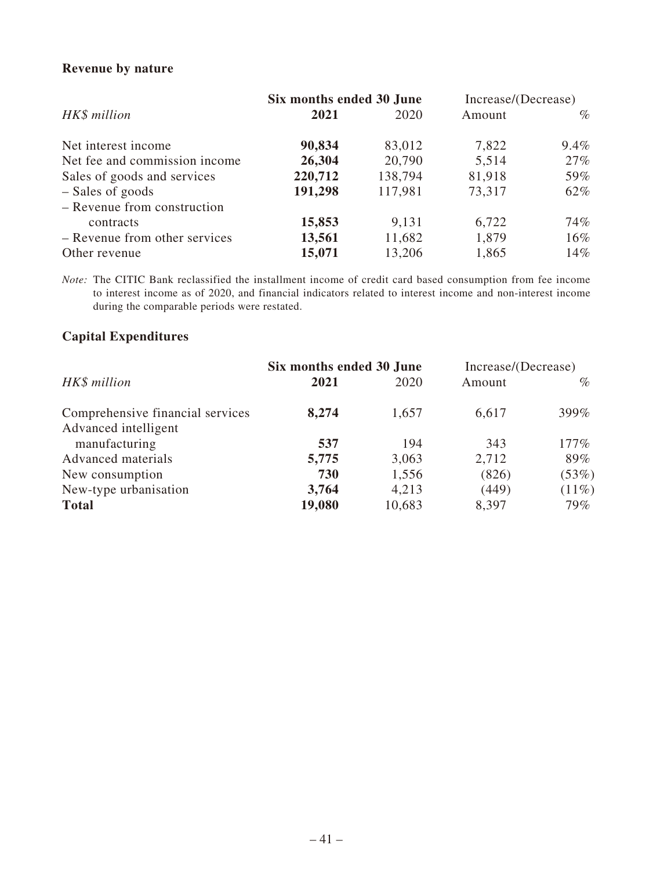## **Revenue by nature**

|                               | Six months ended 30 June |         | Increase/(Decrease) |         |
|-------------------------------|--------------------------|---------|---------------------|---------|
| HK\$ million                  | 2021                     | 2020    | Amount              | $\%$    |
| Net interest income           | 90,834                   | 83,012  | 7,822               | $9.4\%$ |
| Net fee and commission income | 26,304                   | 20,790  | 5,514               | 27%     |
| Sales of goods and services   | 220,712                  | 138,794 | 81,918              | 59%     |
| - Sales of goods              | 191,298                  | 117,981 | 73,317              | 62%     |
| - Revenue from construction   |                          |         |                     |         |
| contracts                     | 15,853                   | 9,131   | 6,722               | 74%     |
| - Revenue from other services | 13,561                   | 11,682  | 1,879               | $16\%$  |
| Other revenue                 | 15,071                   | 13,206  | 1,865               | 14%     |

*Note:* The CITIC Bank reclassified the installment income of credit card based consumption from fee income to interest income as of 2020, and financial indicators related to interest income and non-interest income during the comparable periods were restated.

## **Capital Expenditures**

|                                  | Six months ended 30 June |        | Increase/(Decrease) |          |
|----------------------------------|--------------------------|--------|---------------------|----------|
| HK\$ million                     | 2021                     | 2020   | Amount              | $\%$     |
| Comprehensive financial services | 8,274                    | 1,657  | 6,617               | 399%     |
| Advanced intelligent             |                          |        |                     |          |
| manufacturing                    | 537                      | 194    | 343                 | $177\%$  |
| Advanced materials               | 5,775                    | 3,063  | 2,712               | 89%      |
| New consumption                  | 730                      | 1,556  | (826)               | (53%)    |
| New-type urbanisation            | 3,764                    | 4,213  | (449)               | $(11\%)$ |
| <b>Total</b>                     | 19,080                   | 10,683 | 8,397               | 79%      |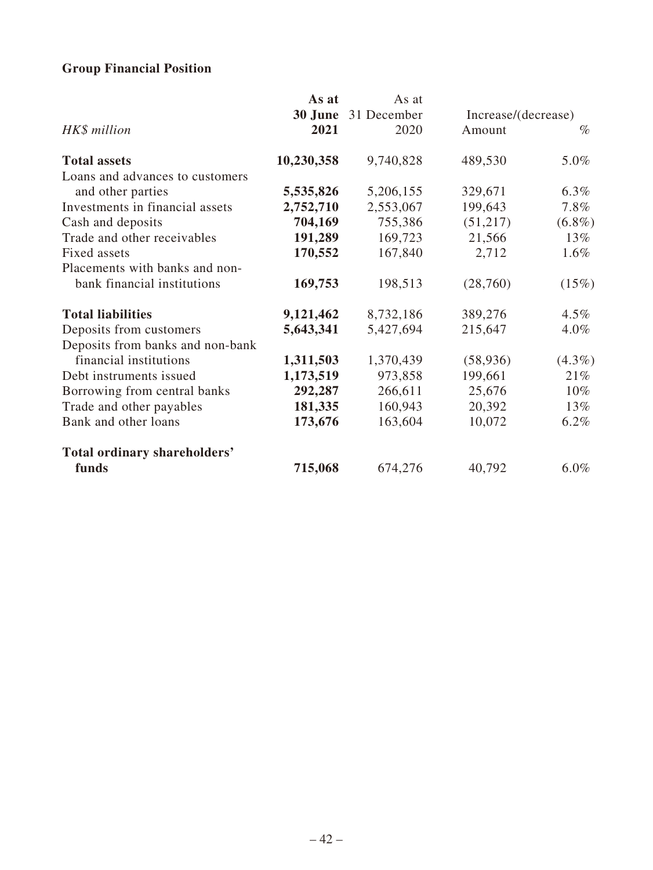## **Group Financial Position**

|                                  | As at      | As at       |                     |           |
|----------------------------------|------------|-------------|---------------------|-----------|
|                                  | 30 June    | 31 December | Increase/(decrease) |           |
| HK\$ million                     | 2021       | 2020        | Amount              | $\%$      |
| <b>Total assets</b>              | 10,230,358 | 9,740,828   | 489,530             | 5.0%      |
| Loans and advances to customers  |            |             |                     |           |
| and other parties                | 5,535,826  | 5,206,155   | 329,671             | $6.3\%$   |
| Investments in financial assets  | 2,752,710  | 2,553,067   | 199,643             | 7.8%      |
| Cash and deposits                | 704,169    | 755,386     | (51,217)            | $(6.8\%)$ |
| Trade and other receivables      | 191,289    | 169,723     | 21,566              | 13%       |
| Fixed assets                     | 170,552    | 167,840     | 2,712               | $1.6\%$   |
| Placements with banks and non-   |            |             |                     |           |
| bank financial institutions      | 169,753    | 198,513     | (28,760)            | (15%)     |
| <b>Total liabilities</b>         | 9,121,462  | 8,732,186   | 389,276             | $4.5\%$   |
| Deposits from customers          | 5,643,341  | 5,427,694   | 215,647             | $4.0\%$   |
| Deposits from banks and non-bank |            |             |                     |           |
| financial institutions           | 1,311,503  | 1,370,439   | (58, 936)           | $(4.3\%)$ |
| Debt instruments issued          | 1,173,519  | 973,858     | 199,661             | 21%       |
| Borrowing from central banks     | 292,287    | 266,611     | 25,676              | $10\%$    |
| Trade and other payables         | 181,335    | 160,943     | 20,392              | 13%       |
| Bank and other loans             | 173,676    | 163,604     | 10,072              | $6.2\%$   |
| Total ordinary shareholders'     |            |             |                     |           |
| funds                            | 715,068    | 674,276     | 40,792              | $6.0\%$   |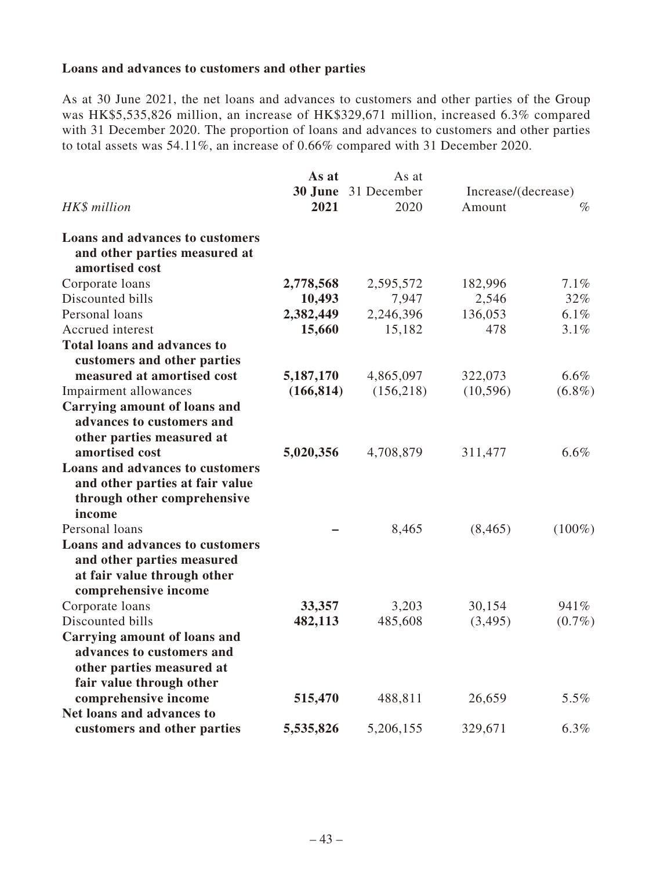### **Loans and advances to customers and other parties**

As at 30 June 2021, the net loans and advances to customers and other parties of the Group was HK\$5,535,826 million, an increase of HK\$329,671 million, increased 6.3% compared with 31 December 2020. The proportion of loans and advances to customers and other parties to total assets was 54.11%, an increase of 0.66% compared with 31 December 2020.

|                                                                                                                      | As at      | As at               |           |                     |
|----------------------------------------------------------------------------------------------------------------------|------------|---------------------|-----------|---------------------|
|                                                                                                                      |            | 30 June 31 December |           | Increase/(decrease) |
| HK\$ million                                                                                                         | 2021       | 2020                | Amount    | $\%$                |
| Loans and advances to customers<br>and other parties measured at<br>amortised cost                                   |            |                     |           |                     |
| Corporate loans                                                                                                      | 2,778,568  | 2,595,572           | 182,996   | 7.1%                |
| Discounted bills                                                                                                     | 10,493     | 7,947               | 2,546     | 32%                 |
| Personal loans                                                                                                       | 2,382,449  | 2,246,396           | 136,053   | 6.1%                |
| Accrued interest                                                                                                     | 15,660     | 15,182              | 478       | 3.1%                |
| <b>Total loans and advances to</b>                                                                                   |            |                     |           |                     |
| customers and other parties                                                                                          |            |                     |           |                     |
| measured at amortised cost                                                                                           | 5,187,170  | 4,865,097           | 322,073   | $6.6\%$             |
| Impairment allowances                                                                                                | (166, 814) | (156, 218)          | (10, 596) | $(6.8\%)$           |
| <b>Carrying amount of loans and</b>                                                                                  |            |                     |           |                     |
| advances to customers and<br>other parties measured at<br>amortised cost                                             | 5,020,356  | 4,708,879           | 311,477   | 6.6%                |
| Loans and advances to customers<br>and other parties at fair value                                                   |            |                     |           |                     |
| through other comprehensive<br>income                                                                                |            |                     |           |                     |
| Personal loans                                                                                                       |            | 8,465               | (8, 465)  | $(100\%)$           |
| Loans and advances to customers<br>and other parties measured<br>at fair value through other<br>comprehensive income |            |                     |           |                     |
| Corporate loans                                                                                                      | 33,357     | 3,203               | 30,154    | 941%                |
| Discounted bills                                                                                                     | 482,113    | 485,608             | (3,495)   | $(0.7\%)$           |
| Carrying amount of loans and<br>advances to customers and<br>other parties measured at<br>fair value through other   |            |                     |           |                     |
| comprehensive income<br>Net loans and advances to                                                                    | 515,470    | 488,811             | 26,659    | 5.5%                |
| customers and other parties                                                                                          | 5,535,826  | 5,206,155           | 329,671   | 6.3%                |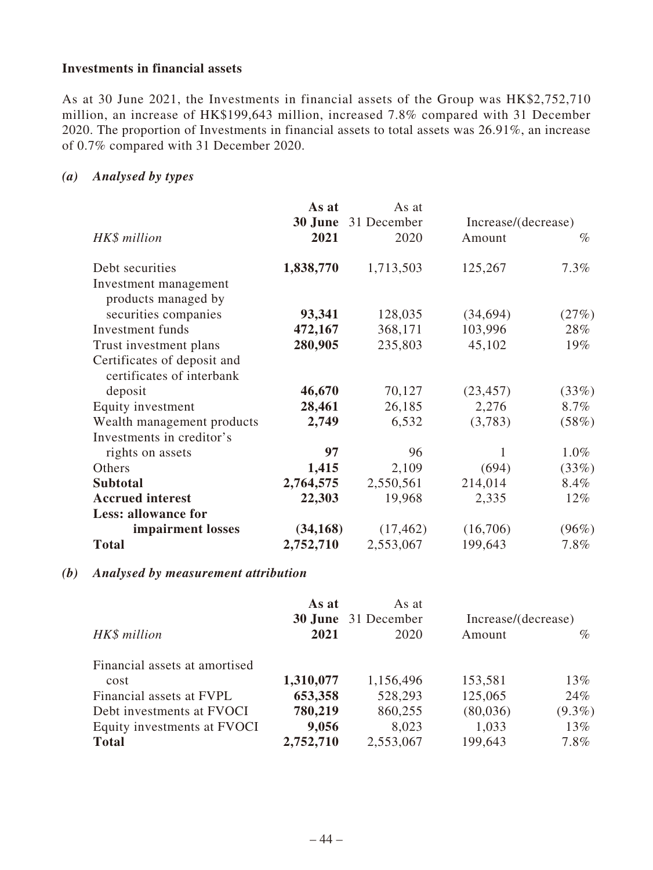### **Investments in financial assets**

As at 30 June 2021, the Investments in financial assets of the Group was HK\$2,752,710 million, an increase of HK\$199,643 million, increased 7.8% compared with 31 December 2020. The proportion of Investments in financial assets to total assets was 26.91%, an increase of 0.7% compared with 31 December 2020.

## *(a) Analysed by types*

|                                                          | As at     | As at<br><b>30 June</b> 31 December | Increase/(decrease) |         |
|----------------------------------------------------------|-----------|-------------------------------------|---------------------|---------|
| HK\$ million                                             | 2021      | 2020                                | Amount              | $\%$    |
| Debt securities                                          | 1,838,770 | 1,713,503                           | 125,267             | 7.3%    |
| Investment management                                    |           |                                     |                     |         |
| products managed by                                      |           |                                     |                     |         |
| securities companies                                     | 93,341    | 128,035                             | (34,694)            | (27%)   |
| Investment funds                                         | 472,167   | 368,171                             | 103,996             | 28%     |
| Trust investment plans                                   | 280,905   | 235,803                             | 45,102              | $19\%$  |
| Certificates of deposit and<br>certificates of interbank |           |                                     |                     |         |
| deposit                                                  | 46,670    | 70,127                              | (23, 457)           | (33%)   |
| Equity investment                                        | 28,461    | 26,185                              | 2,276               | $8.7\%$ |
| Wealth management products                               | 2,749     | 6,532                               | (3,783)             | (58%)   |
| Investments in creditor's                                |           |                                     |                     |         |
| rights on assets                                         | 97        | 96                                  | 1                   | $1.0\%$ |
| Others                                                   | 1,415     | 2,109                               | (694)               | (33%)   |
| <b>Subtotal</b>                                          | 2,764,575 | 2,550,561                           | 214,014             | 8.4%    |
| <b>Accrued</b> interest                                  | 22,303    | 19,968                              | 2,335               | $12\%$  |
| <b>Less: allowance for</b>                               |           |                                     |                     |         |
| impairment losses                                        | (34, 168) | (17, 462)                           | (16,706)            | (96%)   |
| <b>Total</b>                                             | 2,752,710 | 2,553,067                           | 199,643             | 7.8%    |

### *(b) Analysed by measurement attribution*

| As at     | As at     |                            | Increase/(decrease) |  |
|-----------|-----------|----------------------------|---------------------|--|
| 2021      | 2020      | Amount                     | $\%$                |  |
|           |           |                            |                     |  |
| 1,310,077 | 1,156,496 | 153,581                    | 13%                 |  |
| 653,358   | 528,293   | 125,065                    | 24%                 |  |
| 780,219   | 860,255   | (80,036)                   | $(9.3\%)$           |  |
| 9,056     | 8,023     | 1,033                      | 13%                 |  |
| 2,752,710 | 2,553,067 | 199,643                    | 7.8%                |  |
|           |           | <b>30 June</b> 31 December |                     |  |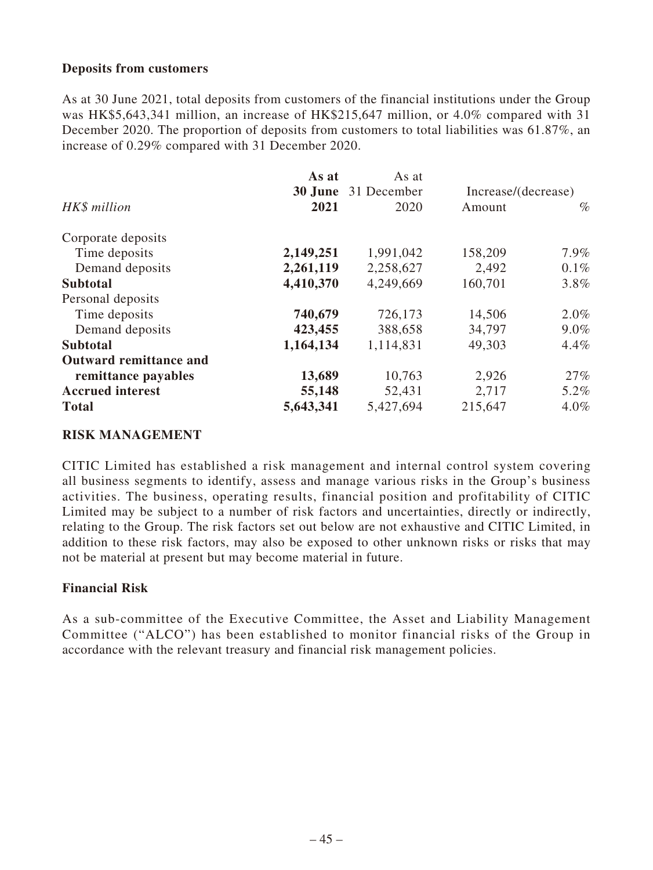### **Deposits from customers**

As at 30 June 2021, total deposits from customers of the financial institutions under the Group was HK\$5,643,341 million, an increase of HK\$215,647 million, or 4.0% compared with 31 December 2020. The proportion of deposits from customers to total liabilities was 61.87%, an increase of 0.29% compared with 31 December 2020.

| As at                      |                     |         |
|----------------------------|---------------------|---------|
| <b>30 June</b> 31 December | Increase/(decrease) |         |
| 2020                       | Amount              | $\%$    |
|                            |                     |         |
| 1,991,042                  | 158,209             | $7.9\%$ |
| 2,258,627                  | 2,492               | $0.1\%$ |
| 4,249,669                  | 160,701             | $3.8\%$ |
|                            |                     |         |
| 726,173                    | 14,506              | $2.0\%$ |
| 388,658                    | 34,797              | $9.0\%$ |
| 1,114,831                  | 49,303              | $4.4\%$ |
|                            |                     |         |
| 10,763                     | 2,926               | 27%     |
| 52,431                     | 2,717               | 5.2%    |
| 5,427,694                  | 215,647             | $4.0\%$ |
|                            |                     |         |

### **RISK MANAGEMENT**

CITIC Limited has established a risk management and internal control system covering all business segments to identify, assess and manage various risks in the Group's business activities. The business, operating results, financial position and profitability of CITIC Limited may be subject to a number of risk factors and uncertainties, directly or indirectly, relating to the Group. The risk factors set out below are not exhaustive and CITIC Limited, in addition to these risk factors, may also be exposed to other unknown risks or risks that may not be material at present but may become material in future.

### **Financial Risk**

As a sub-committee of the Executive Committee, the Asset and Liability Management Committee ("ALCO") has been established to monitor financial risks of the Group in accordance with the relevant treasury and financial risk management policies.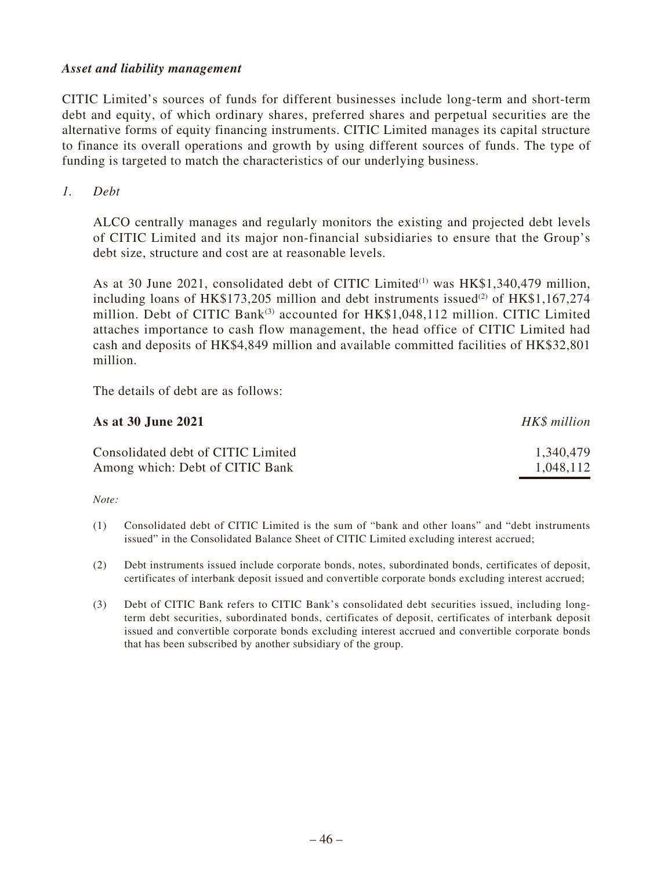### *Asset and liability management*

CITIC Limited's sources of funds for different businesses include long-term and short-term debt and equity, of which ordinary shares, preferred shares and perpetual securities are the alternative forms of equity financing instruments. CITIC Limited manages its capital structure to finance its overall operations and growth by using different sources of funds. The type of funding is targeted to match the characteristics of our underlying business.

*1. Debt*

ALCO centrally manages and regularly monitors the existing and projected debt levels of CITIC Limited and its major non-financial subsidiaries to ensure that the Group's debt size, structure and cost are at reasonable levels.

As at 30 June 2021, consolidated debt of CITIC Limited<sup>(1)</sup> was HK\$1,340,479 million, including loans of HK\$173,205 million and debt instruments issued<sup>(2)</sup> of HK\$1,167,274 million. Debt of CITIC Bank<sup>(3)</sup> accounted for HK\$1,048,112 million. CITIC Limited attaches importance to cash flow management, the head office of CITIC Limited had cash and deposits of HK\$4,849 million and available committed facilities of HK\$32,801 million.

The details of debt are as follows:

| As at 30 June 2021                 | HK\$ million |
|------------------------------------|--------------|
| Consolidated debt of CITIC Limited | 1,340,479    |
| Among which: Debt of CITIC Bank    | 1,048,112    |

*Note:*

- (1) Consolidated debt of CITIC Limited is the sum of "bank and other loans" and "debt instruments issued" in the Consolidated Balance Sheet of CITIC Limited excluding interest accrued;
- (2) Debt instruments issued include corporate bonds, notes, subordinated bonds, certificates of deposit, certificates of interbank deposit issued and convertible corporate bonds excluding interest accrued;
- (3) Debt of CITIC Bank refers to CITIC Bank's consolidated debt securities issued, including longterm debt securities, subordinated bonds, certificates of deposit, certificates of interbank deposit issued and convertible corporate bonds excluding interest accrued and convertible corporate bonds that has been subscribed by another subsidiary of the group.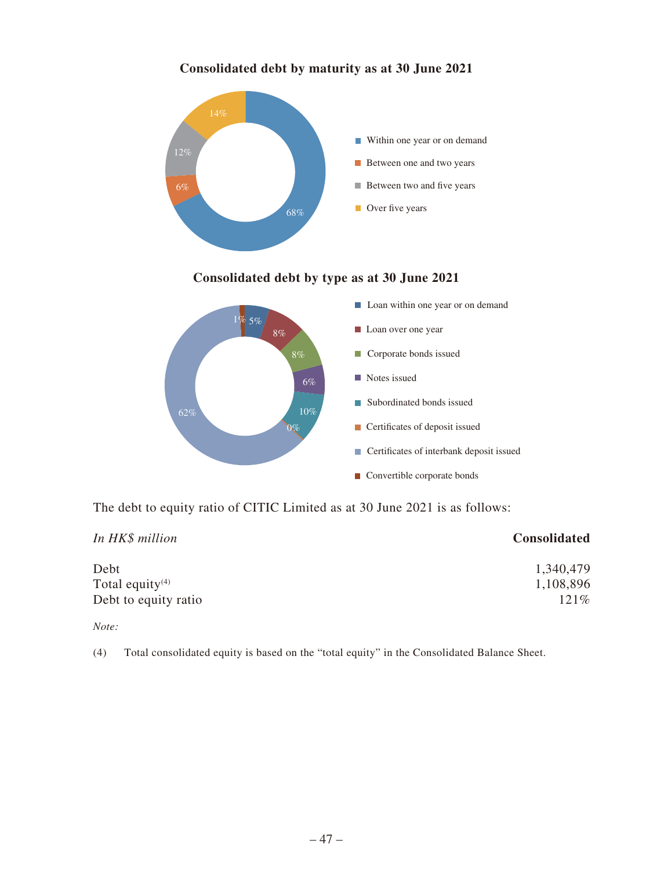

## **Consolidated debt by maturity as at 30 June 2021**

## **Consolidated debt by type as at 30 June 2021**



The debt to equity ratio of CITIC Limited as at 30 June 2021 is as follows:

| In HK\$ million             | Consolidated |
|-----------------------------|--------------|
| Debt                        | 1,340,479    |
| Total equity <sup>(4)</sup> | 1,108,896    |
| Debt to equity ratio        | 121%         |

*Note:*

(4) Total consolidated equity is based on the "total equity" in the Consolidated Balance Sheet.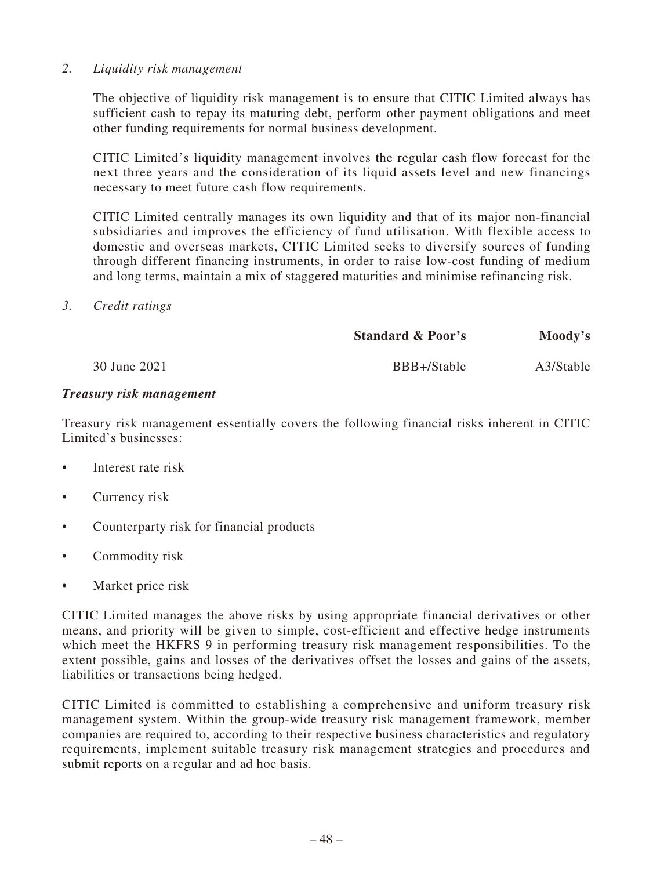### *2. Liquidity risk management*

The objective of liquidity risk management is to ensure that CITIC Limited always has sufficient cash to repay its maturing debt, perform other payment obligations and meet other funding requirements for normal business development.

CITIC Limited's liquidity management involves the regular cash flow forecast for the next three years and the consideration of its liquid assets level and new financings necessary to meet future cash flow requirements.

CITIC Limited centrally manages its own liquidity and that of its major non-financial subsidiaries and improves the efficiency of fund utilisation. With flexible access to domestic and overseas markets, CITIC Limited seeks to diversify sources of funding through different financing instruments, in order to raise low-cost funding of medium and long terms, maintain a mix of staggered maturities and minimise refinancing risk.

### *3. Credit ratings*

|              | <b>Standard &amp; Poor's</b> | Moody's   |
|--------------|------------------------------|-----------|
| 30 June 2021 | BBB+/Stable                  | A3/Stable |

### *Treasury risk management*

Treasury risk management essentially covers the following financial risks inherent in CITIC Limited's businesses:

- Interest rate risk
- Currency risk
- Counterparty risk for financial products
- Commodity risk
- Market price risk

CITIC Limited manages the above risks by using appropriate financial derivatives or other means, and priority will be given to simple, cost-efficient and effective hedge instruments which meet the HKFRS 9 in performing treasury risk management responsibilities. To the extent possible, gains and losses of the derivatives offset the losses and gains of the assets, liabilities or transactions being hedged.

CITIC Limited is committed to establishing a comprehensive and uniform treasury risk management system. Within the group-wide treasury risk management framework, member companies are required to, according to their respective business characteristics and regulatory requirements, implement suitable treasury risk management strategies and procedures and submit reports on a regular and ad hoc basis.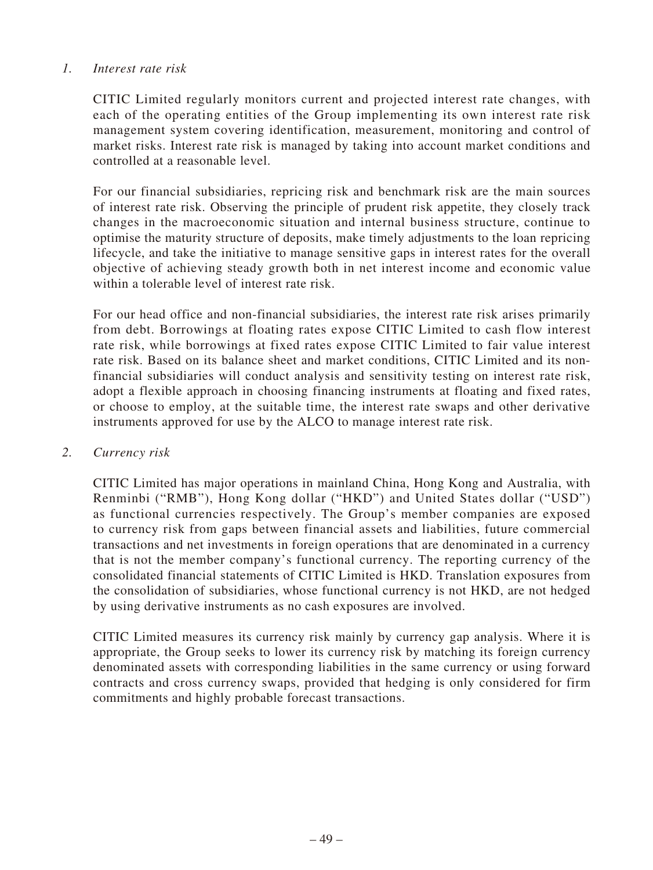### *1. Interest rate risk*

CITIC Limited regularly monitors current and projected interest rate changes, with each of the operating entities of the Group implementing its own interest rate risk management system covering identification, measurement, monitoring and control of market risks. Interest rate risk is managed by taking into account market conditions and controlled at a reasonable level.

For our financial subsidiaries, repricing risk and benchmark risk are the main sources of interest rate risk. Observing the principle of prudent risk appetite, they closely track changes in the macroeconomic situation and internal business structure, continue to optimise the maturity structure of deposits, make timely adjustments to the loan repricing lifecycle, and take the initiative to manage sensitive gaps in interest rates for the overall objective of achieving steady growth both in net interest income and economic value within a tolerable level of interest rate risk.

For our head office and non-financial subsidiaries, the interest rate risk arises primarily from debt. Borrowings at floating rates expose CITIC Limited to cash flow interest rate risk, while borrowings at fixed rates expose CITIC Limited to fair value interest rate risk. Based on its balance sheet and market conditions, CITIC Limited and its nonfinancial subsidiaries will conduct analysis and sensitivity testing on interest rate risk, adopt a flexible approach in choosing financing instruments at floating and fixed rates, or choose to employ, at the suitable time, the interest rate swaps and other derivative instruments approved for use by the ALCO to manage interest rate risk.

### *2. Currency risk*

CITIC Limited has major operations in mainland China, Hong Kong and Australia, with Renminbi ("RMB"), Hong Kong dollar ("HKD") and United States dollar ("USD") as functional currencies respectively. The Group's member companies are exposed to currency risk from gaps between financial assets and liabilities, future commercial transactions and net investments in foreign operations that are denominated in a currency that is not the member company's functional currency. The reporting currency of the consolidated financial statements of CITIC Limited is HKD. Translation exposures from the consolidation of subsidiaries, whose functional currency is not HKD, are not hedged by using derivative instruments as no cash exposures are involved.

CITIC Limited measures its currency risk mainly by currency gap analysis. Where it is appropriate, the Group seeks to lower its currency risk by matching its foreign currency denominated assets with corresponding liabilities in the same currency or using forward contracts and cross currency swaps, provided that hedging is only considered for firm commitments and highly probable forecast transactions.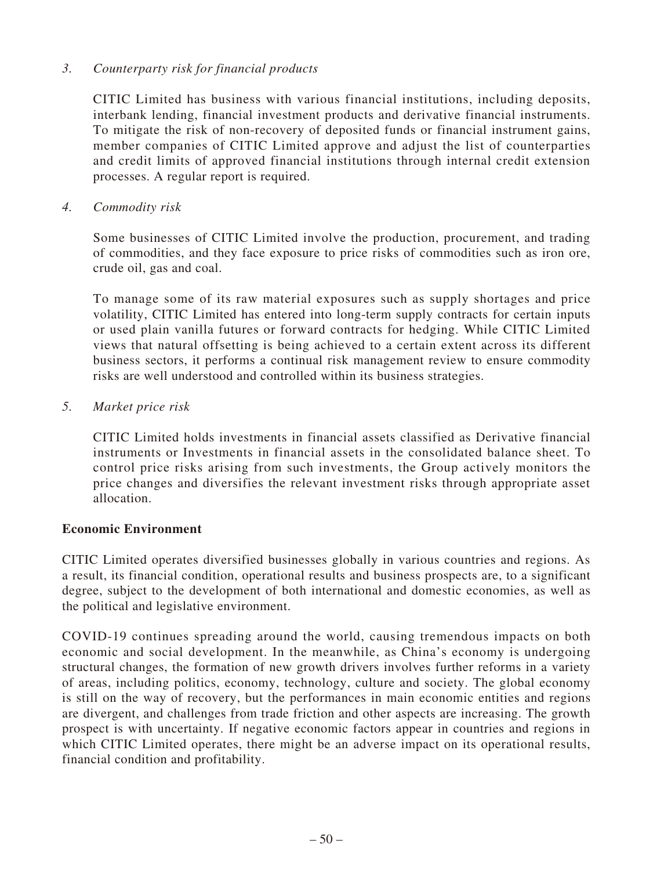## *3. Counterparty risk for financial products*

CITIC Limited has business with various financial institutions, including deposits, interbank lending, financial investment products and derivative financial instruments. To mitigate the risk of non-recovery of deposited funds or financial instrument gains, member companies of CITIC Limited approve and adjust the list of counterparties and credit limits of approved financial institutions through internal credit extension processes. A regular report is required.

*4. Commodity risk*

Some businesses of CITIC Limited involve the production, procurement, and trading of commodities, and they face exposure to price risks of commodities such as iron ore, crude oil, gas and coal.

To manage some of its raw material exposures such as supply shortages and price volatility, CITIC Limited has entered into long-term supply contracts for certain inputs or used plain vanilla futures or forward contracts for hedging. While CITIC Limited views that natural offsetting is being achieved to a certain extent across its different business sectors, it performs a continual risk management review to ensure commodity risks are well understood and controlled within its business strategies.

*5. Market price risk*

CITIC Limited holds investments in financial assets classified as Derivative financial instruments or Investments in financial assets in the consolidated balance sheet. To control price risks arising from such investments, the Group actively monitors the price changes and diversifies the relevant investment risks through appropriate asset allocation.

## **Economic Environment**

CITIC Limited operates diversified businesses globally in various countries and regions. As a result, its financial condition, operational results and business prospects are, to a significant degree, subject to the development of both international and domestic economies, as well as the political and legislative environment.

COVID-19 continues spreading around the world, causing tremendous impacts on both economic and social development. In the meanwhile, as China's economy is undergoing structural changes, the formation of new growth drivers involves further reforms in a variety of areas, including politics, economy, technology, culture and society. The global economy is still on the way of recovery, but the performances in main economic entities and regions are divergent, and challenges from trade friction and other aspects are increasing. The growth prospect is with uncertainty. If negative economic factors appear in countries and regions in which CITIC Limited operates, there might be an adverse impact on its operational results, financial condition and profitability.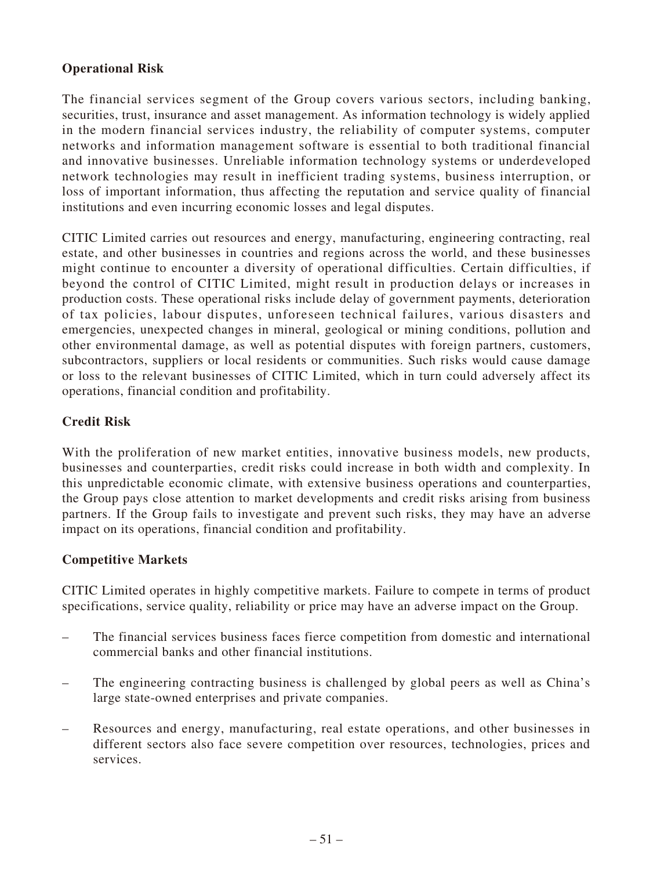## **Operational Risk**

The financial services segment of the Group covers various sectors, including banking, securities, trust, insurance and asset management. As information technology is widely applied in the modern financial services industry, the reliability of computer systems, computer networks and information management software is essential to both traditional financial and innovative businesses. Unreliable information technology systems or underdeveloped network technologies may result in inefficient trading systems, business interruption, or loss of important information, thus affecting the reputation and service quality of financial institutions and even incurring economic losses and legal disputes.

CITIC Limited carries out resources and energy, manufacturing, engineering contracting, real estate, and other businesses in countries and regions across the world, and these businesses might continue to encounter a diversity of operational difficulties. Certain difficulties, if beyond the control of CITIC Limited, might result in production delays or increases in production costs. These operational risks include delay of government payments, deterioration of tax policies, labour disputes, unforeseen technical failures, various disasters and emergencies, unexpected changes in mineral, geological or mining conditions, pollution and other environmental damage, as well as potential disputes with foreign partners, customers, subcontractors, suppliers or local residents or communities. Such risks would cause damage or loss to the relevant businesses of CITIC Limited, which in turn could adversely affect its operations, financial condition and profitability.

## **Credit Risk**

With the proliferation of new market entities, innovative business models, new products, businesses and counterparties, credit risks could increase in both width and complexity. In this unpredictable economic climate, with extensive business operations and counterparties, the Group pays close attention to market developments and credit risks arising from business partners. If the Group fails to investigate and prevent such risks, they may have an adverse impact on its operations, financial condition and profitability.

## **Competitive Markets**

CITIC Limited operates in highly competitive markets. Failure to compete in terms of product specifications, service quality, reliability or price may have an adverse impact on the Group.

- The financial services business faces fierce competition from domestic and international commercial banks and other financial institutions.
- The engineering contracting business is challenged by global peers as well as China's large state-owned enterprises and private companies.
- Resources and energy, manufacturing, real estate operations, and other businesses in different sectors also face severe competition over resources, technologies, prices and services.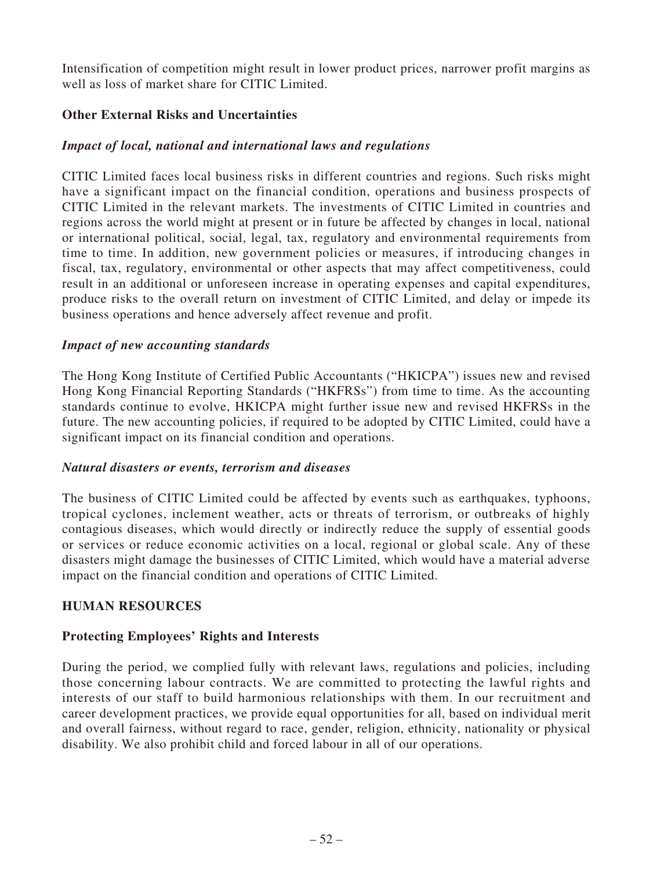Intensification of competition might result in lower product prices, narrower profit margins as well as loss of market share for CITIC Limited.

## **Other External Risks and Uncertainties**

## *Impact of local, national and international laws and regulations*

CITIC Limited faces local business risks in different countries and regions. Such risks might have a significant impact on the financial condition, operations and business prospects of CITIC Limited in the relevant markets. The investments of CITIC Limited in countries and regions across the world might at present or in future be affected by changes in local, national or international political, social, legal, tax, regulatory and environmental requirements from time to time. In addition, new government policies or measures, if introducing changes in fiscal, tax, regulatory, environmental or other aspects that may affect competitiveness, could result in an additional or unforeseen increase in operating expenses and capital expenditures, produce risks to the overall return on investment of CITIC Limited, and delay or impede its business operations and hence adversely affect revenue and profit.

### *Impact of new accounting standards*

The Hong Kong Institute of Certified Public Accountants ("HKICPA") issues new and revised Hong Kong Financial Reporting Standards ("HKFRSs") from time to time. As the accounting standards continue to evolve, HKICPA might further issue new and revised HKFRSs in the future. The new accounting policies, if required to be adopted by CITIC Limited, could have a significant impact on its financial condition and operations.

### *Natural disasters or events, terrorism and diseases*

The business of CITIC Limited could be affected by events such as earthquakes, typhoons, tropical cyclones, inclement weather, acts or threats of terrorism, or outbreaks of highly contagious diseases, which would directly or indirectly reduce the supply of essential goods or services or reduce economic activities on a local, regional or global scale. Any of these disasters might damage the businesses of CITIC Limited, which would have a material adverse impact on the financial condition and operations of CITIC Limited.

## **HUMAN RESOURCES**

## **Protecting Employees' Rights and Interests**

During the period, we complied fully with relevant laws, regulations and policies, including those concerning labour contracts. We are committed to protecting the lawful rights and interests of our staff to build harmonious relationships with them. In our recruitment and career development practices, we provide equal opportunities for all, based on individual merit and overall fairness, without regard to race, gender, religion, ethnicity, nationality or physical disability. We also prohibit child and forced labour in all of our operations.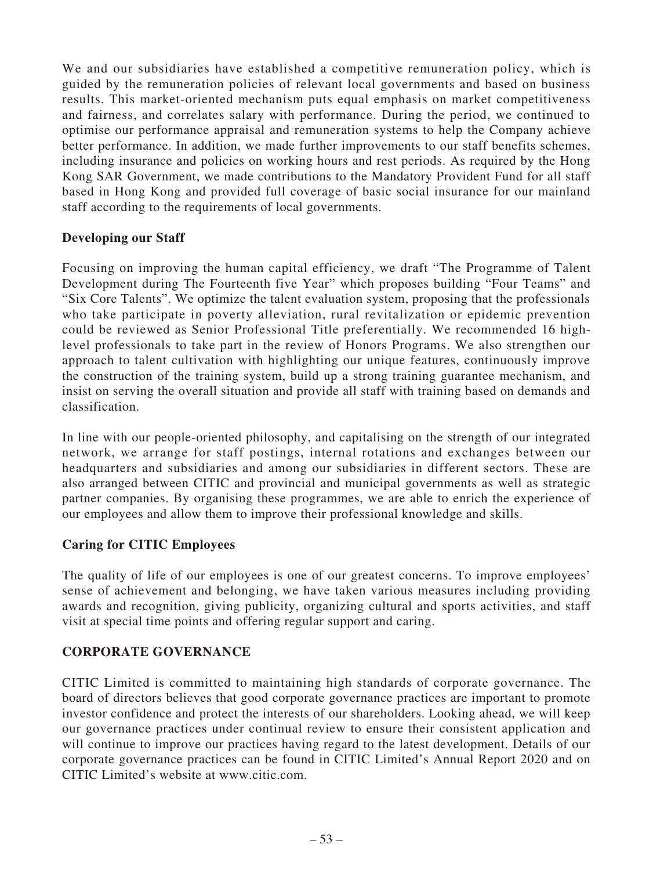We and our subsidiaries have established a competitive remuneration policy, which is guided by the remuneration policies of relevant local governments and based on business results. This market-oriented mechanism puts equal emphasis on market competitiveness and fairness, and correlates salary with performance. During the period, we continued to optimise our performance appraisal and remuneration systems to help the Company achieve better performance. In addition, we made further improvements to our staff benefits schemes, including insurance and policies on working hours and rest periods. As required by the Hong Kong SAR Government, we made contributions to the Mandatory Provident Fund for all staff based in Hong Kong and provided full coverage of basic social insurance for our mainland staff according to the requirements of local governments.

## **Developing our Staff**

Focusing on improving the human capital efficiency, we draft "The Programme of Talent Development during The Fourteenth five Year" which proposes building "Four Teams" and "Six Core Talents". We optimize the talent evaluation system, proposing that the professionals who take participate in poverty alleviation, rural revitalization or epidemic prevention could be reviewed as Senior Professional Title preferentially. We recommended 16 highlevel professionals to take part in the review of Honors Programs. We also strengthen our approach to talent cultivation with highlighting our unique features, continuously improve the construction of the training system, build up a strong training guarantee mechanism, and insist on serving the overall situation and provide all staff with training based on demands and classification.

In line with our people-oriented philosophy, and capitalising on the strength of our integrated network, we arrange for staff postings, internal rotations and exchanges between our headquarters and subsidiaries and among our subsidiaries in different sectors. These are also arranged between CITIC and provincial and municipal governments as well as strategic partner companies. By organising these programmes, we are able to enrich the experience of our employees and allow them to improve their professional knowledge and skills.

## **Caring for CITIC Employees**

The quality of life of our employees is one of our greatest concerns. To improve employees' sense of achievement and belonging, we have taken various measures including providing awards and recognition, giving publicity, organizing cultural and sports activities, and staff visit at special time points and offering regular support and caring.

## **CORPORATE GOVERNANCE**

CITIC Limited is committed to maintaining high standards of corporate governance. The board of directors believes that good corporate governance practices are important to promote investor confidence and protect the interests of our shareholders. Looking ahead, we will keep our governance practices under continual review to ensure their consistent application and will continue to improve our practices having regard to the latest development. Details of our corporate governance practices can be found in CITIC Limited's Annual Report 2020 and on CITIC Limited's website at www.citic.com.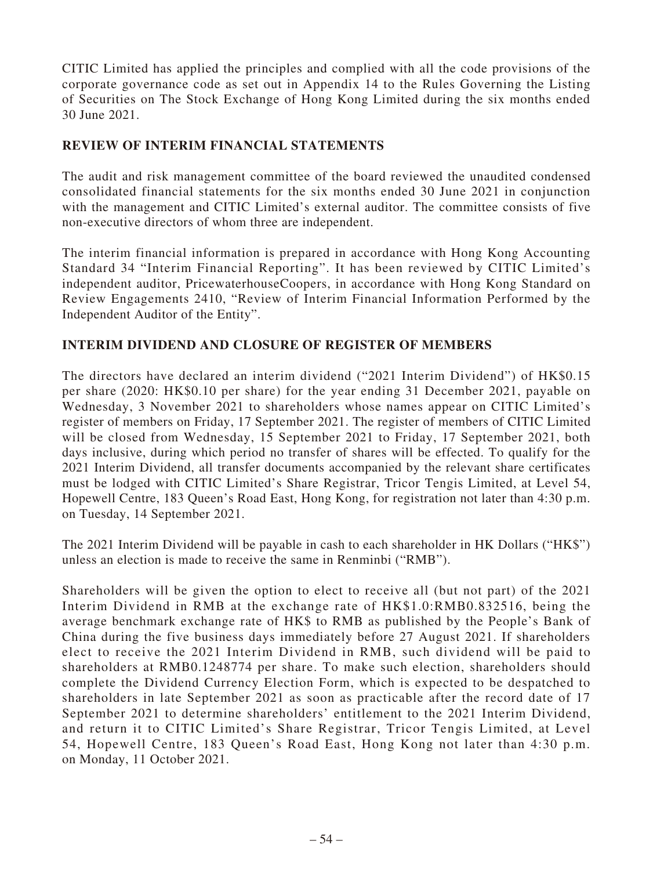CITIC Limited has applied the principles and complied with all the code provisions of the corporate governance code as set out in Appendix 14 to the Rules Governing the Listing of Securities on The Stock Exchange of Hong Kong Limited during the six months ended 30 June 2021.

## **REVIEW OF INTERIM FINANCIAL STATEMENTS**

The audit and risk management committee of the board reviewed the unaudited condensed consolidated financial statements for the six months ended 30 June 2021 in conjunction with the management and CITIC Limited's external auditor. The committee consists of five non-executive directors of whom three are independent.

The interim financial information is prepared in accordance with Hong Kong Accounting Standard 34 "Interim Financial Reporting". It has been reviewed by CITIC Limited's independent auditor, PricewaterhouseCoopers, in accordance with Hong Kong Standard on Review Engagements 2410, "Review of Interim Financial Information Performed by the Independent Auditor of the Entity".

## **INTERIM DIVIDEND AND CLOSURE OF REGISTER OF MEMBERS**

The directors have declared an interim dividend ("2021 Interim Dividend") of HK\$0.15 per share (2020: HK\$0.10 per share) for the year ending 31 December 2021, payable on Wednesday, 3 November 2021 to shareholders whose names appear on CITIC Limited's register of members on Friday, 17 September 2021. The register of members of CITIC Limited will be closed from Wednesday, 15 September 2021 to Friday, 17 September 2021, both days inclusive, during which period no transfer of shares will be effected. To qualify for the 2021 Interim Dividend, all transfer documents accompanied by the relevant share certificates must be lodged with CITIC Limited's Share Registrar, Tricor Tengis Limited, at Level 54, Hopewell Centre, 183 Queen's Road East, Hong Kong, for registration not later than 4:30 p.m. on Tuesday, 14 September 2021.

The 2021 Interim Dividend will be payable in cash to each shareholder in HK Dollars ("HK\$") unless an election is made to receive the same in Renminbi ("RMB").

Shareholders will be given the option to elect to receive all (but not part) of the 2021 Interim Dividend in RMB at the exchange rate of HK\$1.0:RMB0.832516, being the average benchmark exchange rate of HK\$ to RMB as published by the People's Bank of China during the five business days immediately before 27 August 2021. If shareholders elect to receive the 2021 Interim Dividend in RMB, such dividend will be paid to shareholders at RMB0.1248774 per share. To make such election, shareholders should complete the Dividend Currency Election Form, which is expected to be despatched to shareholders in late September 2021 as soon as practicable after the record date of 17 September 2021 to determine shareholders' entitlement to the 2021 Interim Dividend, and return it to CITIC Limited's Share Registrar, Tricor Tengis Limited, at Level 54, Hopewell Centre, 183 Queen's Road East, Hong Kong not later than 4:30 p.m. on Monday, 11 October 2021.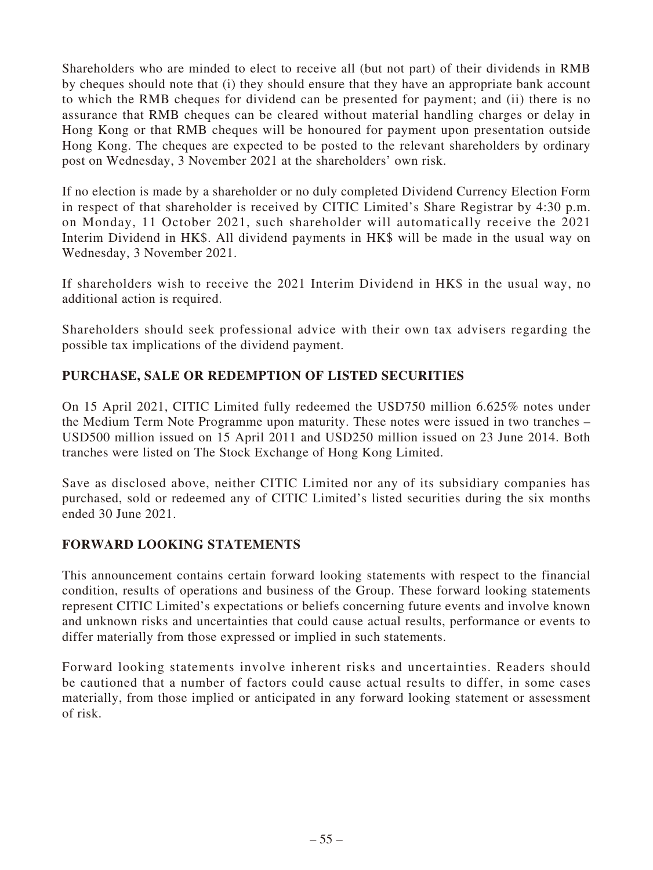Shareholders who are minded to elect to receive all (but not part) of their dividends in RMB by cheques should note that (i) they should ensure that they have an appropriate bank account to which the RMB cheques for dividend can be presented for payment; and (ii) there is no assurance that RMB cheques can be cleared without material handling charges or delay in Hong Kong or that RMB cheques will be honoured for payment upon presentation outside Hong Kong. The cheques are expected to be posted to the relevant shareholders by ordinary post on Wednesday, 3 November 2021 at the shareholders' own risk.

If no election is made by a shareholder or no duly completed Dividend Currency Election Form in respect of that shareholder is received by CITIC Limited's Share Registrar by 4:30 p.m. on Monday, 11 October 2021, such shareholder will automatically receive the 2021 Interim Dividend in HK\$. All dividend payments in HK\$ will be made in the usual way on Wednesday, 3 November 2021.

If shareholders wish to receive the 2021 Interim Dividend in HK\$ in the usual way, no additional action is required.

Shareholders should seek professional advice with their own tax advisers regarding the possible tax implications of the dividend payment.

## **PURCHASE, SALE OR REDEMPTION OF LISTED SECURITIES**

On 15 April 2021, CITIC Limited fully redeemed the USD750 million 6.625% notes under the Medium Term Note Programme upon maturity. These notes were issued in two tranches – USD500 million issued on 15 April 2011 and USD250 million issued on 23 June 2014. Both tranches were listed on The Stock Exchange of Hong Kong Limited.

Save as disclosed above, neither CITIC Limited nor any of its subsidiary companies has purchased, sold or redeemed any of CITIC Limited's listed securities during the six months ended 30 June 2021.

## **FORWARD LOOKING STATEMENTS**

This announcement contains certain forward looking statements with respect to the financial condition, results of operations and business of the Group. These forward looking statements represent CITIC Limited's expectations or beliefs concerning future events and involve known and unknown risks and uncertainties that could cause actual results, performance or events to differ materially from those expressed or implied in such statements.

Forward looking statements involve inherent risks and uncertainties. Readers should be cautioned that a number of factors could cause actual results to differ, in some cases materially, from those implied or anticipated in any forward looking statement or assessment of risk.